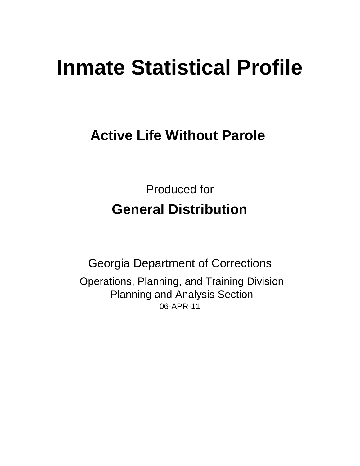# **Inmate Statistical Profile**

## **Active Life Without Parole**

Produced for **General Distribution**

06-APR-11 Georgia Department of Corrections Operations, Planning, and Training Division Planning and Analysis Section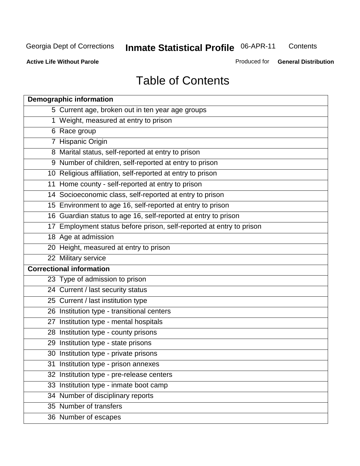**Contents** 

**Active Life Without Parole** 

Produced for **General Distribution**

## Table of Contents

| <b>Demographic information</b>                                       |
|----------------------------------------------------------------------|
| 5 Current age, broken out in ten year age groups                     |
| 1 Weight, measured at entry to prison                                |
| 6 Race group                                                         |
| 7 Hispanic Origin                                                    |
| 8 Marital status, self-reported at entry to prison                   |
| 9 Number of children, self-reported at entry to prison               |
| 10 Religious affiliation, self-reported at entry to prison           |
| 11 Home county - self-reported at entry to prison                    |
| 14 Socioeconomic class, self-reported at entry to prison             |
| 15 Environment to age 16, self-reported at entry to prison           |
| 16 Guardian status to age 16, self-reported at entry to prison       |
| 17 Employment status before prison, self-reported at entry to prison |
| 18 Age at admission                                                  |
| 20 Height, measured at entry to prison                               |
| 22 Military service                                                  |
| <b>Correctional information</b>                                      |
| 23 Type of admission to prison                                       |
| 24 Current / last security status                                    |
| 25 Current / last institution type                                   |
| 26 Institution type - transitional centers                           |
| 27 Institution type - mental hospitals                               |
| 28 Institution type - county prisons                                 |
| 29 Institution type - state prisons                                  |
| 30 Institution type - private prisons                                |
| 31 Institution type - prison annexes                                 |
| 32 Institution type - pre-release centers                            |
| 33 Institution type - inmate boot camp                               |
| 34 Number of disciplinary reports                                    |
| 35 Number of transfers                                               |
| 36 Number of escapes                                                 |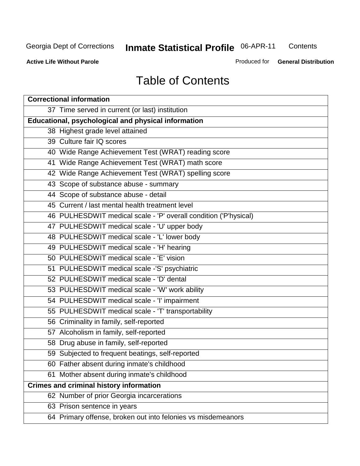**Contents** 

**Active Life Without Parole** 

Produced for **General Distribution**

## Table of Contents

| <b>Correctional information</b>                                  |  |  |  |  |  |  |  |
|------------------------------------------------------------------|--|--|--|--|--|--|--|
| 37 Time served in current (or last) institution                  |  |  |  |  |  |  |  |
| Educational, psychological and physical information              |  |  |  |  |  |  |  |
| 38 Highest grade level attained                                  |  |  |  |  |  |  |  |
| 39 Culture fair IQ scores                                        |  |  |  |  |  |  |  |
| 40 Wide Range Achievement Test (WRAT) reading score              |  |  |  |  |  |  |  |
| 41 Wide Range Achievement Test (WRAT) math score                 |  |  |  |  |  |  |  |
| 42 Wide Range Achievement Test (WRAT) spelling score             |  |  |  |  |  |  |  |
| 43 Scope of substance abuse - summary                            |  |  |  |  |  |  |  |
| 44 Scope of substance abuse - detail                             |  |  |  |  |  |  |  |
| 45 Current / last mental health treatment level                  |  |  |  |  |  |  |  |
| 46 PULHESDWIT medical scale - 'P' overall condition ('P'hysical) |  |  |  |  |  |  |  |
| 47 PULHESDWIT medical scale - 'U' upper body                     |  |  |  |  |  |  |  |
| 48 PULHESDWIT medical scale - 'L' lower body                     |  |  |  |  |  |  |  |
| 49 PULHESDWIT medical scale - 'H' hearing                        |  |  |  |  |  |  |  |
| 50 PULHESDWIT medical scale - 'E' vision                         |  |  |  |  |  |  |  |
| 51 PULHESDWIT medical scale -'S' psychiatric                     |  |  |  |  |  |  |  |
| 52 PULHESDWIT medical scale - 'D' dental                         |  |  |  |  |  |  |  |
| 53 PULHESDWIT medical scale - 'W' work ability                   |  |  |  |  |  |  |  |
| 54 PULHESDWIT medical scale - 'I' impairment                     |  |  |  |  |  |  |  |
| 55 PULHESDWIT medical scale - 'T' transportability               |  |  |  |  |  |  |  |
| 56 Criminality in family, self-reported                          |  |  |  |  |  |  |  |
| 57 Alcoholism in family, self-reported                           |  |  |  |  |  |  |  |
| 58 Drug abuse in family, self-reported                           |  |  |  |  |  |  |  |
| 59 Subjected to frequent beatings, self-reported                 |  |  |  |  |  |  |  |
| 60 Father absent during inmate's childhood                       |  |  |  |  |  |  |  |
| 61 Mother absent during inmate's childhood                       |  |  |  |  |  |  |  |
| <b>Crimes and criminal history information</b>                   |  |  |  |  |  |  |  |
| 62 Number of prior Georgia incarcerations                        |  |  |  |  |  |  |  |
| 63 Prison sentence in years                                      |  |  |  |  |  |  |  |
| 64 Primary offense, broken out into felonies vs misdemeanors     |  |  |  |  |  |  |  |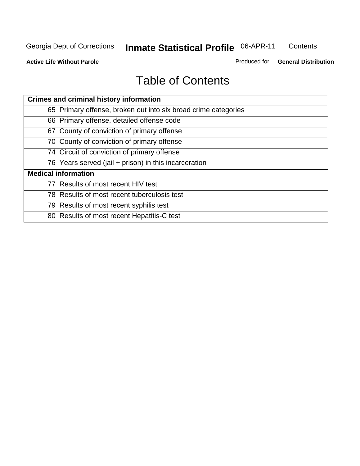**Contents** 

**Active Life Without Parole** 

Produced for **General Distribution**

## Table of Contents

| <b>Crimes and criminal history information</b>                 |
|----------------------------------------------------------------|
| 65 Primary offense, broken out into six broad crime categories |
| 66 Primary offense, detailed offense code                      |
| 67 County of conviction of primary offense                     |
| 70 County of conviction of primary offense                     |
| 74 Circuit of conviction of primary offense                    |
| 76 Years served (jail + prison) in this incarceration          |
| <b>Medical information</b>                                     |
| 77 Results of most recent HIV test                             |
| 78 Results of most recent tuberculosis test                    |
| 79 Results of most recent syphilis test                        |
| 80 Results of most recent Hepatitis-C test                     |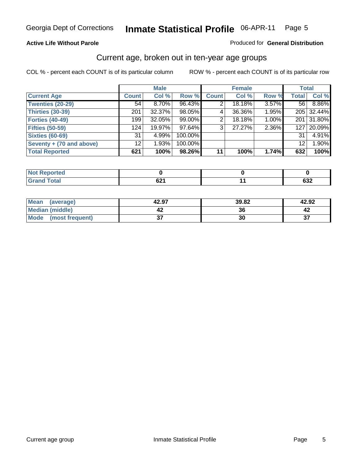#### **Active Life Without Parole**

#### Produced for **General Distribution**

#### Current age, broken out in ten-year age groups

|                          |              | <b>Male</b> |         |              | <b>Female</b> |       |                  | <b>Total</b> |
|--------------------------|--------------|-------------|---------|--------------|---------------|-------|------------------|--------------|
| <b>Current Age</b>       | <b>Count</b> | Col %       | Row %   | <b>Count</b> | Col %         | Row % | <b>Total</b>     | Col %        |
| <b>Twenties (20-29)</b>  | 54           | 8.70%       | 96.43%  |              | 18.18%        | 3.57% | 56 l             | 8.86%        |
| Thirties (30-39)         | 201          | 32.37%      | 98.05%  | 4            | 36.36%        | 1.95% |                  | 205 32.44%   |
| <b>Forties (40-49)</b>   | 199          | 32.05%      | 99.00%  | 2            | 18.18%        | 1.00% | 201              | 31.80%       |
| <b>Fifties (50-59)</b>   | 124          | 19.97%      | 97.64%  | 3            | 27.27%        | 2.36% | 127 <sup>1</sup> | 20.09%       |
| <b>Sixties (60-69)</b>   | 31           | 4.99%       | 100.00% |              |               |       | 31               | 4.91%        |
| Seventy + (70 and above) | 12           | 1.93%       | 100.00% |              |               |       | 12               | 1.90%        |
| <b>Total Reported</b>    | 621          | 100%        | 98.26%  | 11           | 100%          | 1.74% | 632              | 100%         |

| <b>Not Reported</b> |      |        |
|---------------------|------|--------|
| <b>Total</b>        | co.  | $\sim$ |
| $\mathbf{v}$ and    | OZ 1 | ∡כט    |

| Mean<br>(average)       | 42.97    | 39.82 | 42.92     |
|-------------------------|----------|-------|-----------|
| Median (middle)         |          | ^^    |           |
| Mode<br>(most frequent) | ^-<br>v, | 30    | ^-<br>ا پ |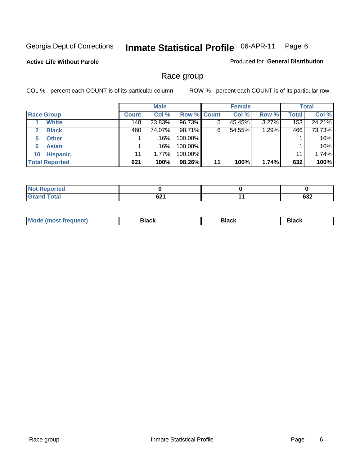#### **Active Life Without Parole**

Produced for **General Distribution**

#### Race group

|                       |              | <b>Male</b> |                    |    | <b>Female</b> |       |              | <b>Total</b> |
|-----------------------|--------------|-------------|--------------------|----|---------------|-------|--------------|--------------|
| <b>Race Group</b>     | <b>Count</b> | Col %       | <b>Row % Count</b> |    | Col %         | Row % | <b>Total</b> | Col %        |
| <b>White</b>          | 148          | 23.83%      | 96.73%             |    | 45.45%        | 3.27% | 153          | 24.21%       |
| <b>Black</b><br>2     | 460          | 74.07%      | 98.71%             | 6  | 54.55%        | 1.29% | 466          | 73.73%       |
| <b>Other</b><br>5.    |              | .16%        | 100.00%            |    |               |       |              | .16%         |
| <b>Asian</b><br>6     |              | $.16\%$     | 100.00%            |    |               |       |              | .16%         |
| <b>Hispanic</b><br>10 | 11           | $1.77\%$    | 100.00%            |    |               |       | 11           | 1.74%        |
| <b>Total Reported</b> | 621          | 100%        | 98.26%             | 11 | 100%          | 1.74% | 632          | 100%         |

| ted:<br>N         |                    |     |
|-------------------|--------------------|-----|
| T <sub>ofol</sub> | co.<br><b>DZ</b> 1 | 632 |

| M | . . |  |
|---|-----|--|
|   |     |  |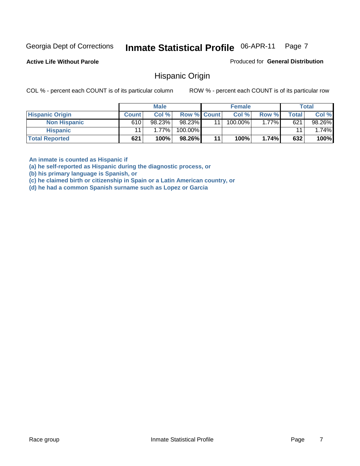**Active Life Without Parole** 

Produced for **General Distribution**

#### Hispanic Origin

COL % - percent each COUNT is of its particular column ROW % - percent each COUNT is of its particular row

|                        |              | <b>Male</b> |                    |    | <b>Female</b> |         |       | <b>Total</b> |
|------------------------|--------------|-------------|--------------------|----|---------------|---------|-------|--------------|
| <b>Hispanic Origin</b> | <b>Count</b> | Col %       | <b>Row % Count</b> |    | Col %         | Row %   | Total | Col %        |
| <b>Non Hispanic</b>    | 610          | 98.23%      | 98.23%             | 11 | 100.00%       | $.77\%$ | 621   | 98.26%       |
| <b>Hispanic</b>        |              | $1.77\%$    | 100.00%            |    |               |         | 11    | 1.74%        |
| <b>Total Reported</b>  | 621          | 100%        | 98.26%             | 11 | 100%          | 1.74%   | 632   | 100%         |

**An inmate is counted as Hispanic if** 

**(a) he self-reported as Hispanic during the diagnostic process, or** 

**(b) his primary language is Spanish, or** 

**(c) he claimed birth or citizenship in Spain or a Latin American country, or** 

**(d) he had a common Spanish surname such as Lopez or Garcia**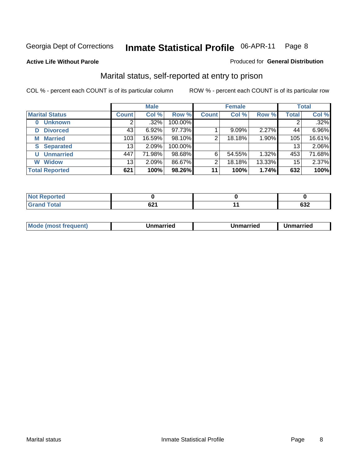#### **Active Life Without Parole**

#### Produced for **General Distribution**

#### Marital status, self-reported at entry to prison

|                        | <b>Male</b>  |         |         | <b>Female</b>  |        |        | <b>Total</b> |        |
|------------------------|--------------|---------|---------|----------------|--------|--------|--------------|--------|
| <b>Marital Status</b>  | <b>Count</b> | Col %   | Row %   | <b>Count</b>   | Col %  | Row %  | <b>Total</b> | Col %  |
| <b>Unknown</b><br>0    |              | $.32\%$ | 100.00% |                |        |        | 2            | .32%   |
| <b>Divorced</b><br>D   | 43           | 6.92%   | 97.73%  |                | 9.09%  | 2.27%  | 44           | 6.96%  |
| <b>Married</b><br>М    | 103          | 16.59%  | 98.10%  | $\overline{2}$ | 18.18% | 1.90%  | 105          | 16.61% |
| <b>Separated</b><br>S. | 13           | 2.09%   | 100.00% |                |        |        | 13           | 2.06%  |
| <b>Unmarried</b><br>U  | 447          | 71.98%  | 98.68%  | 6              | 54.55% | 1.32%  | 453          | 71.68% |
| <b>Widow</b><br>W      | 13           | 2.09%   | 86.67%  | 2              | 18.18% | 13.33% | 15           | 2.37%  |
| <b>Total Reported</b>  | 621          | 100%    | 98.26%  | 11             | 100%   | 1.74%  | 632          | 100%   |

| المستسلمات<br>τeα<br>N0<br>. |             |        |
|------------------------------|-------------|--------|
| $int^{\bullet}$              | co.         | $\sim$ |
| υιαι                         | <b>UZ</b> 1 | ∠כס    |

|  | Mode<br>(most frequent) | Jnmarried | Unmarried | Jnmarried |
|--|-------------------------|-----------|-----------|-----------|
|--|-------------------------|-----------|-----------|-----------|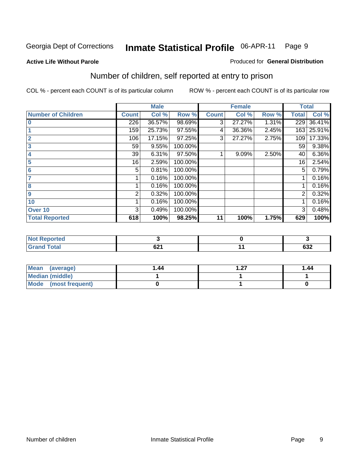#### **Active Life Without Parole**

#### Produced for **General Distribution**

## Number of children, self reported at entry to prison

|                           |                | <b>Male</b> |         |              | <b>Female</b> |       | <b>Total</b>   |        |
|---------------------------|----------------|-------------|---------|--------------|---------------|-------|----------------|--------|
| <b>Number of Children</b> | <b>Count</b>   | Col %       | Row %   | <b>Count</b> | Col %         | Row % | <b>Total</b>   | Col %  |
| $\bf{0}$                  | 226            | 36.57%      | 98.69%  | 3            | 27.27%        | 1.31% | 229            | 36.41% |
|                           | 159            | 25.73%      | 97.55%  | 4            | 36.36%        | 2.45% | 163            | 25.91% |
| $\overline{2}$            | 106            | 17.15%      | 97.25%  | 3            | 27.27%        | 2.75% | 109            | 17.33% |
| 3                         | 59             | 9.55%       | 100.00% |              |               |       | 59             | 9.38%  |
| 4                         | 39             | 6.31%       | 97.50%  |              | 9.09%         | 2.50% | 40             | 6.36%  |
| 5                         | 16             | 2.59%       | 100.00% |              |               |       | 16             | 2.54%  |
| $6\phantom{a}$            | 5              | 0.81%       | 100.00% |              |               |       | 5              | 0.79%  |
| 7                         |                | 0.16%       | 100.00% |              |               |       |                | 0.16%  |
| 8                         |                | 0.16%       | 100.00% |              |               |       |                | 0.16%  |
| 9                         | $\overline{2}$ | 0.32%       | 100.00% |              |               |       | $\overline{2}$ | 0.32%  |
| 10                        |                | 0.16%       | 100.00% |              |               |       |                | 0.16%  |
| Over 10                   | 3              | 0.49%       | 100.00% |              |               |       | 3              | 0.48%  |
| <b>Total Reported</b>     | 618            | 100%        | 98.25%  | 11           | 100%          | 1.75% | 629            | 100%   |

| <b>POLLED</b><br>. |      |        |
|--------------------|------|--------|
| <b>otal</b>        | ົາ   | $\sim$ |
| $\mathbf{v}$ and   | VŁ I | ⊿כּס   |

| Mean<br>(average)       | 1.44 | דר | 1.44 |
|-------------------------|------|----|------|
| <b>Median (middle)</b>  |      |    |      |
| Mode<br>(most frequent) |      |    |      |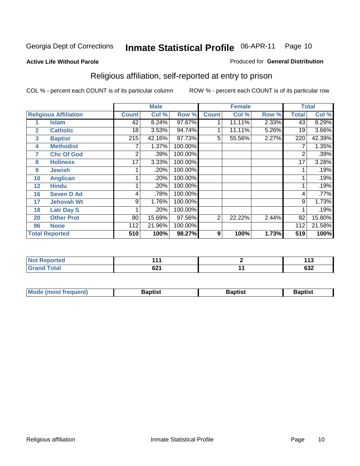#### **Active Life Without Parole**

#### Produced for **General Distribution**

## Religious affiliation, self-reported at entry to prison

|                |                              |              | <b>Male</b> |         |                | <b>Female</b> |       |              | <b>Total</b> |
|----------------|------------------------------|--------------|-------------|---------|----------------|---------------|-------|--------------|--------------|
|                | <b>Religious Affiliation</b> | <b>Count</b> | Col %       | Row %   | <b>Count</b>   | Col %         | Row % | <b>Total</b> | Col %        |
|                | <b>Islam</b>                 | 42           | 8.24%       | 97.67%  |                | 11.11%        | 2.33% | 43           | 8.29%        |
| $\overline{2}$ | <b>Catholic</b>              | 18           | 3.53%       | 94.74%  |                | 11.11%        | 5.26% | 19           | 3.66%        |
| 3              | <b>Baptist</b>               | 215          | 42.16%      | 97.73%  | 5              | 55.56%        | 2.27% | 220          | 42.39%       |
| 4              | <b>Methodist</b>             |              | 1.37%       | 100.00% |                |               |       | 7            | 1.35%        |
| 7              | <b>Chc Of God</b>            | 2            | .39%        | 100.00% |                |               |       | 2            | .39%         |
| 8              | <b>Holiness</b>              | 17           | 3.33%       | 100.00% |                |               |       | 17           | 3.28%        |
| 9              | <b>Jewish</b>                |              | .20%        | 100.00% |                |               |       |              | .19%         |
| 10             | <b>Anglican</b>              |              | .20%        | 100.00% |                |               |       |              | .19%         |
| 12             | <b>Hindu</b>                 |              | .20%        | 100.00% |                |               |       |              | .19%         |
| 16             | <b>Seven D Ad</b>            | 4            | .78%        | 100.00% |                |               |       | 4            | .77%         |
| 17             | <b>Jehovah Wt</b>            | 9            | 1.76%       | 100.00% |                |               |       | 9            | 1.73%        |
| 18             | <b>Latr Day S</b>            |              | .20%        | 100.00% |                |               |       |              | .19%         |
| 20             | <b>Other Prot</b>            | 80           | 15.69%      | 97.56%  | $\overline{2}$ | 22.22%        | 2.44% | 82           | 15.80%       |
| 96             | <b>None</b>                  | 112          | 21.96%      | 100.00% |                |               |       | 112          | 21.58%       |
|                | <b>Total Reported</b>        | 510          | 100%        | 98.27%  | 9              | 100%          | 1.73% | 519          | 100%         |

| <u>ica</u><br>. | . .<br>.<br>- - - | .<br>יי |
|-----------------|-------------------|---------|
| $-4-$           | cn4               | $\sim$  |
|                 | $\sim$            | νυ∠     |

| <b>Mode (most frequent)</b> | Baptist | Baptist | 3aptist |
|-----------------------------|---------|---------|---------|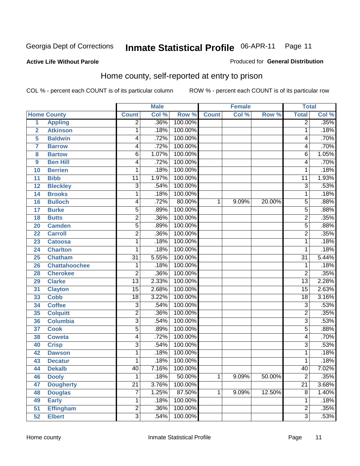#### **Active Life Without Parole**

#### Produced for **General Distribution**

#### Home county, self-reported at entry to prison

|                |                      |                         | <b>Male</b> |         |              | <b>Female</b> |        | <b>Total</b>    |       |
|----------------|----------------------|-------------------------|-------------|---------|--------------|---------------|--------|-----------------|-------|
|                | <b>Home County</b>   | <b>Count</b>            | Col %       | Row %   | <b>Count</b> | Col %         | Row %  | <b>Total</b>    | Col % |
| 1              | <b>Appling</b>       | $\overline{2}$          | .36%        | 100.00% |              |               |        | $\overline{2}$  | .35%  |
| $\overline{2}$ | <b>Atkinson</b>      | 1                       | .18%        | 100.00% |              |               |        | 1               | .18%  |
| 5              | <b>Baldwin</b>       | 4                       | .72%        | 100.00% |              |               |        | 4               | .70%  |
| 7              | <b>Barrow</b>        | 4                       | .72%        | 100.00% |              |               |        | 4               | .70%  |
| 8              | <b>Bartow</b>        | 6                       | 1.07%       | 100.00% |              |               |        | 6               | 1.05% |
| 9              | <b>Ben Hill</b>      | 4                       | .72%        | 100.00% |              |               |        | 4               | .70%  |
| 10             | <b>Berrien</b>       | 1                       | .18%        | 100.00% |              |               |        | 1               | .18%  |
| 11             | <b>Bibb</b>          | 11                      | 1.97%       | 100.00% |              |               |        | 11              | 1.93% |
| 12             | <b>Bleckley</b>      | $\overline{3}$          | .54%        | 100.00% |              |               |        | 3               | .53%  |
| 14             | <b>Brooks</b>        | 1                       | .18%        | 100.00% |              |               |        | 1               | .18%  |
| 16             | <b>Bulloch</b>       | 4                       | .72%        | 80.00%  | 1            | 9.09%         | 20.00% | 5               | .88%  |
| 17             | <b>Burke</b>         | $\overline{5}$          | .89%        | 100.00% |              |               |        | 5               | .88%  |
| 18             | <b>Butts</b>         | $\overline{\mathbf{c}}$ | .36%        | 100.00% |              |               |        | $\overline{2}$  | .35%  |
| 20             | <b>Camden</b>        | 5                       | .89%        | 100.00% |              |               |        | $\overline{5}$  | .88%  |
| 22             | <b>Carroll</b>       | $\overline{2}$          | .36%        | 100.00% |              |               |        | $\overline{2}$  | .35%  |
| 23             | <b>Catoosa</b>       | 1                       | .18%        | 100.00% |              |               |        | 1               | .18%  |
| 24             | <b>Charlton</b>      | 1                       | .18%        | 100.00% |              |               |        | 1               | .18%  |
| 25             | <b>Chatham</b>       | $\overline{31}$         | 5.55%       | 100.00% |              |               |        | $\overline{31}$ | 5.44% |
| 26             | <b>Chattahoochee</b> | 1                       | .18%        | 100.00% |              |               |        | 1               | .18%  |
| 28             | <b>Cherokee</b>      | $\overline{2}$          | .36%        | 100.00% |              |               |        | $\overline{2}$  | .35%  |
| 29             | <b>Clarke</b>        | $\overline{13}$         | 2.33%       | 100.00% |              |               |        | $\overline{13}$ | 2.28% |
| 31             | <b>Clayton</b>       | $\overline{15}$         | 2.68%       | 100.00% |              |               |        | $\overline{15}$ | 2.63% |
| 33             | <b>Cobb</b>          | $\overline{18}$         | 3.22%       | 100.00% |              |               |        | $\overline{18}$ | 3.16% |
| 34             | <b>Coffee</b>        | 3                       | .54%        | 100.00% |              |               |        | 3               | .53%  |
| 35             | <b>Colquitt</b>      | $\overline{\mathbf{c}}$ | .36%        | 100.00% |              |               |        | $\overline{2}$  | .35%  |
| 36             | <b>Columbia</b>      | $\overline{3}$          | .54%        | 100.00% |              |               |        | $\overline{3}$  | .53%  |
| 37             | <b>Cook</b>          | $\overline{5}$          | .89%        | 100.00% |              |               |        | $\overline{5}$  | .88%  |
| 38             | <b>Coweta</b>        | 4                       | .72%        | 100.00% |              |               |        | 4               | .70%  |
| 40             | <b>Crisp</b>         | $\overline{3}$          | .54%        | 100.00% |              |               |        | 3               | .53%  |
| 42             | <b>Dawson</b>        | 1                       | .18%        | 100.00% |              |               |        | 1               | .18%  |
| 43             | <b>Decatur</b>       | 1                       | .18%        | 100.00% |              |               |        | 1               | .18%  |
| 44             | <b>Dekalb</b>        | 40                      | 7.16%       | 100.00% |              |               |        | 40              | 7.02% |
| 46             | <b>Dooly</b>         | 1                       | .18%        | 50.00%  | $\mathbf{1}$ | 9.09%         | 50.00% | $\overline{2}$  | .35%  |
| 47             | <b>Dougherty</b>     | $\overline{21}$         | 3.76%       | 100.00% |              |               |        | $\overline{21}$ | 3.68% |
| 48             | <b>Douglas</b>       | 7                       | 1.25%       | 87.50%  | $\mathbf{1}$ | 9.09%         | 12.50% | $\overline{8}$  | 1.40% |
| 49             | <b>Early</b>         | 1                       | .18%        | 100.00% |              |               |        | 1               | .18%  |
| 51             | <b>Effingham</b>     | $\overline{2}$          | .36%        | 100.00% |              |               |        | $\overline{2}$  | .35%  |
| 52             | <b>Elbert</b>        | $\overline{3}$          | .54%        | 100.00% |              |               |        | $\overline{3}$  | .53%  |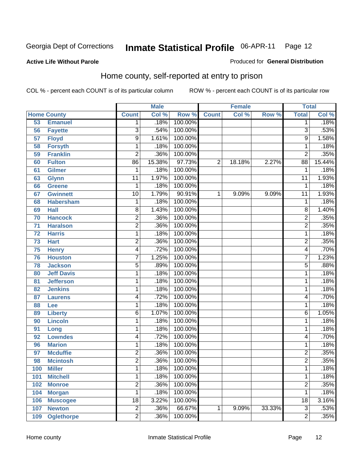Produced for **General Distribution**

#### **Active Life Without Parole**

## Home county, self-reported at entry to prison

|     |                    |                 | <b>Male</b> |         |                | <b>Female</b> |        | <b>Total</b>    |        |
|-----|--------------------|-----------------|-------------|---------|----------------|---------------|--------|-----------------|--------|
|     | <b>Home County</b> | <b>Count</b>    | Col %       | Row %   | <b>Count</b>   | Col %         | Row %  | <b>Total</b>    | Col %  |
| 53  | <b>Emanuel</b>     | $\mathbf 1$     | .18%        | 100.00% |                |               |        | 1               | .18%   |
| 56  | <b>Fayette</b>     | $\overline{3}$  | .54%        | 100.00% |                |               |        | 3               | .53%   |
| 57  | <b>Floyd</b>       | $\overline{9}$  | 1.61%       | 100.00% |                |               |        | 9               | 1.58%  |
| 58  | <b>Forsyth</b>     | 1               | .18%        | 100.00% |                |               |        | 1               | .18%   |
| 59  | <b>Franklin</b>    | $\overline{2}$  | .36%        | 100.00% |                |               |        | $\overline{2}$  | .35%   |
| 60  | <b>Fulton</b>      | $\overline{86}$ | 15.38%      | 97.73%  | $\overline{2}$ | 18.18%        | 2.27%  | $\overline{88}$ | 15.44% |
| 61  | <b>Gilmer</b>      | 1               | .18%        | 100.00% |                |               |        | 1               | .18%   |
| 63  | <b>Glynn</b>       | 11              | 1.97%       | 100.00% |                |               |        | 11              | 1.93%  |
| 66  | <b>Greene</b>      | 1               | .18%        | 100.00% |                |               |        | 1               | .18%   |
| 67  | <b>Gwinnett</b>    | 10              | 1.79%       | 90.91%  | 1              | 9.09%         | 9.09%  | 11              | 1.93%  |
| 68  | <b>Habersham</b>   | $\mathbf 1$     | .18%        | 100.00% |                |               |        | 1               | .18%   |
| 69  | <b>Hall</b>        | $\overline{8}$  | 1.43%       | 100.00% |                |               |        | 8               | 1.40%  |
| 70  | <b>Hancock</b>     | $\overline{2}$  | .36%        | 100.00% |                |               |        | $\overline{2}$  | .35%   |
| 71  | <b>Haralson</b>    | $\overline{2}$  | .36%        | 100.00% |                |               |        | $\overline{2}$  | .35%   |
| 72  | <b>Harris</b>      | $\mathbf 1$     | .18%        | 100.00% |                |               |        | 1               | .18%   |
| 73  | <b>Hart</b>        | $\overline{c}$  | .36%        | 100.00% |                |               |        | $\overline{2}$  | .35%   |
| 75  | <b>Henry</b>       | $\overline{4}$  | .72%        | 100.00% |                |               |        | 4               | .70%   |
| 76  | <b>Houston</b>     | $\overline{7}$  | 1.25%       | 100.00% |                |               |        | $\overline{7}$  | 1.23%  |
| 78  | <b>Jackson</b>     | $\overline{5}$  | .89%        | 100.00% |                |               |        | $\overline{5}$  | .88%   |
| 80  | <b>Jeff Davis</b>  | 1               | .18%        | 100.00% |                |               |        | 1               | .18%   |
| 81  | <b>Jefferson</b>   | $\mathbf 1$     | .18%        | 100.00% |                |               |        | 1               | .18%   |
| 82  | <b>Jenkins</b>     | 1               | .18%        | 100.00% |                |               |        | 1               | .18%   |
| 87  | <b>Laurens</b>     | 4               | .72%        | 100.00% |                |               |        | 4               | .70%   |
| 88  | Lee                | 1               | .18%        | 100.00% |                |               |        | 1               | .18%   |
| 89  | <b>Liberty</b>     | 6               | 1.07%       | 100.00% |                |               |        | 6               | 1.05%  |
| 90  | <b>Lincoln</b>     | 1               | .18%        | 100.00% |                |               |        | 1               | .18%   |
| 91  | Long               | $\mathbf 1$     | .18%        | 100.00% |                |               |        | 1               | .18%   |
| 92  | <b>Lowndes</b>     | 4               | .72%        | 100.00% |                |               |        | 4               | .70%   |
| 96  | <b>Marion</b>      | $\mathbf 1$     | .18%        | 100.00% |                |               |        | 1               | .18%   |
| 97  | <b>Mcduffie</b>    | $\overline{2}$  | .36%        | 100.00% |                |               |        | $\overline{2}$  | .35%   |
| 98  | <b>Mcintosh</b>    | $\overline{2}$  | .36%        | 100.00% |                |               |        | $\overline{2}$  | .35%   |
| 100 | <b>Miller</b>      | 1               | .18%        | 100.00% |                |               |        | 1               | .18%   |
| 101 | <b>Mitchell</b>    | 1               | .18%        | 100.00% |                |               |        | 1               | .18%   |
| 102 | <b>Monroe</b>      | $\overline{2}$  | .36%        | 100.00% |                |               |        | $\overline{2}$  | .35%   |
| 104 | <b>Morgan</b>      | 1               | .18%        | 100.00% |                |               |        | 1               | .18%   |
| 106 | <b>Muscogee</b>    | 18              | 3.22%       | 100.00% |                |               |        | 18              | 3.16%  |
| 107 | <b>Newton</b>      | $\overline{2}$  | .36%        | 66.67%  | 1              | 9.09%         | 33.33% | $\overline{3}$  | .53%   |
| 109 | <b>Oglethorpe</b>  | $\overline{2}$  | .36%        | 100.00% |                |               |        | $\overline{2}$  | .35%   |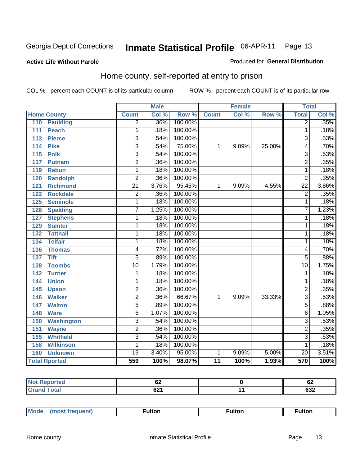#### **Active Life Without Parole**

#### Produced for **General Distribution**

#### Home county, self-reported at entry to prison

|                         |                 | <b>Male</b> |         |              | <b>Female</b> |        | <b>Total</b>    |       |
|-------------------------|-----------------|-------------|---------|--------------|---------------|--------|-----------------|-------|
| <b>Home County</b>      | <b>Count</b>    | Col %       | Row %   | <b>Count</b> | Col %         | Row %  | <b>Total</b>    | Col % |
| 110<br><b>Paulding</b>  | $\overline{2}$  | .36%        | 100.00% |              |               |        | $\overline{2}$  | .35%  |
| <b>Peach</b><br>111     | 1               | .18%        | 100.00% |              |               |        | 1               | .18%  |
| <b>Pierce</b><br>113    | $\overline{3}$  | .54%        | 100.00% |              |               |        | $\overline{3}$  | .53%  |
| <b>Pike</b><br>114      | $\overline{3}$  | .54%        | 75.00%  | 1            | 9.09%         | 25.00% | 4               | .70%  |
| 115<br><b>Polk</b>      | $\overline{3}$  | .54%        | 100.00% |              |               |        | 3               | .53%  |
| Putnam<br>117           | $\overline{2}$  | .36%        | 100.00% |              |               |        | $\overline{2}$  | .35%  |
| 119<br><b>Rabun</b>     | $\mathbf{1}$    | .18%        | 100.00% |              |               |        | 1               | .18%  |
| <b>Randolph</b><br>120  | $\overline{2}$  | .36%        | 100.00% |              |               |        | $\overline{2}$  | .35%  |
| 121<br><b>Richmond</b>  | $\overline{21}$ | 3.76%       | 95.45%  | 1            | 9.09%         | 4.55%  | $\overline{22}$ | 3.86% |
| <b>Rockdale</b><br>122  | $\overline{2}$  | .36%        | 100.00% |              |               |        | $\overline{2}$  | .35%  |
| 125<br><b>Seminole</b>  | $\overline{1}$  | .18%        | 100.00% |              |               |        | $\overline{1}$  | .18%  |
| <b>Spalding</b><br>126  | $\overline{7}$  | 1.25%       | 100.00% |              |               |        | 7               | 1.23% |
| 127<br><b>Stephens</b>  | 1               | .18%        | 100.00% |              |               |        | 1               | .18%  |
| 129<br><b>Sumter</b>    | 1               | .18%        | 100.00% |              |               |        | 1               | .18%  |
| <b>Tattnall</b><br>132  | 1               | .18%        | 100.00% |              |               |        | 1               | .18%  |
| <b>Telfair</b><br>134   | 1               | .18%        | 100.00% |              |               |        | 1               | .18%  |
| 136<br><b>Thomas</b>    | 4               | .72%        | 100.00% |              |               |        | 4               | .70%  |
| <b>Tift</b><br>137      | $\overline{5}$  | .89%        | 100.00% |              |               |        | $\overline{5}$  | .88%  |
| <b>Toombs</b><br>138    | $\overline{10}$ | 1.79%       | 100.00% |              |               |        | $\overline{10}$ | 1.75% |
| 142<br><b>Turner</b>    | 1               | .18%        | 100.00% |              |               |        | 1               | .18%  |
| 144<br><b>Union</b>     | 1               | .18%        | 100.00% |              |               |        | 1               | .18%  |
| 145<br><b>Upson</b>     | $\overline{2}$  | .36%        | 100.00% |              |               |        | $\overline{2}$  | .35%  |
| <b>Walker</b><br>146    | $\overline{2}$  | .36%        | 66.67%  | 1            | 9.09%         | 33.33% | $\overline{3}$  | .53%  |
| <b>Walton</b><br>147    | $\overline{5}$  | .89%        | 100.00% |              |               |        | $\overline{5}$  | .88%  |
| 148<br><b>Ware</b>      | $\overline{6}$  | 1.07%       | 100.00% |              |               |        | $\overline{6}$  | 1.05% |
| 150<br>Washington       | $\overline{3}$  | .54%        | 100.00% |              |               |        | $\overline{3}$  | .53%  |
| 151<br><b>Wayne</b>     | $\overline{2}$  | .36%        | 100.00% |              |               |        | $\overline{2}$  | .35%  |
| <b>Whitfield</b><br>155 | $\overline{3}$  | .54%        | 100.00% |              |               |        | $\overline{3}$  | .53%  |
| <b>Wilkinson</b><br>158 | 1               | .18%        | 100.00% |              |               |        | 1               | .18%  |
| <b>Unknown</b><br>160   | $\overline{19}$ | 3.40%       | 95.00%  | 1            | 9.09%         | 5.00%  | $\overline{20}$ | 3.51% |
| <b>Total Rported</b>    | 559             | 100%        | 98.07%  | 11           | 100%          | 1.93%  | 570             | 100%  |

| <b>Reported</b><br>. | VŁ          | υ∠            |
|----------------------|-------------|---------------|
| 'otal                | cn4<br>UZ I | $\sim$<br>⊽ວ∠ |

| Mode | ulton | <b>ulton</b> | ultor |
|------|-------|--------------|-------|
|      |       |              |       |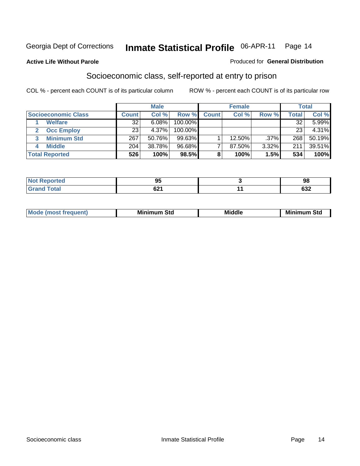#### **Active Life Without Parole**

#### Produced for **General Distribution**

#### Socioeconomic class, self-reported at entry to prison

|                            |       | <b>Male</b> |            |              | <b>Female</b> |         |       | <b>Total</b> |
|----------------------------|-------|-------------|------------|--------------|---------------|---------|-------|--------------|
| <b>Socioeconomic Class</b> | Count | Col %       | Row %      | <b>Count</b> | Col %         | Row %   | Total | Col %        |
| <b>Welfare</b>             | 32    | 6.08%       | $100.00\%$ |              |               |         | 32    | 5.99%        |
| <b>Occ Employ</b>          | 23    | 4.37%       | $100.00\%$ |              |               |         | 23    | 4.31%        |
| <b>Minimum Std</b>         | 267   | 50.76%      | 99.63%     |              | 12.50%        | $.37\%$ | 268   | 50.19%       |
| <b>Middle</b>              | 204   | 38.78%      | 96.68%     |              | 87.50%        | 3.32%   | 211   | 39.51%       |
| <b>Total Reported</b>      | 526   | 100%        | 98.5%      |              | 100%          | 1.5%    | 534   | 100%         |

| <b>Contractor</b><br>тес | - -<br>DИ<br>ಶಾ | ΩS<br>IJС                |
|--------------------------|-----------------|--------------------------|
| $f \wedge f \wedge f$    | $\sim$<br>94 I  | <b>000</b><br><b>OJZ</b> |

| .<br>___ |
|----------|
|----------|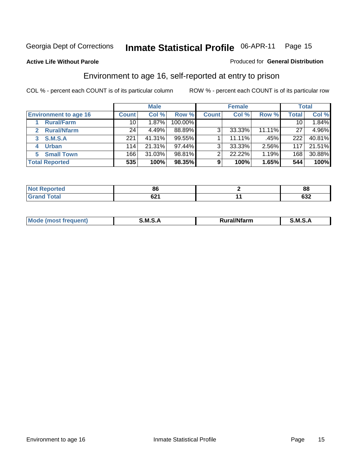#### **Active Life Without Parole**

#### Produced for **General Distribution**

#### Environment to age 16, self-reported at entry to prison

|                              | <b>Male</b>     |        | <b>Female</b> |              |        | <b>Total</b> |              |        |
|------------------------------|-----------------|--------|---------------|--------------|--------|--------------|--------------|--------|
| <b>Environment to age 16</b> | <b>Count</b>    | Col %  | Row %         | <b>Count</b> | Col %  | Row %        | <b>Total</b> | Col %  |
| <b>Rural/Farm</b>            | 10 <sup>1</sup> | 1.87%  | 100.00%       |              |        |              | 10           | 1.84%  |
| <b>Rural/Nfarm</b>           | 24              | 4.49%  | 88.89%        | 3            | 33.33% | 11.11%       | 27           | 4.96%  |
| <b>S.M.S.A</b>               | 221             | 41.31% | 99.55%        |              | 11.11% | .45%         | 222          | 40.81% |
| <b>Urban</b><br>4            | 114             | 21.31% | 97.44%        | 3            | 33.33% | 2.56%        | 117          | 21.51% |
| <b>Small Town</b>            | 166             | 31.03% | 98.81%        | ◠            | 22.22% | 1.19%        | 168          | 30.88% |
| <b>Total Reported</b>        | 535             | 100%   | 98.35%        | 9            | 100%   | 1.65%        | 544          | 100%   |

| <b>orted</b> | 86   | c.<br>oo |
|--------------|------|----------|
| <b>Total</b> | ົ້   | coa      |
| Grand        | VZ I | ∠כּס     |

| 1.11<br>Mo<br>M S<br>M<br>_____<br>______ |  |  |
|-------------------------------------------|--|--|
|                                           |  |  |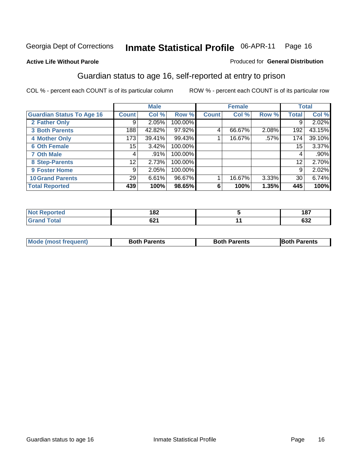Produced for **General Distribution**

#### **Active Life Without Parole**

#### Guardian status to age 16, self-reported at entry to prison

|                                  |              | <b>Male</b> |         |              | <b>Female</b> |       |              | <b>Total</b> |
|----------------------------------|--------------|-------------|---------|--------------|---------------|-------|--------------|--------------|
| <b>Guardian Status To Age 16</b> | <b>Count</b> | Col %       | Row %   | <b>Count</b> | Col %         | Row % | <b>Total</b> | Col %        |
| 2 Father Only                    | 9            | 2.05%       | 100.00% |              |               |       | 9            | 2.02%        |
| <b>3 Both Parents</b>            | 188          | 42.82%      | 97.92%  | 4            | 66.67%        | 2.08% | 192          | 43.15%       |
| <b>4 Mother Only</b>             | 173          | 39.41%      | 99.43%  |              | 16.67%        | .57%  | 174          | 39.10%       |
| <b>6 Oth Female</b>              | 15           | 3.42%       | 100.00% |              |               |       | 15           | 3.37%        |
| <b>7 Oth Male</b>                | 4            | $.91\%$     | 100.00% |              |               |       | 4            | .90%         |
| 8 Step-Parents                   | 12           | 2.73%       | 100.00% |              |               |       | 12           | 2.70%        |
| 9 Foster Home                    | 9            | 2.05%       | 100.00% |              |               |       | 9            | 2.02%        |
| <b>10 Grand Parents</b>          | 29           | 6.61%       | 96.67%  |              | 16.67%        | 3.33% | 30           | 6.74%        |
| <b>Total Reported</b>            | 439          | 100%        | 98.65%  | 6            | 100%          | 1.35% | 445          | 100%         |

| രറ<br>. OZ                          | 187          |
|-------------------------------------|--------------|
| <b>CO.</b><br>04 I<br>$\sim$ $\sim$ | $\sim$<br>פט |

| <b>Mode (most frequent)</b> | <b>Both Parents</b> | <b>Both Parents</b> | <b>Both Parents</b> |
|-----------------------------|---------------------|---------------------|---------------------|
|                             |                     |                     |                     |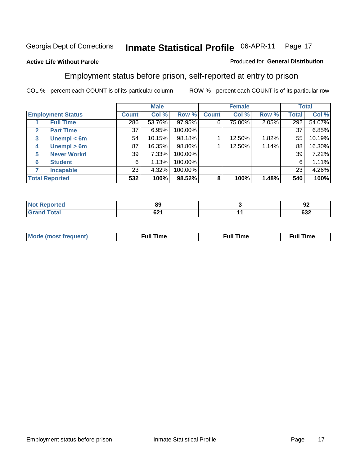#### **Active Life Without Parole**

#### Produced for **General Distribution**

#### Employment status before prison, self-reported at entry to prison

|              |                          |              | <b>Male</b> |         |              | <b>Female</b> |       |              | <b>Total</b> |
|--------------|--------------------------|--------------|-------------|---------|--------------|---------------|-------|--------------|--------------|
|              | <b>Employment Status</b> | <b>Count</b> | Col %       | Row %   | <b>Count</b> | Col %         | Row % | <b>Total</b> | Col %        |
|              | <b>Full Time</b>         | 286          | 53.76%      | 97.95%  | 6            | 75.00%        | 2.05% | 292          | 54.07%       |
| $\mathbf{2}$ | <b>Part Time</b>         | 37           | 6.95%       | 100.00% |              |               |       | 37           | 6.85%        |
| 3            | Unempl $<$ 6m            | 54           | 10.15%      | 98.18%  |              | 12.50%        | 1.82% | 55           | 10.19%       |
| 4            | Unempl $> 6m$            | 87           | 16.35%      | 98.86%  |              | 12.50%        | 1.14% | 88           | 16.30%       |
| 5            | <b>Never Workd</b>       | 39           | 7.33%       | 100.00% |              |               |       | 39           | 7.22%        |
| 6            | <b>Student</b>           | 6            | 1.13%       | 100.00% |              |               |       | 6            | 1.11%        |
|              | <b>Incapable</b>         | 23           | 4.32%       | 100.00% |              |               |       | 23           | 4.26%        |
|              | <b>Total Reported</b>    | 532          | 100%        | 98.52%  | 8            | 100%          | 1.48% | 540          | 100%         |

| тес.    | ΩC<br>oa | - -<br>n'<br>JŁ |
|---------|----------|-----------------|
| Coto!   | $\sim$   | coo             |
| _______ | UZ I     | פט              |

| <b>M</b> ດ | the contract of the contract of the contract of the contract of the contract of the contract of the contract of | , ull i<br>ıme<br>the contract of the contract of the contract of the contract of the contract of the contract of the contract of | ïme<br>uı<br>$\sim$ $\sim$ $\sim$ $\sim$ $\sim$ |
|------------|-----------------------------------------------------------------------------------------------------------------|-----------------------------------------------------------------------------------------------------------------------------------|-------------------------------------------------|
|            |                                                                                                                 |                                                                                                                                   |                                                 |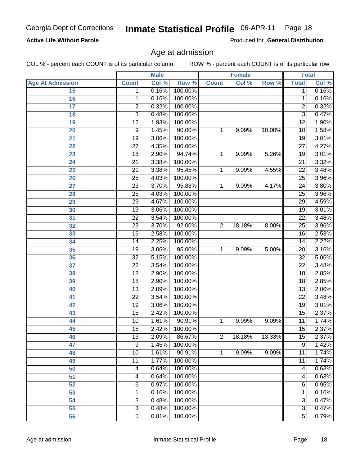#### **Active Life Without Parole**

Produced for **General Distribution**

#### Age at admission

|                         |                 | <b>Male</b> |         |              | <b>Female</b> |        |                 | <b>Total</b>        |
|-------------------------|-----------------|-------------|---------|--------------|---------------|--------|-----------------|---------------------|
| <b>Age At Admission</b> | <b>Count</b>    | Col %       | Row %   | <b>Count</b> | Col %         | Row %  | <b>Total</b>    | Col %               |
| 15                      | 1               | 0.16%       | 100.00% |              |               |        | 1               | 0.16%               |
| 16                      | 1               | 0.16%       | 100.00% |              |               |        | 1               | 0.16%               |
| 17                      | 2               | 0.32%       | 100.00% |              |               |        | $\overline{2}$  | 0.32%               |
| 18                      | $\overline{3}$  | 0.48%       | 100.00% |              |               |        | $\overline{3}$  | 0.47%               |
| 19                      | $\overline{12}$ | 1.93%       | 100.00% |              |               |        | $\overline{12}$ | 1.90%               |
| 20                      | 9               | 1.45%       | 90.00%  | 1            | 9.09%         | 10.00% | 10              | 1.58%               |
| 21                      | $\overline{19}$ | 3.06%       | 100.00% |              |               |        | $\overline{19}$ | 3.01%               |
| 22                      | $\overline{27}$ | 4.35%       | 100.00% |              |               |        | $\overline{27}$ | 4.27%               |
| 23                      | 18              | 2.90%       | 94.74%  | 1            | 9.09%         | 5.26%  | 19              | 3.01%               |
| 24                      | $\overline{21}$ | 3.38%       | 100.00% |              |               |        | 21              | 3.32%               |
| 25                      | $\overline{21}$ | 3.38%       | 95.45%  | 1            | 9.09%         | 4.55%  | $\overline{22}$ | 3.48%               |
| 26                      | $\overline{25}$ | 4.03%       | 100.00% |              |               |        | $\overline{25}$ | 3.96%               |
| 27                      | $\overline{23}$ | 3.70%       | 95.83%  | 1            | 9.09%         | 4.17%  | $\overline{24}$ | 3.80%               |
| 28                      | $\overline{25}$ | 4.03%       | 100.00% |              |               |        | $\overline{25}$ | 3.96%               |
| 29                      | $\overline{29}$ | 4.67%       | 100.00% |              |               |        | $\overline{29}$ | 4.59%               |
| 30                      | 19              | 3.06%       | 100.00% |              |               |        | 19              | 3.01%               |
| 31                      | $\overline{22}$ | 3.54%       | 100.00% |              |               |        | $\overline{22}$ | 3.48%               |
| 32                      | $\overline{23}$ | 3.70%       | 92.00%  | 2            | 18.18%        | 8.00%  | 25              | 3.96%               |
| 33                      | $\overline{16}$ | 2.58%       | 100.00% |              |               |        | $\overline{16}$ | 2.53%               |
| 34                      | 14              | 2.25%       | 100.00% |              |               |        | 14              | 2.22%               |
| 35                      | $\overline{19}$ | 3.06%       | 95.00%  | 1            | 9.09%         | 5.00%  | $\overline{20}$ | 3.16%               |
| 36                      | $\overline{32}$ | 5.15%       | 100.00% |              |               |        | $\overline{32}$ | 5.06%               |
| 37                      | $\overline{22}$ | 3.54%       | 100.00% |              |               |        | $\overline{22}$ | 3.48%               |
| 38                      | 18              | 2.90%       | 100.00% |              |               |        | 18              | 2.85%               |
| 39                      | $\overline{18}$ | 2.90%       | 100.00% |              |               |        | 18              | 2.85%               |
| 40                      | 13              | 2.09%       | 100.00% |              |               |        | 13              | 2.06%               |
| 41                      | $\overline{22}$ | 3.54%       | 100.00% |              |               |        | $\overline{22}$ | 3.48%               |
| 42                      | 19              | 3.06%       | 100.00% |              |               |        | $\overline{19}$ | 3.01%               |
| 43                      | $\overline{15}$ | 2.42%       | 100.00% |              |               |        | $\overline{15}$ | 2.37%               |
| 44                      | 10              | 1.61%       | 90.91%  | 1            | 9.09%         | 9.09%  | 11              | 1.74%               |
| 45                      | $\overline{15}$ | 2.42%       | 100.00% |              |               |        | 15              | 2.37%               |
| 46                      | 13              | 2.09%       | 86.67%  | 2            | 18.18%        | 13.33% | 15              | 2.37%               |
| 47                      | $\overline{9}$  | 1.45%       | 100.00% |              |               |        | $\overline{9}$  | 1.42%               |
| 48                      | 10              | 1.61%       | 90.91%  | 1            | 9.09%         | 9.09%  | 11              | 1.74%               |
| 49                      | 11              | 1.77%       | 100.00% |              |               |        | 11              | 1.74%               |
| 50                      | 4               | 0.64%       | 100.00% |              |               |        | 4               | 0.63%               |
| 51                      | 4               | 0.64%       | 100.00% |              |               |        | 4               | 0.63%               |
| 52                      | 6               | 0.97%       | 100.00% |              |               |        | $\overline{6}$  | 0.95%               |
| 53                      | 1               | 0.16%       | 100.00% |              |               |        | 1               | 0.16%               |
| 54                      | 3               | 0.48%       | 100.00% |              |               |        | 3               | 0.47%               |
| 55                      | $\overline{3}$  | 0.48%       | 100.00% |              |               |        | $\overline{3}$  | 0.47%               |
| 56                      | $\overline{5}$  | 0.81%       | 100.00% |              |               |        | 5               | $\overline{0.79\%}$ |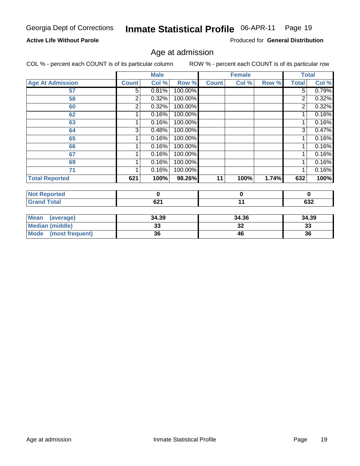#### **Active Life Without Parole**

Produced for **General Distribution**

#### Age at admission

|                                |              | <b>Male</b> |         |              | <b>Female</b> |       | <b>Total</b>   |             |
|--------------------------------|--------------|-------------|---------|--------------|---------------|-------|----------------|-------------|
| <b>Age At Admission</b>        | <b>Count</b> | Col %       | Row %   | <b>Count</b> | Col %         | Row % | <b>Total</b>   | Col %       |
| 57                             | 5            | 0.81%       | 100.00% |              |               |       | $\overline{5}$ | 0.79%       |
| 58                             | 2            | 0.32%       | 100.00% |              |               |       | 2              | 0.32%       |
| 60                             | 2            | 0.32%       | 100.00% |              |               |       | $\overline{2}$ | 0.32%       |
| 62                             |              | 0.16%       | 100.00% |              |               |       | 1              | 0.16%       |
| 63                             |              | 0.16%       | 100.00% |              |               |       | 1              | 0.16%       |
| 64                             | 3            | 0.48%       | 100.00% |              |               |       | 3              | 0.47%       |
| 65                             |              | 0.16%       | 100.00% |              |               |       | 1              | 0.16%       |
| 66                             |              | 0.16%       | 100.00% |              |               |       | 1              | 0.16%       |
| 67                             |              | 0.16%       | 100.00% |              |               |       | 1              | 0.16%       |
| 69                             |              | 0.16%       | 100.00% |              |               |       | 1              | 0.16%       |
| 71                             |              | 0.16%       | 100.00% |              |               |       | 1              | 0.16%       |
| <b>Total Reported</b>          | 621          | 100%        | 98.26%  | 11           | 100%          | 1.74% | 632            | 100%        |
|                                |              |             |         |              |               |       |                |             |
| <b>Not Reported</b>            |              | $\mathbf 0$ |         |              | $\pmb{0}$     |       |                | $\mathbf 0$ |
| <b>Grand Total</b>             |              | 621         |         |              | 11            |       |                | 632         |
|                                |              |             |         |              |               |       |                |             |
| <b>Mean</b><br>(average)       |              | 34.39       |         |              | 34.36         |       |                | 34.39       |
| <b>Median (middle)</b>         |              | 33          |         |              | 32            |       | 33             |             |
| <b>Mode</b><br>(most frequent) |              | 36          |         |              | 46            |       | 36             |             |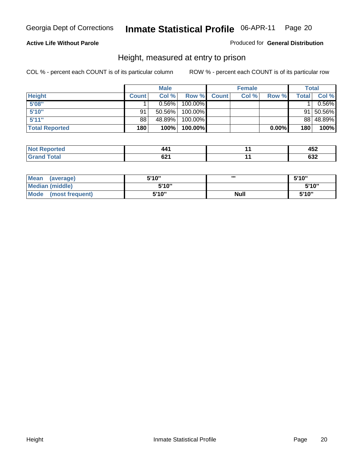#### **Active Life Without Parole**

#### Produced for **General Distribution**

#### Height, measured at entry to prison

|                       |              | <b>Male</b> |         |              | <b>Female</b> |          |        | Total           |
|-----------------------|--------------|-------------|---------|--------------|---------------|----------|--------|-----------------|
| <b>Height</b>         | <b>Count</b> | Col %       | Row %   | <b>Count</b> | Col %         | Row %    | Totall | Col %           |
| 5'08"                 |              | 0.56%       | 100.00% |              |               |          |        | $0.56\%$        |
| 5'10"                 | 91           | 50.56%      | 100.00% |              |               |          |        | $91   50.56\% $ |
| 5'11''                | 88           | 48.89%      | 100.00% |              |               |          |        | 88 48.89%       |
| <b>Total Reported</b> | 180          | 100%        | 100.00% |              |               | $0.00\%$ | 180    | 100%            |

| <b>Not</b>   | 40   | $\mathbf{A}$ |
|--------------|------|--------------|
| eported      |      | ™∸           |
| Total        | ົດ   | $\sim$       |
| <b>Grano</b> | 04 I | عدن          |

| <b>Mean</b><br>(average)       | 5'10" |      | 5'10" |
|--------------------------------|-------|------|-------|
| Median (middle)                | 5'10" |      | 5'10" |
| <b>Mode</b><br>(most frequent) | 5'10" | Null | 5'10" |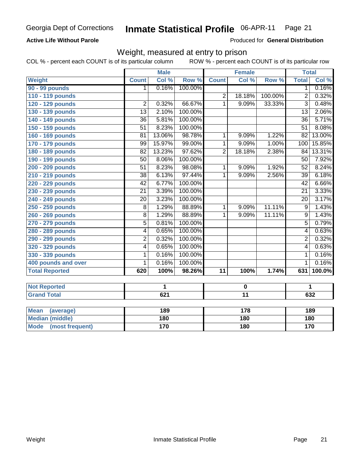#### **Active Life Without Parole**

Produced for **General Distribution**

#### Weight, measured at entry to prison

|                                |                 | <b>Male</b>      |         |                | <b>Female</b>   |         |                 | <b>Total</b>               |
|--------------------------------|-----------------|------------------|---------|----------------|-----------------|---------|-----------------|----------------------------|
| Weight                         | <b>Count</b>    | Col %            | Row %   | <b>Count</b>   | Col %           | Row %   | <b>Total</b>    | $\overline{\text{Col }\%}$ |
| 90 - 99 pounds                 | 1               | 0.16%            | 100.00% |                |                 |         | $\overline{1}$  | 0.16%                      |
| 110 - 119 pounds               |                 |                  |         | $\overline{2}$ | 18.18%          | 100.00% | $\overline{2}$  | 0.32%                      |
| 120 - 129 pounds               | $\overline{2}$  | 0.32%            | 66.67%  | $\overline{1}$ | 9.09%           | 33.33%  | $\overline{3}$  | 0.48%                      |
| 130 - 139 pounds               | $\overline{13}$ | 2.10%            | 100.00% |                |                 |         | $\overline{13}$ | 2.06%                      |
| 140 - 149 pounds               | $\overline{36}$ | 5.81%            | 100.00% |                |                 |         | $\overline{36}$ | 5.71%                      |
| 150 - 159 pounds               | $\overline{51}$ | 8.23%            | 100.00% |                |                 |         | $\overline{51}$ | 8.08%                      |
| 160 - 169 pounds               | $\overline{81}$ | 13.06%           | 98.78%  | 1              | 9.09%           | 1.22%   | 82              | 13.00%                     |
| 170 - 179 pounds               | $\overline{99}$ | 15.97%           | 99.00%  | $\overline{1}$ | 9.09%           | 1.00%   | 100             | 15.85%                     |
| 180 - 189 pounds               | $\overline{82}$ | 13.23%           | 97.62%  | $\overline{2}$ | 18.18%          | 2.38%   | 84              | 13.31%                     |
| 190 - 199 pounds               | $\overline{50}$ | 8.06%            | 100.00% |                |                 |         | $\overline{50}$ | 7.92%                      |
| 200 - 209 pounds               | $\overline{51}$ | 8.23%            | 98.08%  | 1              | 9.09%           | 1.92%   | $\overline{52}$ | 8.24%                      |
| 210 - 219 pounds               | $\overline{38}$ | 6.13%            | 97.44%  | $\overline{1}$ | 9.09%           | 2.56%   | $\overline{39}$ | 6.18%                      |
| 220 - 229 pounds               | $\overline{42}$ | 6.77%            | 100.00% |                |                 |         | 42              | 6.66%                      |
| 230 - 239 pounds               | $\overline{21}$ | 3.39%            | 100.00% |                |                 |         | $\overline{21}$ | 3.33%                      |
| 240 - 249 pounds               | $\overline{20}$ | 3.23%            | 100.00% |                |                 |         | $\overline{20}$ | 3.17%                      |
| 250 - 259 pounds               | $\overline{8}$  | 1.29%            | 88.89%  | 1              | 9.09%           | 11.11%  | $\overline{9}$  | 1.43%                      |
| 260 - 269 pounds               | $\overline{8}$  | 1.29%            | 88.89%  | $\overline{1}$ | 9.09%           | 11.11%  | $\overline{9}$  | 1.43%                      |
| 270 - 279 pounds               | $\overline{5}$  | 0.81%            | 100.00% |                |                 |         | $\overline{5}$  | 0.79%                      |
| 280 - 289 pounds               | 4               | 0.65%            | 100.00% |                |                 |         | 4               | 0.63%                      |
| 290 - 299 pounds               | $\overline{2}$  | 0.32%            | 100.00% |                |                 |         | $\overline{2}$  | 0.32%                      |
| 320 - 329 pounds               | 4               | 0.65%            | 100.00% |                |                 |         | $\overline{4}$  | 0.63%                      |
| 330 - 339 pounds               | 1               | 0.16%            | 100.00% |                |                 |         | $\mathbf{1}$    | 0.16%                      |
| 400 pounds and over            | 1               | 0.16%            | 100.00% |                |                 |         | $\overline{1}$  | 0.16%                      |
| <b>Total Reported</b>          | 620             | 100%             | 98.26%  | 11             | 100%            | 1.74%   | 631             | 100.0%                     |
|                                |                 |                  |         |                |                 |         |                 |                            |
| <b>Not Reported</b>            |                 | 1                |         |                | $\pmb{0}$       |         |                 | 1                          |
| <b>Grand Total</b>             |                 | $\overline{621}$ |         |                | $\overline{11}$ |         |                 | 632                        |
|                                |                 |                  |         |                |                 |         |                 |                            |
| <b>Mean</b><br>(average)       |                 | 189              |         |                | 178             |         |                 | 189                        |
| <b>Median (middle)</b>         |                 | 180              |         |                | 180             |         |                 | 180                        |
| <b>Mode</b><br>(most frequent) |                 | 170              |         |                | 180             |         |                 | 170                        |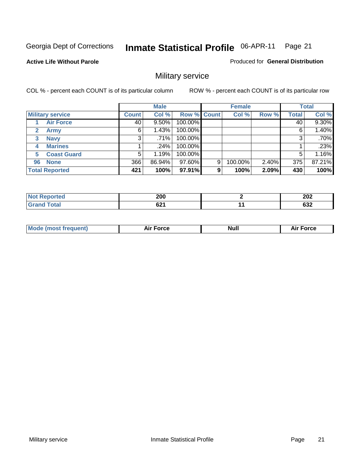**Active Life Without Parole** 

Produced for **General Distribution**

## Military service

|              |                         |              | <b>Male</b> |                    |   | <b>Female</b> |       |              | <b>Total</b> |
|--------------|-------------------------|--------------|-------------|--------------------|---|---------------|-------|--------------|--------------|
|              | <b>Military service</b> | <b>Count</b> | Col %       | <b>Row % Count</b> |   | Col %         | Row % | <b>Total</b> | Col %        |
|              | <b>Air Force</b>        | 40           | $9.50\%$    | 100.00%            |   |               |       | 40           | 9.30%        |
| $\mathbf{2}$ | <b>Army</b>             | 6            | 1.43%       | 100.00%            |   |               |       | 6            | 1.40%        |
| 3            | <b>Navy</b>             | 3            | $.71\%$     | 100.00%            |   |               |       | 3            | .70%         |
| 4            | <b>Marines</b>          |              | .24%        | 100.00%            |   |               |       |              | .23%         |
| 5            | <b>Coast Guard</b>      | 5            | 1.19%       | 100.00%            |   |               |       | 5            | 1.16%        |
| 96           | <b>None</b>             | 366          | 86.94%      | 97.60%             | 9 | 100.00%       | 2.40% | 375          | 87.21%       |
|              | <b>Total Reported</b>   | 421          | 100%        | 97.91%             | 9 | 100%          | 2.09% | 430          | 100%         |

| <b>rted</b><br><b>NI</b> | 200  | 202        |
|--------------------------|------|------------|
| otal                     | cn4  | <b>000</b> |
| $\sim$                   | 04 I | פט         |

|  | <b>Mode (most frequent)</b> | <b>Air Force</b> | <b>Null</b> | <b>Force</b><br>~ |
|--|-----------------------------|------------------|-------------|-------------------|
|--|-----------------------------|------------------|-------------|-------------------|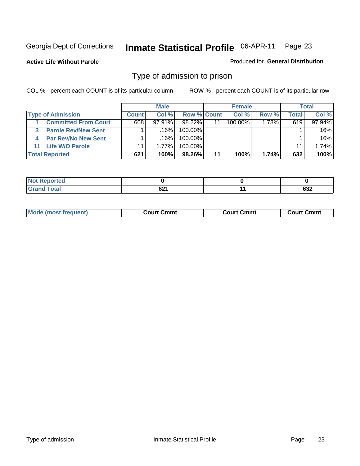**Active Life Without Parole** 

Produced for **General Distribution**

#### Type of admission to prison

|                             |              | <b>Male</b> |                    |    | <b>Female</b> |          |              | <b>Total</b> |
|-----------------------------|--------------|-------------|--------------------|----|---------------|----------|--------------|--------------|
| <b>Type of Admission</b>    | <b>Count</b> | Col %       | <b>Row % Count</b> |    | Col %         | Row %    | <b>Total</b> | Col %        |
| <b>Committed From Court</b> | 608          | $97.91\%$   | $98.22\%$          | 11 | $100.00\%$    | $1.78\%$ | 619          | 97.94%       |
| <b>Parole Rev/New Sent</b>  |              | $.16\%$     | $100.00\%$         |    |               |          |              | .16%         |
| <b>Par Rev/No New Sent</b>  |              | .16%        | $100.00\%$         |    |               |          |              | .16%         |
| 11 Life W/O Parole          | 11           | 1.77%       | 100.00%            |    |               |          | 11           | 1.74%        |
| <b>Total Reported</b>       | 621          | 100%        | 98.26%             | 11 | 100%          | 1.74%    | 632          | 100%         |

| eported<br>מ מ<br>.        |            |           |
|----------------------------|------------|-----------|
| <b>Total</b><br><b>CHA</b> | <b>001</b> | coo<br>פט |

|  | Mode<br>frequent)<br>www<br>$\cdots$ | ∶Cmmt<br>∴ourt<br>$\sim$ $\sim$ $\sim$ $\sim$ $\sim$ $\sim$ $\sim$ $\sim$ | วmmt<br>∴∩urt<br>_______ | Cmmt<br>וזו ה |
|--|--------------------------------------|---------------------------------------------------------------------------|--------------------------|---------------|
|--|--------------------------------------|---------------------------------------------------------------------------|--------------------------|---------------|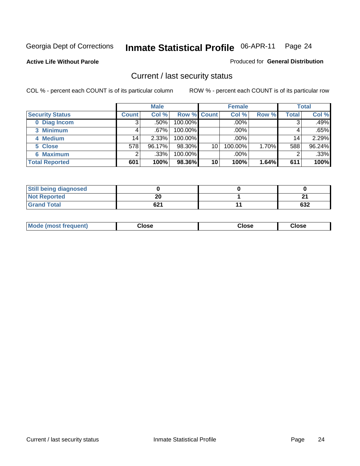**Active Life Without Parole** 

Produced for **General Distribution**

#### Current / last security status

|                        |                 | <b>Male</b> |                    |    | <b>Female</b> |       |       | <b>Total</b> |
|------------------------|-----------------|-------------|--------------------|----|---------------|-------|-------|--------------|
| <b>Security Status</b> | <b>Count</b>    | Col %       | <b>Row % Count</b> |    | Col %         | Row % | Total | Col %        |
| 0 Diag Incom           |                 | .50%        | 100.00%            |    | $.00\%$       |       | 3     | .49%         |
| 3 Minimum              |                 | $.67\%$     | 100.00%            |    | .00%          |       |       | .65%         |
| 4 Medium               | 14 <sub>1</sub> | 2.33%       | 100.00%            |    | .00%          |       | 14    | 2.29%        |
| 5 Close                | 578             | 96.17%      | 98.30%             | 10 | 100.00%       | 1.70% | 588   | 96.24%       |
| <b>6 Maximum</b>       |                 | .33%        | 100.00%            |    | .00%          |       |       | .33%         |
| <b>Total Reported</b>  | 601             | 100%        | 98.36%             | 10 | 100%          | 1.64% | 611   | 100%         |

| <b>Still being diagnosed</b> |     |     |
|------------------------------|-----|-----|
| <b>Not Reported</b>          | 20  | ົ   |
| <b>Grand Total</b>           | 621 | 632 |

|  | <b>Mode</b><br>oueni<br>. | Close<br>. | Close<br>. | Close |
|--|---------------------------|------------|------------|-------|
|--|---------------------------|------------|------------|-------|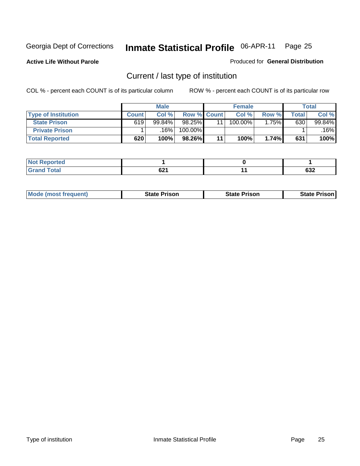**Active Life Without Parole** 

Produced for **General Distribution**

## Current / last type of institution

|                            |              | <b>Male</b> |                    |    | <b>Female</b> |       |       | <b>Total</b> |
|----------------------------|--------------|-------------|--------------------|----|---------------|-------|-------|--------------|
| <b>Type of Institution</b> | <b>Count</b> | Col %       | <b>Row % Count</b> |    | Col%          | Row % | Total | Col %        |
| <b>State Prison</b>        | 619          | 99.84%      | 98.25%             |    | $100.00\%$    | .75%  | 630   | 99.84%       |
| <b>Private Prison</b>      |              | 16%         | 100.00%            |    |               |       |       | 16%          |
| <b>Total Reported</b>      | 620          | 100%        | 98.26%             | 11 | 100%          | 1.74% | 631   | 100%         |

| <b>rted</b>  |        |            |
|--------------|--------|------------|
| <b>Total</b> | $\sim$ | <b>000</b> |
| $\mathbf{v}$ | 94 I   | פט         |

| <b>Mode (most frequent)</b> | <b>State Prison</b> | <b>State Prison</b> | <b>State Prison</b> |
|-----------------------------|---------------------|---------------------|---------------------|
|                             |                     |                     |                     |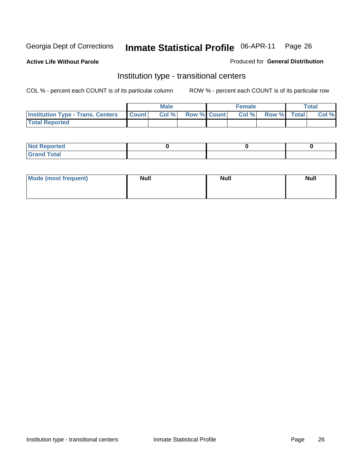**Active Life Without Parole** 

Produced for **General Distribution**

#### Institution type - transitional centers

|                                          |              | <b>Male</b> |                    | <b>Female</b> |             | <b>Total</b> |
|------------------------------------------|--------------|-------------|--------------------|---------------|-------------|--------------|
| <b>Institution Type - Trans. Centers</b> | <b>Count</b> | Col %       | <b>Row % Count</b> | Col %         | Row % Total | Col %        |
| <b>Total Reported</b>                    |              |             |                    |               |             |              |

| <b>Not Reported</b>             |  |  |
|---------------------------------|--|--|
| Cotal<br>Cror<br>. <del>.</del> |  |  |

| Mode (most frequent) | <b>Null</b> | <b>Null</b> | <b>Null</b> |
|----------------------|-------------|-------------|-------------|
|                      |             |             |             |
|                      |             |             |             |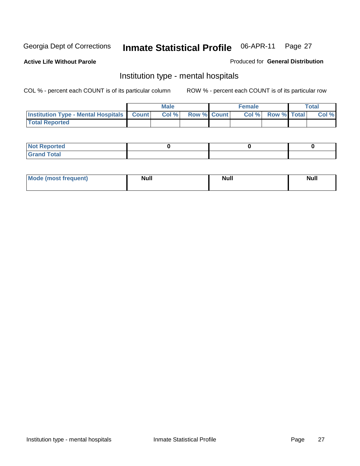**Active Life Without Parole** 

Produced for **General Distribution**

#### Institution type - mental hospitals

|                                                    | Male |                    | <b>Female</b> |                    | <b>Total</b> |
|----------------------------------------------------|------|--------------------|---------------|--------------------|--------------|
| <b>Institution Type - Mental Hospitals Count  </b> | Col% | <b>Row % Count</b> | Col%          | <b>Row % Total</b> | Col %        |
| <b>Total Reported</b>                              |      |                    |               |                    |              |

| <b>Not Reported</b> |  |  |
|---------------------|--|--|
| <b>Fotal</b><br>Cro |  |  |

| Mode (most frequent) | <b>Null</b> | <b>Null</b> | <b>Null</b> |
|----------------------|-------------|-------------|-------------|
|                      |             |             |             |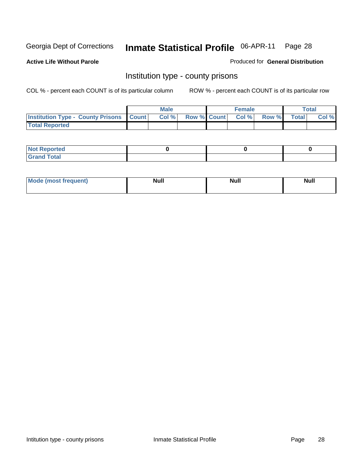**Active Life Without Parole** 

Produced for **General Distribution**

#### Institution type - county prisons

|                                                    | <b>Male</b> |                          | <b>Female</b> |       |              | Total |
|----------------------------------------------------|-------------|--------------------------|---------------|-------|--------------|-------|
| <b>Institution Type - County Prisons   Count  </b> | Col %       | <b>Row % Count Col %</b> |               | Row % | <b>Total</b> | Col % |
| <b>Total Reported</b>                              |             |                          |               |       |              |       |

| <b>Not Reported</b>        |  |  |
|----------------------------|--|--|
| <b>Total</b><br>.Grar<br>_ |  |  |

| <b>Mode (most frequent)</b> | <b>Null</b> | <b>Null</b> | <b>Null</b> |
|-----------------------------|-------------|-------------|-------------|
|                             |             |             |             |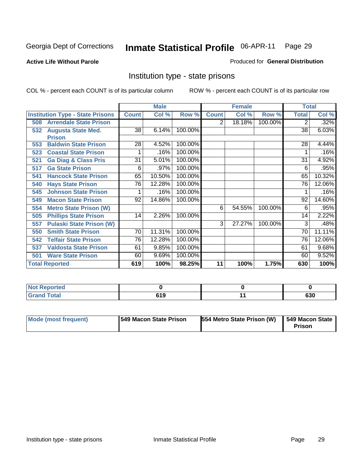#### **Active Life Without Parole**

#### Produced for **General Distribution**

#### Institution type - state prisons

|                                         |              | <b>Male</b> |                       | <b>Female</b> |        |         | <b>Total</b> |        |
|-----------------------------------------|--------------|-------------|-----------------------|---------------|--------|---------|--------------|--------|
| <b>Institution Type - State Prisons</b> | <b>Count</b> | Col %       | Row %                 | <b>Count</b>  | Col %  | Row %   | <b>Total</b> | Col %  |
| <b>Arrendale State Prison</b><br>508    |              |             |                       | 2             | 18.18% | 100.00% | 2            | .32%   |
| <b>Augusta State Med.</b><br>532        | 38           | 6.14%       | 100.00%               |               |        |         | 38           | 6.03%  |
| <b>Prison</b>                           |              |             |                       |               |        |         |              |        |
| <b>Baldwin State Prison</b><br>553      | 28           | 4.52%       | 100.00%               |               |        |         | 28           | 4.44%  |
| <b>Coastal State Prison</b><br>523      |              | .16%        | 100.00%               |               |        |         |              | .16%   |
| <b>Ga Diag &amp; Class Pris</b><br>521  | 31           | 5.01%       | 100.00%               |               |        |         | 31           | 4.92%  |
| <b>Ga State Prison</b><br>517           | 6            | .97%        | $\overline{100.00\%}$ |               |        |         | 6            | .95%   |
| <b>Hancock State Prison</b><br>541      | 65           | 10.50%      | 100.00%               |               |        |         | 65           | 10.32% |
| <b>Hays State Prison</b><br>540         | 76           | 12.28%      | 100.00%               |               |        |         | 76           | 12.06% |
| <b>Johnson State Prison</b><br>545      |              | .16%        | 100.00%               |               |        |         |              | .16%   |
| <b>Macon State Prison</b><br>549        | 92           | 14.86%      | 100.00%               |               |        |         | 92           | 14.60% |
| <b>Metro State Prison (W)</b><br>554    |              |             |                       | 6             | 54.55% | 100.00% | 6            | .95%   |
| <b>Phillips State Prison</b><br>505     | 14           | 2.26%       | 100.00%               |               |        |         | 14           | 2.22%  |
| <b>Pulaski State Prison (W)</b><br>557  |              |             |                       | 3             | 27.27% | 100.00% | 3            | .48%   |
| <b>Smith State Prison</b><br>550        | 70           | 11.31%      | 100.00%               |               |        |         | 70           | 11.11% |
| <b>Telfair State Prison</b><br>542      | 76           | 12.28%      | 100.00%               |               |        |         | 76           | 12.06% |
| <b>Valdosta State Prison</b><br>537     | 61           | 9.85%       | 100.00%               |               |        |         | 61           | 9.68%  |
| <b>Ware State Prison</b><br>501         | 60           | 9.69%       | 100.00%               |               |        |         | 60           | 9.52%  |
| <b>Total Reported</b>                   | 619          | 100%        | 98.25%                | 11            | 100%   | 1.75%   | 630          | 100%   |

| <b>Not Reported</b> |      |     |
|---------------------|------|-----|
| <b>Total</b>        | 51 Q | 630 |

| Mode (most frequent) | <b>1549 Macon State Prison</b> | <b>554 Metro State Prison (W)   549 Macon State</b> | Prison |
|----------------------|--------------------------------|-----------------------------------------------------|--------|
|----------------------|--------------------------------|-----------------------------------------------------|--------|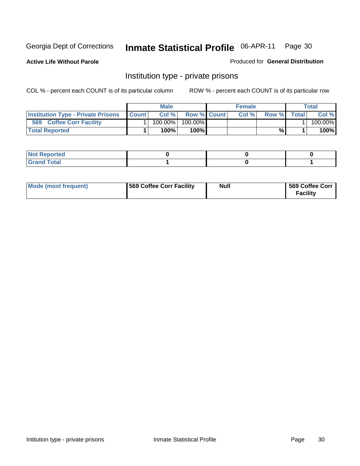**Active Life Without Parole** 

Produced for **General Distribution**

#### Institution type - private prisons

|                                           |              | Male       |                    | <b>Female</b> |       |        | Total   |
|-------------------------------------------|--------------|------------|--------------------|---------------|-------|--------|---------|
| <b>Institution Type - Private Prisons</b> | <b>Count</b> | Col %      | <b>Row % Count</b> | Col %         | Row % | Totall | Col %   |
| 569<br><b>Coffee Corr Facility</b>        |              | $100.00\%$ | $100.00\%$         |               |       |        | 100.00% |
| <b>Total Reported</b>                     |              | 100%       | 100% <b>I</b>      |               | %     |        | 100%    |

| <b>Not Reported</b>             |  |  |
|---------------------------------|--|--|
| <b>Total</b><br>Gr2<br>$\sim$ . |  |  |

| Mode (most frequent) | 569 Coffee Corr Facility | Null | 569 Coffee Corr |
|----------------------|--------------------------|------|-----------------|
|                      |                          |      | <b>Facility</b> |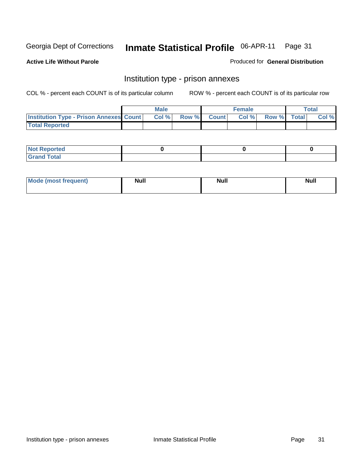**Active Life Without Parole** 

Produced for **General Distribution**

#### Institution type - prison annexes

|                                                  | <b>Male</b> |             | <b>Female</b> |             | Total |
|--------------------------------------------------|-------------|-------------|---------------|-------------|-------|
| <b>Institution Type - Prison Annexes Count  </b> | Col %       | Row % Count | Col %         | Row % Total | Col % |
| <b>Total Reported</b>                            |             |             |               |             |       |

| <b>Not Reported</b>        |  |  |
|----------------------------|--|--|
| <b>Total</b><br>-<br>_____ |  |  |

| Mode (most frequent) | <b>Null</b> | <b>Null</b> | <b>Null</b> |
|----------------------|-------------|-------------|-------------|
|                      |             |             |             |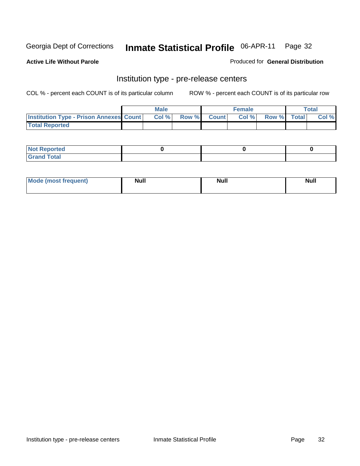**Active Life Without Parole** 

Produced for **General Distribution**

#### Institution type - pre-release centers

|                                                | <b>Male</b> |              |                | <b>Female</b> |             | <b>Total</b> |
|------------------------------------------------|-------------|--------------|----------------|---------------|-------------|--------------|
| <b>Institution Type - Prison Annexes Count</b> | Col %       | <b>Row %</b> | <b>Count</b> Ⅰ | Col%          | Row % Total | Col %        |
| <b>Total Reported</b>                          |             |              |                |               |             |              |

| <b>Not</b><br><b>Reported</b>    |  |  |
|----------------------------------|--|--|
| <b>Total</b><br>Gran<br>$\sim$ . |  |  |

| Mode (most frequent) | <b>Null</b> | <b>Null</b> | <b>Null</b> |
|----------------------|-------------|-------------|-------------|
|                      |             |             |             |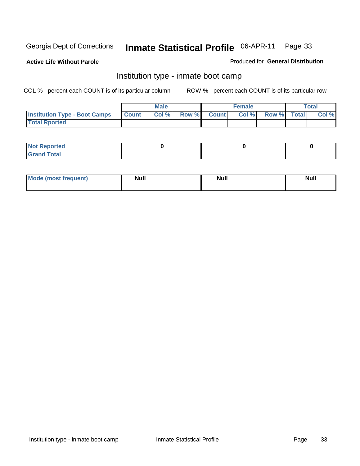**Active Life Without Parole** 

Produced for **General Distribution**

#### Institution type - inmate boot camp

|                                      |              | <b>Male</b> |                    | <b>Female</b> |             | <b>Total</b> |
|--------------------------------------|--------------|-------------|--------------------|---------------|-------------|--------------|
| <b>Institution Type - Boot Camps</b> | <b>Count</b> | Col%        | <b>Row % Count</b> | Col%          | Row % Total | Col %        |
| <b>Total Rported</b>                 |              |             |                    |               |             |              |

| <b>Not Reported</b>  |  |  |
|----------------------|--|--|
| <b>Total</b><br>Croy |  |  |

| Mode (most frequent) | <b>Null</b> | <b>Null</b> | <b>Null</b> |
|----------------------|-------------|-------------|-------------|
|                      |             |             |             |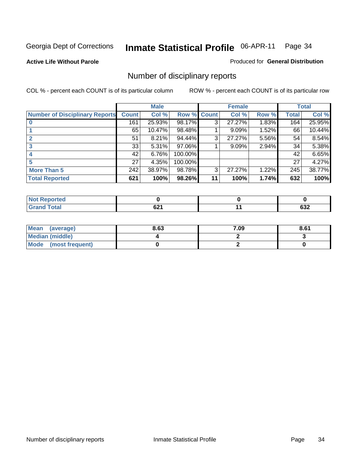#### **Active Life Without Parole**

#### Produced for **General Distribution**

## Number of disciplinary reports

|                                       |              | <b>Male</b> |             |    | <b>Female</b> |       |              | <b>Total</b> |
|---------------------------------------|--------------|-------------|-------------|----|---------------|-------|--------------|--------------|
| <b>Number of Disciplinary Reports</b> | <b>Count</b> | Col %       | Row % Count |    | Col %         | Row % | <b>Total</b> | Col %        |
|                                       | 161          | 25.93%      | 98.17%      | 3  | 27.27%        | 1.83% | 164          | 25.95%       |
|                                       | 65           | 10.47%      | 98.48%      |    | 9.09%         | 1.52% | 66           | 10.44%       |
| 2                                     | 51           | 8.21%       | 94.44%      | 3  | 27.27%        | 5.56% | 54           | 8.54%        |
| 3                                     | 33           | $5.31\%$    | 97.06%      |    | 9.09%         | 2.94% | 34           | 5.38%        |
|                                       | 42           | 6.76%       | 100.00%     |    |               |       | 42           | 6.65%        |
| 5                                     | 27           | 4.35%       | 100.00%     |    |               |       | 27           | 4.27%        |
| <b>More Than 5</b>                    | 242          | 38.97%      | 98.78%      | 3  | 27.27%        | 1.22% | 245          | 38.77%       |
| <b>Total Reported</b>                 | 621          | 100%        | 98.26%      | 11 | 100%          | 1.74% | 632          | 100%         |

| .<br>N<br>тес. |      |            |
|----------------|------|------------|
| T <sub>1</sub> | co.  | cor.       |
|                | VZ I | <b>OJZ</b> |

| Mean (average)       | 8.63 | 7.09 | 8.61 |
|----------------------|------|------|------|
| Median (middle)      |      |      |      |
| Mode (most frequent) |      |      |      |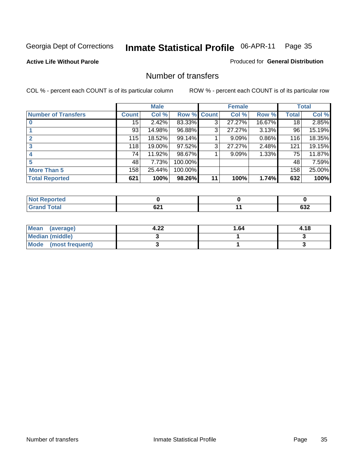#### **Active Life Without Parole**

#### Produced for **General Distribution**

#### Number of transfers

|                            |              | <b>Male</b> |         |       | <b>Female</b> |        |              | <b>Total</b> |
|----------------------------|--------------|-------------|---------|-------|---------------|--------|--------------|--------------|
| <b>Number of Transfers</b> | <b>Count</b> | Col %       | Row %   | Count | Col %         | Row %  | <b>Total</b> | Col %        |
|                            | 15           | 2.42%       | 83.33%  | 3     | 27.27%        | 16.67% | 18           | 2.85%        |
|                            | 93           | 14.98%      | 96.88%  | 3     | 27.27%        | 3.13%  | 96           | 15.19%       |
|                            | 115          | 18.52%      | 99.14%  |       | 9.09%         | 0.86%  | 116          | 18.35%       |
|                            | 118          | 19.00%      | 97.52%  | 3     | 27.27%        | 2.48%  | 121          | 19.15%       |
|                            | 74           | 11.92%      | 98.67%  |       | 9.09%         | 1.33%  | 75           | 11.87%       |
|                            | 48           | 7.73%       | 100.00% |       |               |        | 48           | 7.59%        |
| <b>More Than 5</b>         | 158          | 25.44%      | 100.00% |       |               |        | 158          | 25.00%       |
| <b>Total Reported</b>      | 621          | 100%        | 98.26%  | 11    | 100%          | 1.74%  | 632          | 100%         |

| .<br>N<br>тес |      |            |
|---------------|------|------------|
| $T$ stol $T$  | co.  | $\sim$     |
|               | VŁ I | <b>OJZ</b> |

| Mean (average)       | ົາາ<br>4.ZZ | 64. ا | 4.18 |
|----------------------|-------------|-------|------|
| Median (middle)      |             |       |      |
| Mode (most frequent) |             |       |      |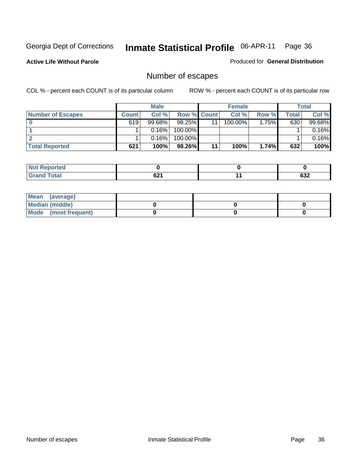**Active Life Without Parole** 

Produced for **General Distribution**

## Number of escapes

|                          | <b>Male</b>  |        | <b>Female</b>      |    |         | <b>Total</b> |       |        |
|--------------------------|--------------|--------|--------------------|----|---------|--------------|-------|--------|
| <b>Number of Escapes</b> | <b>Count</b> | Col%   | <b>Row % Count</b> |    | Col%    | Row %        | Total | Col %  |
|                          | 619          | 99.68% | $98.25\%$          | 11 | 100.00% | $1.75\%$     | 630   | 99.68% |
|                          |              | 0.16%  | $100.00\%$         |    |         |              |       | 0.16%  |
|                          |              | 0.16%  | $100.00\%$         |    |         |              |       | 0.16%  |
| <b>Total Reported</b>    | 621          | 100%   | 98.26%             | 11 | 100%    | 1.74%        | 632   | 100%   |

| <b>NO</b><br>Reported |      |     |
|-----------------------|------|-----|
| <b>otal</b>           | rη.  | coo |
| $\mathsf{v}$ and      | VZ I | ⊿כס |

| Mean (average)       |  |  |
|----------------------|--|--|
| Median (middle)      |  |  |
| Mode (most frequent) |  |  |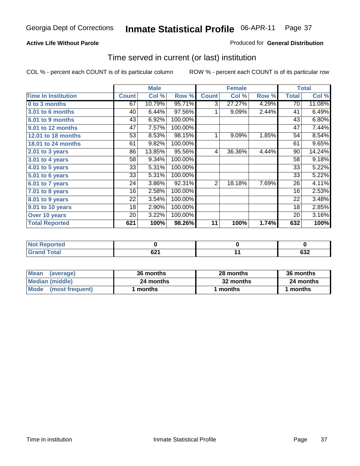#### **Active Life Without Parole**

#### Produced for **General Distribution**

### Time served in current (or last) institution

|                            |              | <b>Male</b> |         |              | <b>Female</b> |       |              | <b>Total</b> |
|----------------------------|--------------|-------------|---------|--------------|---------------|-------|--------------|--------------|
| <b>Time In Institution</b> | <b>Count</b> | Col %       | Row %   | <b>Count</b> | Col %         | Row % | <b>Total</b> | Col %        |
| 0 to 3 months              | 67           | 10.79%      | 95.71%  | 3            | 27.27%        | 4.29% | 70           | 11.08%       |
| 3.01 to 6 months           | 40           | 6.44%       | 97.56%  | 1            | 9.09%         | 2.44% | 41           | 6.49%        |
| 6.01 to 9 months           | 43           | 6.92%       | 100.00% |              |               |       | 43           | 6.80%        |
| 9.01 to 12 months          | 47           | 7.57%       | 100.00% |              |               |       | 47           | 7.44%        |
| 12.01 to 18 months         | 53           | 8.53%       | 98.15%  | 1            | 9.09%         | 1.85% | 54           | 8.54%        |
| 18.01 to 24 months         | 61           | 9.82%       | 100.00% |              |               |       | 61           | 9.65%        |
| 2.01 to 3 years            | 86           | 13.85%      | 95.56%  | 4            | 36.36%        | 4.44% | 90           | 14.24%       |
| 3.01 to 4 years            | 58           | 9.34%       | 100.00% |              |               |       | 58           | 9.18%        |
| 4.01 to 5 years            | 33           | 5.31%       | 100.00% |              |               |       | 33           | 5.22%        |
| 5.01 to 6 years            | 33           | 5.31%       | 100.00% |              |               |       | 33           | 5.22%        |
| 6.01 to 7 years            | 24           | 3.86%       | 92.31%  | 2            | 18.18%        | 7.69% | 26           | 4.11%        |
| $7.01$ to 8 years          | 16           | 2.58%       | 100.00% |              |               |       | 16           | 2.53%        |
| 8.01 to 9 years            | 22           | 3.54%       | 100.00% |              |               |       | 22           | 3.48%        |
| 9.01 to 10 years           | 18           | 2.90%       | 100.00% |              |               |       | 18           | 2.85%        |
| Over 10 years              | 20           | 3.22%       | 100.00% |              |               |       | 20           | 3.16%        |
| <b>Total Reported</b>      | 621          | 100%        | 98.26%  | 11           | 100%          | 1.74% | 632          | 100%         |

| <b>Reported</b><br><b>Not</b> |            |                         |
|-------------------------------|------------|-------------------------|
| <b>Total</b>                  | ດດ<br>VŁ I | <u>__</u><br><b>OJZ</b> |

| <b>Mean</b><br>(average) | 36 months | 28 months | 36 months |
|--------------------------|-----------|-----------|-----------|
| Median (middle)          | 24 months | 32 months | 24 months |
| Mode (most frequent)     | months    | ∣ months  | months    |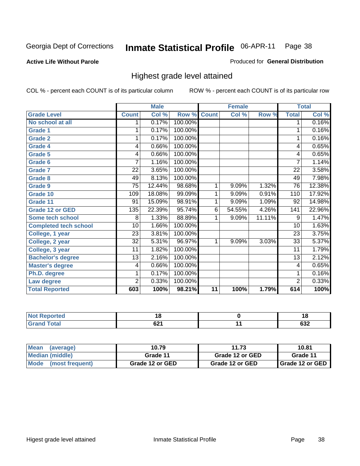**Active Life Without Parole** 

Produced for **General Distribution**

### Highest grade level attained

|                              |                 | <b>Male</b> |         |                | <b>Female</b> |        |                  | <b>Total</b> |
|------------------------------|-----------------|-------------|---------|----------------|---------------|--------|------------------|--------------|
| <b>Grade Level</b>           | <b>Count</b>    | Col %       | Row %   | <b>Count</b>   | Col %         | Row %  | <b>Total</b>     | Col %        |
| No school at all             | 1               | 0.17%       | 100.00% |                |               |        | 1                | 0.16%        |
| <b>Grade 1</b>               | 1               | 0.17%       | 100.00% |                |               |        | 1                | 0.16%        |
| <b>Grade 2</b>               | 1               | 0.17%       | 100.00% |                |               |        | 1                | 0.16%        |
| <b>Grade 4</b>               | 4               | 0.66%       | 100.00% |                |               |        | 4                | 0.65%        |
| Grade 5                      | 4               | 0.66%       | 100.00% |                |               |        | 4                | 0.65%        |
| Grade 6                      | 7               | 1.16%       | 100.00% |                |               |        | 7                | 1.14%        |
| <b>Grade 7</b>               | 22              | 3.65%       | 100.00% |                |               |        | 22               | 3.58%        |
| <b>Grade 8</b>               | 49              | 8.13%       | 100.00% |                |               |        | 49               | 7.98%        |
| <b>Grade 9</b>               | $\overline{75}$ | 12.44%      | 98.68%  | 1              | 9.09%         | 1.32%  | 76               | 12.38%       |
| Grade 10                     | 109             | 18.08%      | 99.09%  | 1              | 9.09%         | 0.91%  | 110              | 17.92%       |
| Grade 11                     | $\overline{91}$ | 15.09%      | 98.91%  | 1              | 9.09%         | 1.09%  | 92               | 14.98%       |
| <b>Grade 12 or GED</b>       | 135             | 22.39%      | 95.74%  | $\overline{6}$ | 54.55%        | 4.26%  | $\overline{141}$ | 22.96%       |
| <b>Some tech school</b>      | 8               | 1.33%       | 88.89%  | 1              | 9.09%         | 11.11% | 9                | 1.47%        |
| <b>Completed tech school</b> | $\overline{10}$ | 1.66%       | 100.00% |                |               |        | 10               | 1.63%        |
| College, 1 year              | $\overline{23}$ | 3.81%       | 100.00% |                |               |        | 23               | 3.75%        |
| College, 2 year              | $\overline{32}$ | 5.31%       | 96.97%  | 1              | 9.09%         | 3.03%  | $\overline{33}$  | 5.37%        |
| College, 3 year              | 11              | 1.82%       | 100.00% |                |               |        | 11               | 1.79%        |
| <b>Bachelor's degree</b>     | 13              | 2.16%       | 100.00% |                |               |        | 13               | 2.12%        |
| <b>Master's degree</b>       | 4               | 0.66%       | 100.00% |                |               |        | 4                | 0.65%        |
| Ph.D. degree                 | 1               | 0.17%       | 100.00% |                |               |        | 1                | 0.16%        |
| Law degree                   | $\overline{2}$  | 0.33%       | 100.00% |                |               |        | $\overline{2}$   | 0.33%        |
| <b>Total Reported</b>        | 603             | 100%        | 98.21%  | 11             | 100%          | 1.79%  | 614              | 100%         |

| тео    | c<br>י<br>$\sim$ | 1 C<br>۰.<br>$\sim$ |
|--------|------------------|---------------------|
| $\sim$ | rn.<br>UZ I      | $\sim$<br>∪J∠       |

| <b>Mean</b><br>(average)       | 10.79           | 11.73           | 10.81             |
|--------------------------------|-----------------|-----------------|-------------------|
| Median (middle)                | Grade 11        | Grade 12 or GED | Grade 11          |
| <b>Mode</b><br>(most frequent) | Grade 12 or GED | Grade 12 or GED | I Grade 12 or GED |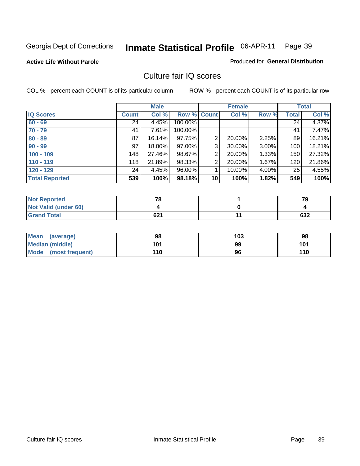#### **Active Life Without Parole**

#### Produced for **General Distribution**

### Culture fair IQ scores

|                       |              | <b>Male</b> |             |                 | <b>Female</b> |       |              | <b>Total</b> |
|-----------------------|--------------|-------------|-------------|-----------------|---------------|-------|--------------|--------------|
| <b>IQ Scores</b>      | <b>Count</b> | Col %       | Row % Count |                 | Col %         | Row % | <b>Total</b> | Col %        |
| $60 - 69$             | 24           | 4.45%       | 100.00%     |                 |               |       | 24           | 4.37%        |
| $70 - 79$             | 41           | 7.61%       | 100.00%     |                 |               |       | 41           | 7.47%        |
| $80 - 89$             | 87           | 16.14%      | 97.75%      | 2               | 20.00%        | 2.25% | 89           | 16.21%       |
| $90 - 99$             | 97           | 18.00%      | 97.00%      | 3               | 30.00%        | 3.00% | 100          | 18.21%       |
| $100 - 109$           | 148          | 27.46%      | 98.67%      | 2               | 20.00%        | 1.33% | 150          | 27.32%       |
| $110 - 119$           | 118          | 21.89%      | 98.33%      | $\overline{2}$  | 20.00%        | 1.67% | 120          | 21.86%       |
| $120 - 129$           | 24           | 4.45%       | 96.00%      |                 | 10.00%        | 4.00% | 25           | 4.55%        |
| <b>Total Reported</b> | 539          | 100%        | 98.18%      | 10 <sup>1</sup> | 100%          | 1.82% | 549          | 100%         |

| <b>Not Reported</b>         | 70  | 79  |
|-----------------------------|-----|-----|
| <b>Not Valid (under 60)</b> |     |     |
| <b>Grand Total</b>          | 621 | 632 |

| <b>Mean</b><br>(average) | 98  | 103 | 98  |
|--------------------------|-----|-----|-----|
| Median (middle)          | 101 | 99  | 101 |
| Mode (most frequent)     | 110 | 96  | 110 |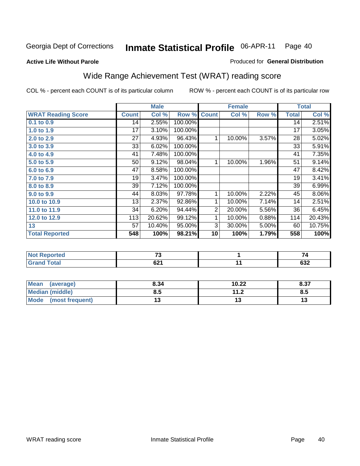#### **Active Life Without Parole**

#### Produced for **General Distribution**

### Wide Range Achievement Test (WRAT) reading score

|                           |              | <b>Male</b> |         |                | <b>Female</b> |       |                 | <b>Total</b> |
|---------------------------|--------------|-------------|---------|----------------|---------------|-------|-----------------|--------------|
| <b>WRAT Reading Score</b> | <b>Count</b> | Col %       | Row %   | <b>Count</b>   | Col %         | Row % | <b>Total</b>    | Col %        |
| 0.1 to 0.9                | 14           | 2.55%       | 100.00% |                |               |       | $\overline{14}$ | 2.51%        |
| 1.0 to 1.9                | 17           | 3.10%       | 100.00% |                |               |       | 17              | 3.05%        |
| 2.0 to 2.9                | 27           | 4.93%       | 96.43%  | 1              | 10.00%        | 3.57% | 28              | 5.02%        |
| 3.0 to 3.9                | 33           | 6.02%       | 100.00% |                |               |       | 33              | 5.91%        |
| 4.0 to 4.9                | 41           | 7.48%       | 100.00% |                |               |       | 41              | 7.35%        |
| 5.0 to 5.9                | 50           | 9.12%       | 98.04%  | 1              | 10.00%        | 1.96% | 51              | 9.14%        |
| 6.0 to 6.9                | 47           | 8.58%       | 100.00% |                |               |       | 47              | 8.42%        |
| 7.0 to 7.9                | 19           | 3.47%       | 100.00% |                |               |       | 19              | 3.41%        |
| 8.0 to 8.9                | 39           | 7.12%       | 100.00% |                |               |       | 39              | 6.99%        |
| 9.0 to 9.9                | 44           | 8.03%       | 97.78%  | 1              | 10.00%        | 2.22% | 45              | $8.06\%$     |
| 10.0 to 10.9              | 13           | 2.37%       | 92.86%  | 1              | 10.00%        | 7.14% | 14              | 2.51%        |
| 11.0 to 11.9              | 34           | 6.20%       | 94.44%  | $\overline{2}$ | 20.00%        | 5.56% | 36              | 6.45%        |
| 12.0 to 12.9              | 113          | 20.62%      | 99.12%  | 1              | 10.00%        | 0.88% | 114             | 20.43%       |
| 13                        | 57           | 10.40%      | 95.00%  | 3              | 30.00%        | 5.00% | 60              | 10.75%       |
| <b>Total Reported</b>     | 548          | 100%        | 98.21%  | 10             | 100%          | 1.79% | 558             | 100%         |
|                           |              |             |         |                |               |       |                 |              |
| <b>Not Reported</b>       |              | 73          |         |                | 1             |       |                 | 74           |
| <b>Grand Total</b>        |              | 621         |         |                | 11            |       |                 | 632          |

| <b>Mean</b><br>(average) | 8.34 | 10.22         | 8.37 |
|--------------------------|------|---------------|------|
| Median (middle)          | გ.ა  | 11 J<br>. . Z | ၓ.๖  |
| Mode<br>(most frequent)  | ıv   |               | IJ   |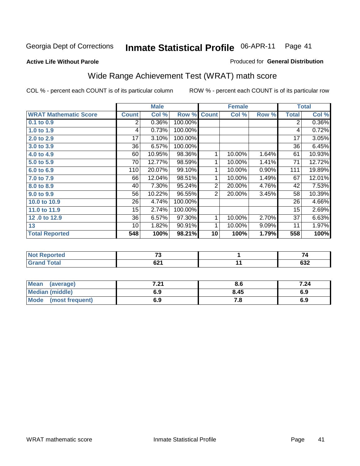**Active Life Without Parole** 

#### Produced for **General Distribution**

# Wide Range Achievement Test (WRAT) math score

|                              |                 | <b>Male</b> |         |                | <b>Female</b> |       |                 | <b>Total</b>       |
|------------------------------|-----------------|-------------|---------|----------------|---------------|-------|-----------------|--------------------|
| <b>WRAT Mathematic Score</b> | <b>Count</b>    | Col %       | Row %   | <b>Count</b>   | Col %         | Row % | <b>Total</b>    | Col %              |
| $0.1$ to $0.9$               | 2               | 0.36%       | 100.00% |                |               |       | 2               | 0.36%              |
| 1.0 to 1.9                   | 4               | 0.73%       | 100.00% |                |               |       | 4               | 0.72%              |
| 2.0 to 2.9                   | 17              | 3.10%       | 100.00% |                |               |       | $\overline{17}$ | 3.05%              |
| 3.0 to 3.9                   | 36              | 6.57%       | 100.00% |                |               |       | 36              | 6.45%              |
| 4.0 to 4.9                   | 60              | 10.95%      | 98.36%  | 1              | 10.00%        | 1.64% | 61              | 10.93%             |
| 5.0 to 5.9                   | 70              | 12.77%      | 98.59%  | 1              | 10.00%        | 1.41% | 71              | 12.72%             |
| 6.0 to 6.9                   | 110             | 20.07%      | 99.10%  | 1              | 10.00%        | 0.90% | 111             | 19.89%             |
| 7.0 to 7.9                   | 66              | 12.04%      | 98.51%  | 1              | 10.00%        | 1.49% | 67              | 12.01%             |
| 8.0 to 8.9                   | 40              | 7.30%       | 95.24%  | $\overline{2}$ | 20.00%        | 4.76% | 42              | 7.53%              |
| 9.0 to 9.9                   | 56              | 10.22%      | 96.55%  | $\overline{2}$ | 20.00%        | 3.45% | 58              | 10.39%             |
| 10.0 to 10.9                 | 26              | 4.74%       | 100.00% |                |               |       | 26              | 4.66%              |
| 11.0 to 11.9                 | $\overline{15}$ | 2.74%       | 100.00% |                |               |       | 15              | 2.69%              |
| 12.0 to 12.9                 | 36              | 6.57%       | 97.30%  | 1              | 10.00%        | 2.70% | $\overline{37}$ | 6.63%              |
| 13                           | 10              | 1.82%       | 90.91%  | 1              | 10.00%        | 9.09% | 11              | 1.97%              |
| <b>Total Reported</b>        | 548             | 100%        | 98.21%  | 10             | 100%          | 1.79% | 558             | $\overline{100\%}$ |
|                              |                 |             |         |                |               |       |                 |                    |
| <b>Not Reported</b>          |                 | 73          |         |                | 1             |       |                 | 74                 |
| <b>Grand Total</b>           |                 | 621         |         |                | 11            |       |                 | 632                |
|                              |                 |             |         |                |               |       |                 |                    |

| Mean<br>(average)       | フ つ<br>$\sim$ | Ծ.Ե  | 7.24 |
|-------------------------|---------------|------|------|
| <b>Median (middle)</b>  | 6.9           | 8.45 | 6.9  |
| Mode<br>(most frequent) | 6.9           | . с  | 6.9  |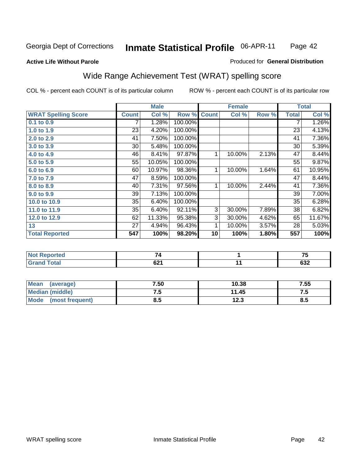#### **Active Life Without Parole**

#### Produced for **General Distribution**

### Wide Range Achievement Test (WRAT) spelling score

|                            |              | <b>Male</b> |         |              | <b>Female</b> |       |              | <b>Total</b> |
|----------------------------|--------------|-------------|---------|--------------|---------------|-------|--------------|--------------|
| <b>WRAT Spelling Score</b> | <b>Count</b> | Col %       | Row %   | <b>Count</b> | Col %         | Row % | <b>Total</b> | Col %        |
| 0.1 to 0.9                 |              | 1.28%       | 100.00% |              |               |       | 7            | 1.26%        |
| 1.0 to 1.9                 | 23           | 4.20%       | 100.00% |              |               |       | 23           | 4.13%        |
| 2.0 to 2.9                 | 41           | 7.50%       | 100.00% |              |               |       | 41           | 7.36%        |
| 3.0 to 3.9                 | 30           | 5.48%       | 100.00% |              |               |       | 30           | 5.39%        |
| 4.0 to 4.9                 | 46           | 8.41%       | 97.87%  | 1            | 10.00%        | 2.13% | 47           | 8.44%        |
| 5.0 to 5.9                 | 55           | 10.05%      | 100.00% |              |               |       | 55           | 9.87%        |
| 6.0 to 6.9                 | 60           | 10.97%      | 98.36%  | 1            | 10.00%        | 1.64% | 61           | 10.95%       |
| 7.0 to 7.9                 | 47           | 8.59%       | 100.00% |              |               |       | 47           | 8.44%        |
| 8.0 to 8.9                 | 40           | 7.31%       | 97.56%  | 1            | 10.00%        | 2.44% | 41           | 7.36%        |
| 9.0 to 9.9                 | 39           | 7.13%       | 100.00% |              |               |       | 39           | 7.00%        |
| 10.0 to 10.9               | 35           | 6.40%       | 100.00% |              |               |       | 35           | 6.28%        |
| 11.0 to 11.9               | 35           | 6.40%       | 92.11%  | 3            | 30.00%        | 7.89% | 38           | 6.82%        |
| 12.0 to 12.9               | 62           | 11.33%      | 95.38%  | 3            | 30.00%        | 4.62% | 65           | 11.67%       |
| 13                         | 27           | 4.94%       | 96.43%  | 1            | 10.00%        | 3.57% | 28           | 5.03%        |
| <b>Total Reported</b>      | 547          | 100%        | 98.20%  | 10           | 100%          | 1.80% | 557          | 100%         |
|                            |              |             |         |              |               |       |              |              |
| <b>Not Reported</b>        |              | 74          |         |              | 1             |       |              | 75           |
| <b>Grand Total</b>         |              | 621         |         |              | 11            |       |              | 632          |

| Mean<br>(average)              | 7.50 | 10.38       | 7.55 |
|--------------------------------|------|-------------|------|
| <b>Median (middle)</b>         | ن. ا | 11.45       | ن. ا |
| <b>Mode</b><br>(most frequent) | 0.J  | 1つ ?<br>د.ء | ၓ.ͻ  |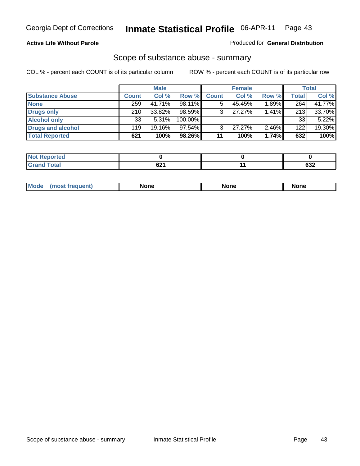#### **Active Life Without Parole**

#### Produced for **General Distribution**

### Scope of substance abuse - summary

|                        |              | <b>Male</b> |            |              | <b>Female</b> |       |              | <b>Total</b> |
|------------------------|--------------|-------------|------------|--------------|---------------|-------|--------------|--------------|
| <b>Substance Abuse</b> | <b>Count</b> | Col %       | Row %      | <b>Count</b> | Col %         | Row % | <b>Total</b> | Col %        |
| <b>None</b>            | 259          | 41.71%      | $98.11\%$  |              | 45.45%        | 1.89% | 264          | 41.77%       |
| Drugs only             | 210          | 33.82%      | $98.59\%$  |              | 27.27%        | 1.41% | 213          | 33.70%       |
| <b>Alcohol only</b>    | 33           | $5.31\%$    | $100.00\%$ |              |               |       | 33           | 5.22%        |
| Drugs and alcohol      | 119          | 19.16%      | 97.54%     |              | $27.27\%$     | 2.46% | 122          | 19.30%       |
| <b>Total Reported</b>  | 621          | 100%        | 98.26%     | 11           | 100%          | 1.74% | 632          | 100%         |

| Reported<br>NOI |      |            |
|-----------------|------|------------|
| <b>Total</b>    | rn,  | <b>000</b> |
| -               | UZ I | ∠כס        |

|  | Mode<br>nuemm | <b>None</b> | <b>None</b> | None |
|--|---------------|-------------|-------------|------|
|--|---------------|-------------|-------------|------|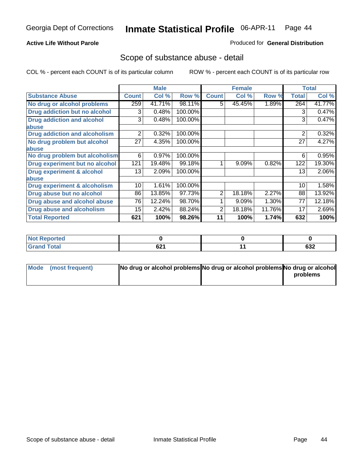#### **Active Life Without Parole**

#### Produced for **General Distribution**

### Scope of substance abuse - detail

|                                      |              | <b>Male</b> |         |                | <b>Female</b> |        |              | <b>Total</b> |
|--------------------------------------|--------------|-------------|---------|----------------|---------------|--------|--------------|--------------|
| <b>Substance Abuse</b>               | <b>Count</b> | Col %       | Row %   | <b>Count</b>   | Col %         | Row %  | <b>Total</b> | Col %        |
| No drug or alcohol problems          | 259          | 41.71%      | 98.11%  | 5.             | 45.45%        | 1.89%  | 264          | 41.77%       |
| Drug addiction but no alcohol        | 3            | 0.48%       | 100.00% |                |               |        | 3            | 0.47%        |
| <b>Drug addiction and alcohol</b>    | 3            | 0.48%       | 100.00% |                |               |        | 3            | 0.47%        |
| abuse                                |              |             |         |                |               |        |              |              |
| <b>Drug addiction and alcoholism</b> | 2            | 0.32%       | 100.00% |                |               |        | 2            | 0.32%        |
| No drug problem but alcohol          | 27           | 4.35%       | 100.00% |                |               |        | 27           | 4.27%        |
| abuse                                |              |             |         |                |               |        |              |              |
| No drug problem but alcoholism       | 6            | 0.97%       | 100.00% |                |               |        | 6            | 0.95%        |
| Drug experiment but no alcohol       | 121          | 19.48%      | 99.18%  |                | 9.09%         | 0.82%  | 122          | 19.30%       |
| <b>Drug experiment &amp; alcohol</b> | 13           | 2.09%       | 100.00% |                |               |        | 13           | 2.06%        |
| abuse                                |              |             |         |                |               |        |              |              |
| Drug experiment & alcoholism         | 10           | 1.61%       | 100.00% |                |               |        | 10           | 1.58%        |
| Drug abuse but no alcohol            | 86           | 13.85%      | 97.73%  | $\overline{2}$ | 18.18%        | 2.27%  | 88           | 13.92%       |
| Drug abuse and alcohol abuse         | 76           | 12.24%      | 98.70%  |                | 9.09%         | 1.30%  | 77           | 12.18%       |
| Drug abuse and alcoholism            | 15           | 2.42%       | 88.24%  | 2              | 18.18%        | 11.76% | 17           | 2.69%        |
| <b>Total Reported</b>                | 621          | 100%        | 98.26%  | 11             | 100%          | 1.74%  | 632          | 100%         |

| <b>Not Reported</b> |            |     |
|---------------------|------------|-----|
| <b>otal</b>         | ົາ<br>UZ I | 632 |

| Mode (most frequent) | No drug or alcohol problems No drug or alcohol problems No drug or alcohol |          |
|----------------------|----------------------------------------------------------------------------|----------|
|                      |                                                                            | problems |
|                      |                                                                            |          |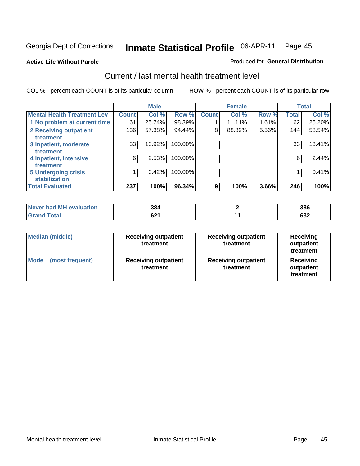#### **Active Life Without Parole**

#### Produced for **General Distribution**

### Current / last mental health treatment level

|                                    |              | <b>Male</b> |         |              | <b>Female</b> |       |              | <b>Total</b> |
|------------------------------------|--------------|-------------|---------|--------------|---------------|-------|--------------|--------------|
| <b>Mental Health Treatment Lev</b> | <b>Count</b> | Col %       | Row %   | <b>Count</b> | Col %         | Row % | <b>Total</b> | Col %        |
| 1 No problem at current time       | 61           | 25.74%      | 98.39%  |              | 11.11%        | 1.61% | 62           | 25.20%       |
| 2 Receiving outpatient             | 136          | 57.38%      | 94.44%  | 8            | 88.89%        | 5.56% | 144          | 58.54%       |
| treatment                          |              |             |         |              |               |       |              |              |
| 3 Inpatient, moderate              | 33           | 13.92%      | 100.00% |              |               |       | 33           | 13.41%       |
| treatment                          |              |             |         |              |               |       |              |              |
| 4 Inpatient, intensive             | 6            | 2.53%       | 100.00% |              |               |       | 6            | 2.44%        |
| treatment                          |              |             |         |              |               |       |              |              |
| <b>5 Undergoing crisis</b>         |              | 0.42%       | 100.00% |              |               |       |              | 0.41%        |
| stabilization                      |              |             |         |              |               |       |              |              |
| <b>Total Evaluated</b>             | 237          | 100%        | 96.34%  | 9            | 100%          | 3.66% | 246          | 100%         |

| Never had MH evaluation | 384         | 386              |
|-------------------------|-------------|------------------|
| <b>Total</b>            | c 71<br>OZ. | <b>000</b><br>פט |

| <b>Median (middle)</b>         | <b>Receiving outpatient</b><br>treatment | <b>Receiving outpatient</b><br>treatment | <b>Receiving</b><br>outpatient<br>treatment |  |
|--------------------------------|------------------------------------------|------------------------------------------|---------------------------------------------|--|
| <b>Mode</b><br>(most frequent) | <b>Receiving outpatient</b><br>treatment | <b>Receiving outpatient</b><br>treatment | <b>Receiving</b><br>outpatient<br>treatment |  |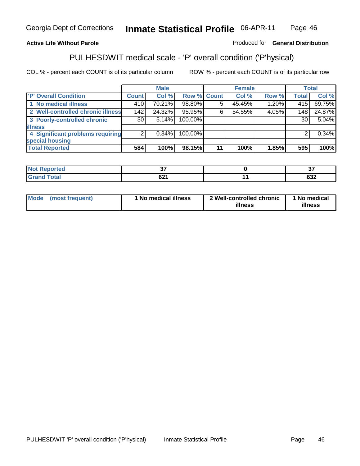### **Active Life Without Parole**

### Produced for **General Distribution**

# PULHESDWIT medical scale - 'P' overall condition ('P'hysical)

|                                   |              | <b>Male</b> |                    |    | <b>Female</b> |       |                 | <b>Total</b> |
|-----------------------------------|--------------|-------------|--------------------|----|---------------|-------|-----------------|--------------|
| 'P' Overall Condition             | <b>Count</b> | Col %       | <b>Row % Count</b> |    | Col %         | Row % | <b>Total</b>    | Col %        |
| 1 No medical illness              | 410          | 70.21%      | 98.80%             |    | 45.45%        | 1.20% | 415             | 69.75%       |
| 2 Well-controlled chronic illness | 142          | 24.32%      | 95.95%             | 6  | 54.55%        | 4.05% | 148             | 24.87%       |
| 3 Poorly-controlled chronic       | 30 l         | 5.14%       | 100.00%            |    |               |       | 30 <sub>1</sub> | 5.04%        |
| <b>illness</b>                    |              |             |                    |    |               |       |                 |              |
| 4 Significant problems requiring  | 2            | $0.34\%$    | 100.00%            |    |               |       | 2               | 0.34%        |
| special housing                   |              |             |                    |    |               |       |                 |              |
| <b>Total Reported</b>             | 584          | 100%        | 98.15%             | 11 | 100%          | 1.85% | 595             | 100%         |

| $Not$ F<br>Reported |             | $\sim$ |
|---------------------|-------------|--------|
| <b>Grand Total</b>  | co.<br>ו שט | 632    |

| Mode | (most frequent) | 1 No medical illness | 2 Well-controlled chronic<br>illness | 1 No medical<br>illness |
|------|-----------------|----------------------|--------------------------------------|-------------------------|
|------|-----------------|----------------------|--------------------------------------|-------------------------|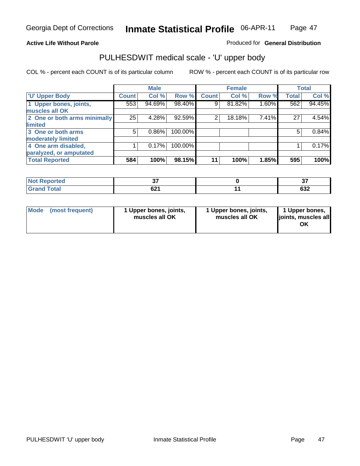### **Active Life Without Parole**

Produced for **General Distribution**

# PULHESDWIT medical scale - 'U' upper body

|                              |                | <b>Male</b> |         |              | <b>Female</b> |       |              | <b>Total</b> |
|------------------------------|----------------|-------------|---------|--------------|---------------|-------|--------------|--------------|
| <b>U' Upper Body</b>         | <b>Count</b>   | Col %       | Row %   | <b>Count</b> | Col %         | Row % | <b>Total</b> | Col %        |
| 1 Upper bones, joints,       | 553            | 94.69%      | 98.40%  | 9            | 81.82%        | 1.60% | 562          | 94.45%       |
| muscles all OK               |                |             |         |              |               |       |              |              |
| 2 One or both arms minimally | 25             | 4.28%       | 92.59%  | 2            | 18.18%        | 7.41% | 27           | 4.54%        |
| limited                      |                |             |         |              |               |       |              |              |
| 3 One or both arms           | 5 <sup>1</sup> | 0.86%       | 100.00% |              |               |       | 5            | 0.84%        |
| moderately limited           |                |             |         |              |               |       |              |              |
| 4 One arm disabled,          |                | 0.17%       | 100.00% |              |               |       |              | 0.17%        |
| paralyzed, or amputated      |                |             |         |              |               |       |              |              |
| <b>Total Reported</b>        | 584            | 100%        | 98.15%  | 11           | 100%          | 1.85% | 595          | 100%         |

| N <sub>of</sub><br><b>Not Reported</b> | ~-                    | $\sim$<br>ω.  |
|----------------------------------------|-----------------------|---------------|
| $T0$ tol<br><b>C</b> <sub>ro</sub>     | co4<br>UZ I<br>$\sim$ | $\sim$<br>∠כס |

|  | Mode (most frequent) | 1 Upper bones, joints,<br>muscles all OK | 1 Upper bones, joints,<br>muscles all OK | 1 Upper bones,<br>joints, muscles all<br>ΟK |
|--|----------------------|------------------------------------------|------------------------------------------|---------------------------------------------|
|--|----------------------|------------------------------------------|------------------------------------------|---------------------------------------------|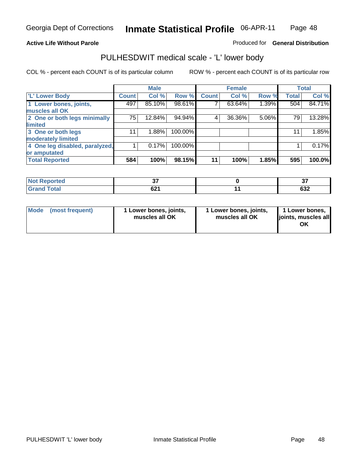#### **Active Life Without Parole**

#### Produced for **General Distribution**

### PULHESDWIT medical scale - 'L' lower body

|                                |              | <b>Male</b> |         |              | <b>Female</b> |       |              | <b>Total</b> |
|--------------------------------|--------------|-------------|---------|--------------|---------------|-------|--------------|--------------|
| 'L' Lower Body                 | <b>Count</b> | Col %       | Row %   | <b>Count</b> | Col %         | Row % | <b>Total</b> | Col %        |
| 1 Lower bones, joints,         | 497          | 85.10%      | 98.61%  |              | 63.64%        | 1.39% | 504          | 84.71%       |
| muscles all OK                 |              |             |         |              |               |       |              |              |
| 2 One or both legs minimally   | 75           | 12.84%      | 94.94%  | 4            | 36.36%        | 5.06% | 79           | 13.28%       |
| limited                        |              |             |         |              |               |       |              |              |
| 3 One or both legs             | 11           | 1.88%       | 100.00% |              |               |       | 11           | 1.85%        |
| moderately limited             |              |             |         |              |               |       |              |              |
| 4 One leg disabled, paralyzed, |              | 0.17%       | 100.00% |              |               |       |              | 0.17%        |
| or amputated                   |              |             |         |              |               |       |              |              |
| <b>Total Reported</b>          | 584          | 100%        | 98.15%  | 11           | 100%          | 1.85% | 595          | 100.0%       |

| norted<br>NG                                              | $ -$      | $\sim$<br><br>$\ddotsc$ |
|-----------------------------------------------------------|-----------|-------------------------|
| T <sub>ofol</sub><br><b>CHAM</b><br><b>Oldi</b><br>------ | co4<br>UL | $\sim$<br>ാ∠            |

|  | Mode (most frequent) | 1 Lower bones, joints,<br>muscles all OK | 1 Lower bones, joints,<br>muscles all OK | 1 Lower bones,<br>joints, muscles all<br>OK |
|--|----------------------|------------------------------------------|------------------------------------------|---------------------------------------------|
|--|----------------------|------------------------------------------|------------------------------------------|---------------------------------------------|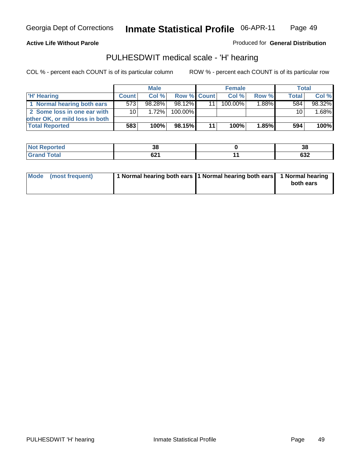#### **Active Life Without Parole**

Produced for **General Distribution**

### PULHESDWIT medical scale - 'H' hearing

|                                |              | <b>Male</b> |             |    | <b>Female</b> |       | Total        |         |
|--------------------------------|--------------|-------------|-------------|----|---------------|-------|--------------|---------|
| 'H' Hearing                    | <b>Count</b> | Col%        | Row % Count |    | Col%          | Row % | <b>Total</b> | Col %   |
| 1 Normal hearing both ears     | 573          | 98.28%      | 98.12%      |    | $100.00\%$    | 1.88% | 584          | 98.32%  |
| 2 Some loss in one ear with    | 10 I         | 1.72%       | 100.00%     |    |               |       | 10           | 1.68%   |
| other OK, or mild loss in both |              |             |             |    |               |       |              |         |
| <b>Total Reported</b>          | 583          | 100%        | 98.15%      | 11 | 100%          | 1.85% | 594          | $100\%$ |

| .   | ^'<br>ູບເ | $\sim$<br>၁၀ |
|-----|-----------|--------------|
| --- | ໍ         | ເາາ          |
|     | VŁ I      | o∍∠          |

| 1 Normal hearing both ears 1 Normal hearing both ears 1 Normal hearing<br>Mode (most frequent)<br>both ears |
|-------------------------------------------------------------------------------------------------------------|
|-------------------------------------------------------------------------------------------------------------|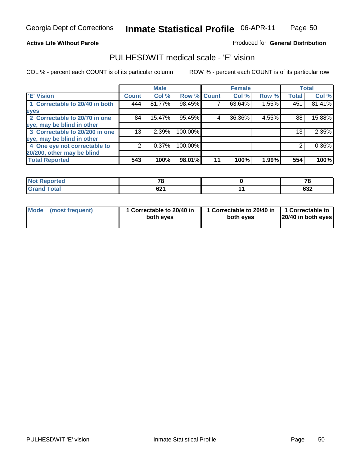#### **Active Life Without Parole**

#### Produced for **General Distribution**

### PULHESDWIT medical scale - 'E' vision

|                                |              | <b>Male</b> |             |    | <b>Female</b> |       |              | <b>Total</b> |
|--------------------------------|--------------|-------------|-------------|----|---------------|-------|--------------|--------------|
| <b>E' Vision</b>               | <b>Count</b> | Col %       | Row % Count |    | Col %         | Row % | <b>Total</b> | Col %        |
| 1 Correctable to 20/40 in both | 444          | 81.77%      | 98.45%      |    | 63.64%        | 1.55% | 451          | 81.41%       |
| eyes                           |              |             |             |    |               |       |              |              |
| 2 Correctable to 20/70 in one  | 84           | 15.47%      | 95.45%      | 4  | 36.36%        | 4.55% | 88           | 15.88%       |
| eye, may be blind in other     |              |             |             |    |               |       |              |              |
| 3 Correctable to 20/200 in one | 13           | $2.39\%$    | 100.00%     |    |               |       | 13           | 2.35%        |
| eye, may be blind in other     |              |             |             |    |               |       |              |              |
| 4 One eye not correctable to   |              | 0.37%       | 100.00%     |    |               |       | 2            | $0.36\%$     |
| 20/200, other may be blind     |              |             |             |    |               |       |              |              |
| <b>Total Reported</b>          | 543          | 100%        | 98.01%      | 11 | 100%          | 1.99% | 554          | 100%         |

| <b>Not Reported</b> | 70         | - -<br>⊿ ⊾ |
|---------------------|------------|------------|
| <b>Total</b>        | <b>CO4</b> | $\sim$     |
| 'Grand              | 94 I       | פט         |

| Mode (most frequent) | 1 Correctable to 20/40 in<br>both eyes | 1 Correctable to 20/40 in   1 Correctable to<br>both eyes | 20/40 in both eyes |
|----------------------|----------------------------------------|-----------------------------------------------------------|--------------------|
|----------------------|----------------------------------------|-----------------------------------------------------------|--------------------|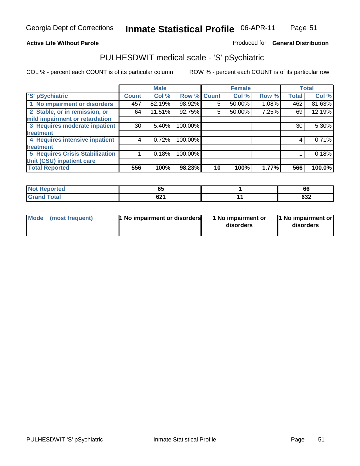### **Active Life Without Parole**

### Produced for **General Distribution**

### PULHESDWIT medical scale - 'S' pSychiatric

|                                        |                 | <b>Male</b> |         |             | <b>Female</b> |       |              | <b>Total</b> |
|----------------------------------------|-----------------|-------------|---------|-------------|---------------|-------|--------------|--------------|
| 'S' pSychiatric                        | <b>Count</b>    | Col %       |         | Row % Count | Col %         | Row % | <b>Total</b> | Col %        |
| 1 No impairment or disorders           | 457             | 82.19%      | 98.92%  | 5.          | 50.00%        | 1.08% | 462          | 81.63%       |
| 2 Stable, or in remission, or          | 64              | 11.51%      | 92.75%  | 5           | 50.00%        | 7.25% | 69           | 12.19%       |
| mild impairment or retardation         |                 |             |         |             |               |       |              |              |
| 3 Requires moderate inpatient          | 30 <sub>1</sub> | $5.40\%$    | 100.00% |             |               |       | 30           | 5.30%        |
| treatment                              |                 |             |         |             |               |       |              |              |
| 4 Requires intensive inpatient         |                 | 0.72%       | 100.00% |             |               |       |              | 0.71%        |
| treatment                              |                 |             |         |             |               |       |              |              |
| <b>5 Requires Crisis Stabilization</b> |                 | 0.18%       | 100.00% |             |               |       |              | 0.18%        |
| Unit (CSU) inpatient care              |                 |             |         |             |               |       |              |              |
| <b>Total Reported</b>                  | 556             | 100%        | 98.23%  | 10          | 100%          | 1.77% | 566          | 100.0%       |

| <b>orted</b> | $\sim$ $\sim$<br>v. | 66         |
|--------------|---------------------|------------|
| $T0$ tol     | <b>691</b><br>VZ 1  | coo<br>∠כס |

| Mode (most frequent) | <b>1</b> No impairment or disorders | 1 No impairment or<br>disorders | 11 No impairment or<br>disorders |
|----------------------|-------------------------------------|---------------------------------|----------------------------------|
|                      |                                     |                                 |                                  |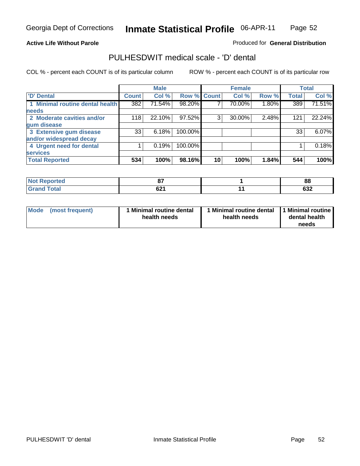#### **Active Life Without Parole**

#### Produced for **General Distribution**

### PULHESDWIT medical scale - 'D' dental

|                                 |                 | <b>Male</b> |                    |    | <b>Female</b> |       |              | <b>Total</b> |
|---------------------------------|-----------------|-------------|--------------------|----|---------------|-------|--------------|--------------|
| 'D' Dental                      | <b>Count</b>    | Col %       | <b>Row % Count</b> |    | Col %         | Row % | <b>Total</b> | Col %        |
| 1 Minimal routine dental health | 382             | 71.54%      | 98.20%             |    | 70.00%        | 1.80% | 389          | 71.51%       |
| <b>needs</b>                    |                 |             |                    |    |               |       |              |              |
| 2 Moderate cavities and/or      | 118             | 22.10%      | 97.52%             | 3  | 30.00%        | 2.48% | 121          | 22.24%       |
| gum disease                     |                 |             |                    |    |               |       |              |              |
| 3 Extensive gum disease         | 33 <sub>1</sub> | 6.18%       | 100.00%            |    |               |       | 33           | 6.07%        |
| and/or widespread decay         |                 |             |                    |    |               |       |              |              |
| 4 Urgent need for dental        |                 | 0.19%       | 100.00%            |    |               |       |              | 0.18%        |
| <b>services</b>                 |                 |             |                    |    |               |       |              |              |
| <b>Total Reported</b>           | 534             | 100%        | 98.16%             | 10 | 100%          | 1.84% | 544          | 100%         |

| Reported<br>' NOT | $\sim$<br>υ.              | 88             |
|-------------------|---------------------------|----------------|
| <b>Total</b>      | <b>CO1</b><br><u>uz 1</u> | $\sim$<br>⊿כּס |

| <b>Mode</b><br>(most frequent) | <b>Minimal routine dental</b><br>health needs | 1 Minimal routine dental<br>health needs | 11 Minimal routine<br>dental health<br>needs |
|--------------------------------|-----------------------------------------------|------------------------------------------|----------------------------------------------|
|--------------------------------|-----------------------------------------------|------------------------------------------|----------------------------------------------|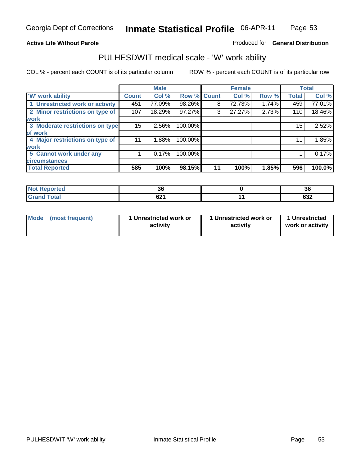### **Active Life Without Parole**

### Produced for **General Distribution**

### PULHESDWIT medical scale - 'W' work ability

|                                 |              | <b>Male</b> |             |    | <b>Female</b> |       |              | <b>Total</b> |
|---------------------------------|--------------|-------------|-------------|----|---------------|-------|--------------|--------------|
| <b>W' work ability</b>          | <b>Count</b> | Col %       | Row % Count |    | Col %         | Row % | <b>Total</b> | Col %        |
| 1 Unrestricted work or activity | 451          | 77.09%      | 98.26%      | 8  | 72.73%        | 1.74% | 459          | 77.01%       |
| 2 Minor restrictions on type of | 107          | 18.29%      | 97.27%      | 3  | 27.27%        | 2.73% | 110          | 18.46%       |
| <b>work</b>                     |              |             |             |    |               |       |              |              |
| 3 Moderate restrictions on type | 15           | $2.56\%$    | 100.00%     |    |               |       | 15           | 2.52%        |
| of work                         |              |             |             |    |               |       |              |              |
| 4 Major restrictions on type of | 11           | 1.88%       | 100.00%     |    |               |       | 11           | 1.85%        |
| <b>work</b>                     |              |             |             |    |               |       |              |              |
| 5 Cannot work under any         |              | 0.17%       | 100.00%     |    |               |       |              | 0.17%        |
| <b>circumstances</b>            |              |             |             |    |               |       |              |              |
| <b>Total Reported</b>           | 585          | 100%        | 98.15%      | 11 | 100%          | 1.85% | 596          | 100.0%       |

| المنتصب المتعارف<br>тео | - -<br>JJ.            | $\ddot{\phantom{0}}$<br>-၁၄ |
|-------------------------|-----------------------|-----------------------------|
| $C = 1$                 | co4<br>UZ 1<br>$\sim$ | <b>000</b><br>ত১∠           |

| Mode | (most frequent) | 1 Unrestricted work or<br>activity | 1 Unrestricted work or<br>activity | 1 Unrestricted<br>work or activity |
|------|-----------------|------------------------------------|------------------------------------|------------------------------------|
|------|-----------------|------------------------------------|------------------------------------|------------------------------------|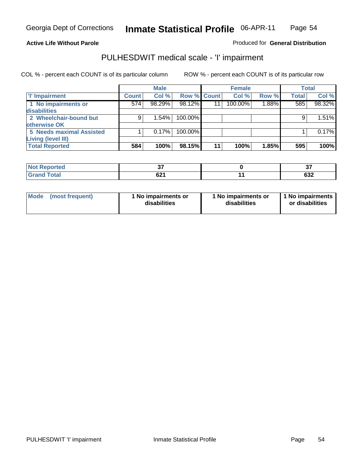#### **Active Life Without Parole**

### Produced for **General Distribution**

### PULHESDWIT medical scale - 'I' impairment

|                                 |              | <b>Male</b> |             |    | <b>Female</b> |       |              | <b>Total</b> |
|---------------------------------|--------------|-------------|-------------|----|---------------|-------|--------------|--------------|
| <b>T' Impairment</b>            | <b>Count</b> | Col %       | Row % Count |    | Col %         | Row % | <b>Total</b> | Col %        |
| 1 No impairments or             | 574          | 98.29%      | 98.12%      | 11 | 100.00%       | 1.88% | 585          | 98.32%       |
| disabilities                    |              |             |             |    |               |       |              |              |
| 2 Wheelchair-bound but          | 9            | 1.54%       | 100.00%     |    |               |       |              | 1.51%        |
| otherwise OK                    |              |             |             |    |               |       |              |              |
| <b>5 Needs maximal Assisted</b> |              | 0.17%       | $100.00\%$  |    |               |       |              | 0.17%        |
| Living (level III)              |              |             |             |    |               |       |              |              |
| <b>Total Reported</b>           | 584          | 100%        | 98.15%      | 11 | 100%          | 1.85% | 595          | 100%         |

| Reported<br>NOI<br> | --<br>      | $\sim$<br>ີ     |
|---------------------|-------------|-----------------|
| <b>c</b> otal       | co.<br>04 I | …<br><b>OJZ</b> |

| Mode            | 1 No impairments or | 1 No impairments or | 1 No impairments |
|-----------------|---------------------|---------------------|------------------|
| (most frequent) | disabilities        | disabilities        | or disabilities  |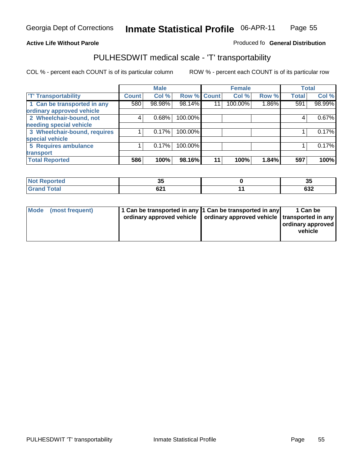#### **Inmate Statistical Profile** 06-APR-11 Page Page 55

### **Active Life Without Parole Produced fo Seneral Distribution**

### PULHESDWIT medical scale - 'T' transportability

|                              |              | <b>Male</b> |             |    | <b>Female</b> |       |              | <b>Total</b> |
|------------------------------|--------------|-------------|-------------|----|---------------|-------|--------------|--------------|
| <b>T' Transportability</b>   | <b>Count</b> | Col %       | Row % Count |    | Col %         | Row % | <b>Total</b> | Col %        |
| 1 Can be transported in any  | 580          | 98.98%      | 98.14%      | 11 | 100.00%       | 1.86% | 591          | 98.99%       |
| ordinary approved vehicle    |              |             |             |    |               |       |              |              |
| 2 Wheelchair-bound, not      | 4            | 0.68%       | 100.00%     |    |               |       | 4            | 0.67%        |
| needing special vehicle      |              |             |             |    |               |       |              |              |
| 3 Wheelchair-bound, requires |              | 0.17%       | 100.00%     |    |               |       |              | 0.17%        |
| special vehicle              |              |             |             |    |               |       |              |              |
| 5 Requires ambulance         |              | 0.17%       | 100.00%     |    |               |       |              | 0.17%        |
| transport                    |              |             |             |    |               |       |              |              |
| <b>Total Reported</b>        | 586          | 100%        | 98.16%      | 11 | 100%          | 1.84% | 597          | 100%         |

| eported                     | ৩৩          | --<br>აუ |
|-----------------------------|-------------|----------|
| <b>Total</b><br><b>Gran</b> | co4<br>04 I | 632      |

|  | Mode (most frequent) | 1 Can be transported in any 1 Can be transported in any | ordinary approved vehicle   ordinary approved vehicle   transported in any | 1 Can be<br>ordinary approved<br>vehicle |
|--|----------------------|---------------------------------------------------------|----------------------------------------------------------------------------|------------------------------------------|
|--|----------------------|---------------------------------------------------------|----------------------------------------------------------------------------|------------------------------------------|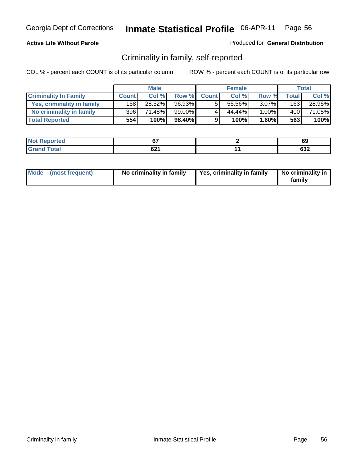### **Active Life Without Parole**

#### Produced for **General Distribution**

### Criminality in family, self-reported

|                              |              | <b>Male</b> |        |              | <b>Female</b> |          |              | Total  |
|------------------------------|--------------|-------------|--------|--------------|---------------|----------|--------------|--------|
| <b>Criminality In Family</b> | <b>Count</b> | Col %       | Row %  | <b>Count</b> | Col %         | Row %    | <b>Total</b> | Col %  |
| Yes, criminality in family   | 158          | 28.52%      | 96.93% | 5            | 55.56%        | $3.07\%$ | 163          | 28.95% |
| No criminality in family     | 396          | 71.48%      | 99.00% | 4            | 44.44%        | 1.00%    | 400          | 71.05% |
| <b>Total Reported</b>        | 554          | 100%        | 98.40% | 9            | 100%          | 1.60%    | 563          | 100%   |

| rted<br><b>NO</b>                                     | --                 | c<br>৩୪           |
|-------------------------------------------------------|--------------------|-------------------|
| $\sim$ $\sim$<br>$\sim$ $\sim$ $\sim$<br>$\sim$<br>-- | co4<br><b>UZ</b> 1 | <b>000</b><br>∠כס |

| Mode (most frequent) |  | No criminality in family | Yes, criminality in family | No criminality in<br>family |
|----------------------|--|--------------------------|----------------------------|-----------------------------|
|----------------------|--|--------------------------|----------------------------|-----------------------------|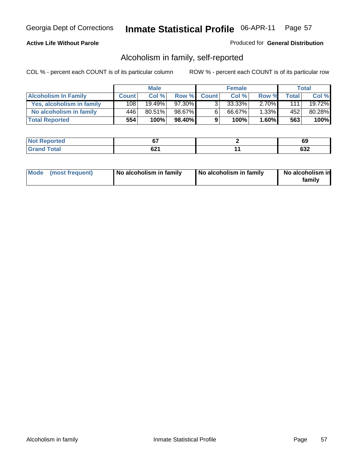### **Active Life Without Parole**

#### Produced for **General Distribution**

### Alcoholism in family, self-reported

|                             |              | <b>Male</b> |        |              | <b>Female</b> |          |       | Total  |
|-----------------------------|--------------|-------------|--------|--------------|---------------|----------|-------|--------|
| <b>Alcoholism In Family</b> | <b>Count</b> | Col %       | Row %  | <b>Count</b> | Col %         | Row %    | Total | Col %  |
| Yes, alcoholism in family   | 108.         | $19.49\%$   | 97.30% |              | $33.33\%$     | $2.70\%$ | 1111  | 19.72% |
| No alcoholism in family     | 446'         | 80.51%      | 98.67% | 6            | 66.67%        | $1.33\%$ | 452   | 80.28% |
| <b>Total Reported</b>       | 554          | 100%        | 98.40% | 9            | 100%          | $1.60\%$ | 563   | 100%   |

| <b>Not</b><br>المحكمت<br>rtea                 | ^¬       | v                       |
|-----------------------------------------------|----------|-------------------------|
| $\sim$ $\sim$<br>$\sim$ $\sim$<br>$\sim$<br>- | rn.<br>U | <u>__</u><br><b>OJZ</b> |

|  | Mode (most frequent) | No alcoholism in family | No alcoholism in family | No alcoholism in<br>familv |
|--|----------------------|-------------------------|-------------------------|----------------------------|
|--|----------------------|-------------------------|-------------------------|----------------------------|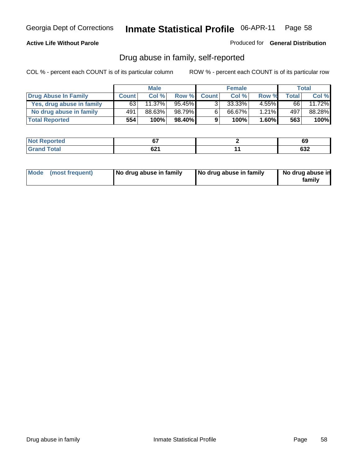#### **Active Life Without Parole**

Produced for **General Distribution**

### Drug abuse in family, self-reported

|                           |              | <b>Male</b> |           |              | <b>Female</b> |          |              | Total  |
|---------------------------|--------------|-------------|-----------|--------------|---------------|----------|--------------|--------|
| Drug Abuse In Family      | <b>Count</b> | Col%        | Row %     | <b>Count</b> | Col %         | Row %    | <b>Total</b> | Col %  |
| Yes, drug abuse in family | 63           | 11.37%      | $95.45\%$ | 3            | 33.33%        | 4.55%I   | 66           | 11.72% |
| No drug abuse in family   | 491          | 88.63%      | 98.79%    | 6            | 66.67%        | $1.21\%$ | 497          | 88.28% |
| <b>Total Reported</b>     | 554          | 100%        | 98.40%    | 9            | 100%          | $1.60\%$ | 563          | 100%   |

| <b>Not</b><br>المحكمت<br>rtea                 | ^¬       | v                       |
|-----------------------------------------------|----------|-------------------------|
| $\sim$ $\sim$<br>$\sim$ $\sim$<br>$\sim$<br>- | rn.<br>U | <u>__</u><br><b>OJZ</b> |

|  | Mode (most frequent) | No drug abuse in family | No drug abuse in family | No drug abuse in<br>family |
|--|----------------------|-------------------------|-------------------------|----------------------------|
|--|----------------------|-------------------------|-------------------------|----------------------------|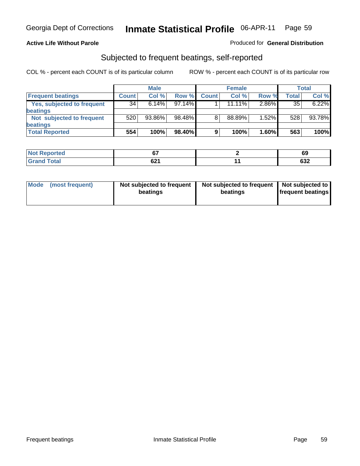#### **Active Life Without Parole**

#### Produced for **General Distribution**

### Subjected to frequent beatings, self-reported

|                            |              | <b>Male</b> |           |              | <b>Female</b> |       |       | <b>Total</b> |
|----------------------------|--------------|-------------|-----------|--------------|---------------|-------|-------|--------------|
| <b>Frequent beatings</b>   | <b>Count</b> | Col%        | Row %     | <b>Count</b> | Col%          | Row % | Total | Col %        |
| Yes, subjected to frequent | 34           | 6.14%       | $97.14\%$ |              | $11.11\%$     | 2.86% | 35    | 6.22%        |
| <b>beatings</b>            |              |             |           |              |               |       |       |              |
| Not subjected to frequent  | 520          | 93.86%      | 98.48%    | 8            | 88.89%        | 1.52% | 528   | 93.78%       |
| <b>beatings</b>            |              |             |           |              |               |       |       |              |
| <b>Total Reported</b>      | 554          | 100%        | 98.40%    | 9            | 100%          | 1.60% | 563   | 100%         |

| prtea<br>NO.<br>$\sim$ | $\sim$     | 69            |
|------------------------|------------|---------------|
| Coto!                  | co4<br>,,, | $\sim$<br>ত১∠ |

| Mode (most frequent) | Not subjected to frequent<br>beatings | Not subjected to frequent<br>beatings | Not subjected to<br><b>frequent beatings</b> |
|----------------------|---------------------------------------|---------------------------------------|----------------------------------------------|
|                      |                                       |                                       |                                              |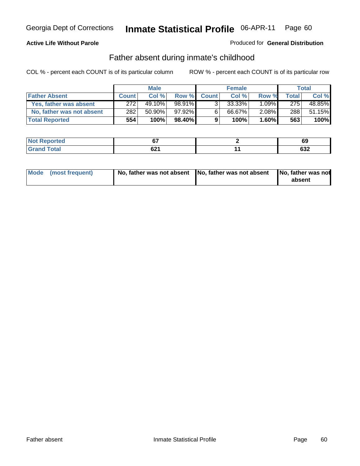### **Active Life Without Parole**

#### Produced for **General Distribution**

### Father absent during inmate's childhood

|                           |              | <b>Male</b> |        |              | <b>Female</b> |          |       | Total  |
|---------------------------|--------------|-------------|--------|--------------|---------------|----------|-------|--------|
| <b>Father Absent</b>      | <b>Count</b> | Col %       | Row %  | <b>Count</b> | Col %         | Row %    | Total | Col %  |
| Yes, father was absent    | 272          | 49.10%      | 98.91% | $\mathbf{R}$ | $33.33\%$     | $1.09\%$ | 275   | 48.85% |
| No, father was not absent | 282          | $50.90\%$   | 97.92% | 6            | 66.67%        | $2.08\%$ | 288   | 51.15% |
| <b>Total Reported</b>     | 554          | 100%        | 98.40% | 9            | 100%          | $1.60\%$ | 563   | 100%   |

| <b>Not Reported</b> |             | c.<br>D2      |
|---------------------|-------------|---------------|
| $\sim$              | co4<br>UZ I | $\sim$<br>⊿כס |

| Mode (most frequent) |  | 「No, father was not absent ┃No, father was not absent ┃No, father was not | absent |
|----------------------|--|---------------------------------------------------------------------------|--------|
|----------------------|--|---------------------------------------------------------------------------|--------|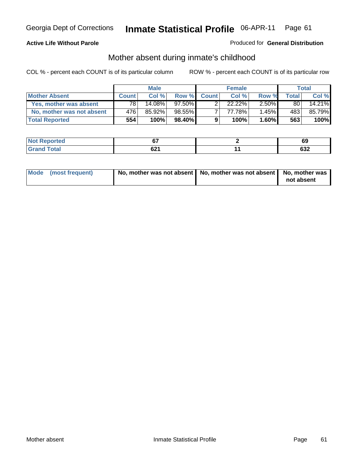#### **Active Life Without Parole**

#### Produced for **General Distribution**

# Mother absent during inmate's childhood

|                           |              | <b>Male</b> |           |              | <b>Female</b>        |          |       | Total  |
|---------------------------|--------------|-------------|-----------|--------------|----------------------|----------|-------|--------|
| <b>Mother Absent</b>      | <b>Count</b> | Col%        | Row %     | <b>Count</b> | Col%                 | Row %    | Total | Col %  |
| Yes, mother was absent    | 78           | 14.08%      | $97.50\%$ |              | $22.\overline{22\%}$ | $2.50\%$ | 80    | 14.21% |
| No, mother was not absent | 476          | 85.92%      | 98.55%    |              | 77.78%               | $1.45\%$ | 483   | 85.79% |
| <b>Total Reported</b>     | 554          | 100%        | 98.40%    | 9            | 100%                 | $1.60\%$ | 563   | 100%   |

| <b>Not</b><br>rted                  | ~-          | ບວ                      |
|-------------------------------------|-------------|-------------------------|
| $\sim$<br>$\sim$ $\sim$ $\sim$<br>- | າດ.<br>UZ I | <u>__</u><br><b>OJZ</b> |

| Mode (most frequent) | No, mother was not absent $\vert$ No, mother was not absent $\vert$ No, mother was | not absent |
|----------------------|------------------------------------------------------------------------------------|------------|
|                      |                                                                                    |            |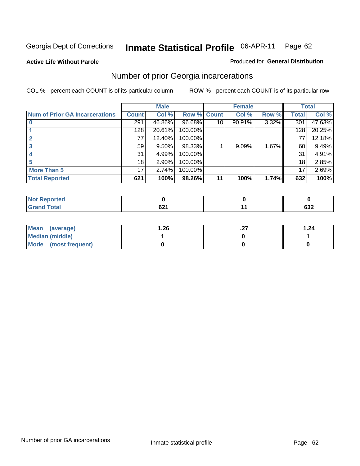**Active Life Without Parole** 

#### Produced for **General Distribution**

### Number of prior Georgia incarcerations

|                                       |                 | <b>Male</b> |                    |    | <b>Female</b> |       |       | <b>Total</b> |
|---------------------------------------|-----------------|-------------|--------------------|----|---------------|-------|-------|--------------|
| <b>Num of Prior GA Incarcerations</b> | <b>Count</b>    | Col %       | <b>Row % Count</b> |    | Col %         | Row % | Total | Col %        |
|                                       | 291             | 46.86%      | 96.68%             | 10 | 90.91%        | 3.32% | 301   | 47.63%       |
|                                       | 128             | 20.61%      | 100.00%            |    |               |       | 128   | 20.25%       |
|                                       | 77              | 12.40%      | 100.00%            |    |               |       | 77    | 12.18%       |
| 3                                     | 59              | $9.50\%$    | 98.33%             |    | 9.09%         | 1.67% | 60    | 9.49%        |
|                                       | 31              | 4.99%       | 100.00%            |    |               |       | 31    | 4.91%        |
|                                       | 18              | 2.90%       | 100.00%            |    |               |       | 18    | 2.85%        |
| <b>More Than 5</b>                    | 17 <sub>1</sub> | 2.74%       | 100.00%            |    |               |       | 17    | 2.69%        |
| <b>Total Reported</b>                 | 621             | 100%        | 98.26%             | 11 | 100%          | 1.74% | 632   | 100%         |

| Reported<br>NOT         |                                        |           |
|-------------------------|----------------------------------------|-----------|
| <b>otal</b><br>$\sim$ . | $\sim$ $\sim$ $\sim$<br>$\cdots$<br>VZ | ົາ<br>∪J∠ |

| Mean (average)       | 26.ا | . | 1.24 |
|----------------------|------|---|------|
| Median (middle)      |      |   |      |
| Mode (most frequent) |      |   |      |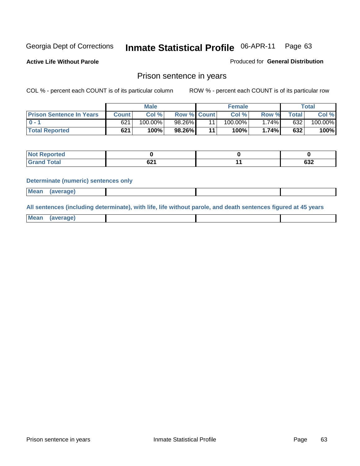**Active Life Without Parole** 

Produced for **General Distribution**

### Prison sentence in years

COL % - percent each COUNT is of its particular column ROW % - percent each COUNT is of its particular row

|                                 |              | Male    |                    | <b>Female</b> |       |             | Total   |
|---------------------------------|--------------|---------|--------------------|---------------|-------|-------------|---------|
| <b>Prison Sentence In Years</b> | <b>Count</b> | Col %   | <b>Row % Count</b> | Col %         | Row % | $\tau$ otal | Col %   |
| $0 - 1$                         | 621          | 100.00% | 98.26%             | $100.00\%$    | .74%  | 632         | 100.00% |
| <b>Total Reported</b>           | 621          | 100%    | 98.26%             | 100%          | 1.74% | 632         | 100%    |

| oorted<br><b>NOT</b><br>$\sim$ |      |      |
|--------------------------------|------|------|
| <b>Total</b>                   | ົ້   | coo  |
| $\mathbf{v}$ and               | 94 I | ∠כּס |

#### **Determinate (numeric) sentences only**

| <b>Mean</b> | (average) |  |  |
|-------------|-----------|--|--|

**All sentences (including determinate), with life, life without parole, and death sentences figured at 45 years**

| <b>Mear</b><br>anei<br>. |  |  |  |
|--------------------------|--|--|--|
|                          |  |  |  |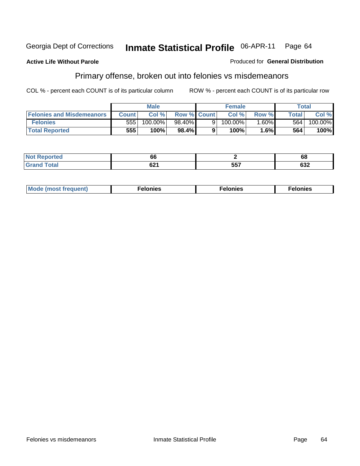#### **Active Life Without Parole**

#### Produced for **General Distribution**

# Primary offense, broken out into felonies vs misdemeanors

|                                  |              | <b>Male</b> |                    |   | <b>Female</b> |          |              | Total   |
|----------------------------------|--------------|-------------|--------------------|---|---------------|----------|--------------|---------|
| <b>Felonies and Misdemeanors</b> | <b>Count</b> | Col%        | <b>Row % Count</b> |   | Col%          | Row %    | <b>Total</b> | Col %   |
| <b>Felonies</b>                  | 555          | 100.00%     | 98.40%             | 9 | $100.00\%$    | $1.60\%$ | 564          | 100.00% |
| <b>Total Reported</b>            | 555          | 100%        | 98.4%              |   | 100%          | 1.6%     | 564          | 100%    |

| $\mathbf{B}$ $\mathbf{B}$ $\mathbf{B}$ $\mathbf{C}$<br><b>rted</b><br><b>NO</b> | oo          |                   | 68  |
|---------------------------------------------------------------------------------|-------------|-------------------|-----|
|                                                                                 | cn4<br>VŁ I | <b>EE7</b><br>JJ. | 632 |

| M<br>$\cdots$<br>пю.<br>. | nies<br>. | . |
|---------------------------|-----------|---|
|---------------------------|-----------|---|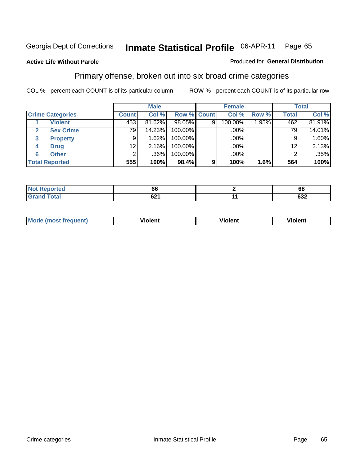#### **Active Life Without Parole**

#### Produced for **General Distribution**

### Primary offense, broken out into six broad crime categories

|                         |              | <b>Male</b> |             |   | <b>Female</b> |       |                 | <b>Total</b> |
|-------------------------|--------------|-------------|-------------|---|---------------|-------|-----------------|--------------|
| <b>Crime Categories</b> | <b>Count</b> | Col %       | Row % Count |   | Col %         | Row % | <b>Total</b>    | Col %        |
| <b>Violent</b>          | 453          | 81.62%      | 98.05%      | 9 | 100.00%       | 1.95% | 462             | 81.91%       |
| <b>Sex Crime</b>        | 79           | 14.23%      | 100.00%     |   | .00%          |       | 79 <sub>1</sub> | 14.01%       |
| <b>Property</b><br>3    | 9            | $.62\%$     | 100.00%     |   | .00%          |       | 9               | 1.60%        |
| <b>Drug</b><br>4        | 12           | 2.16%       | 100.00%     |   | .00%          |       | 12              | 2.13%        |
| <b>Other</b><br>6       | 2            | .36%        | 100.00%     |   | .00%          |       |                 | .35%         |
| <b>Total Reported</b>   | 555          | 100%        | 98.4%       | 9 | 100%          | 1.6%  | 564             | 100%         |

| <b>Reported</b><br>.     | . UU                      | eо<br>oo |
|--------------------------|---------------------------|----------|
| <b>Total</b><br>UI di Iu | <b>CO4</b><br><u>uz i</u> | 632      |

| Mo | n n | winlor" | ılen' |
|----|-----|---------|-------|
|    |     |         |       |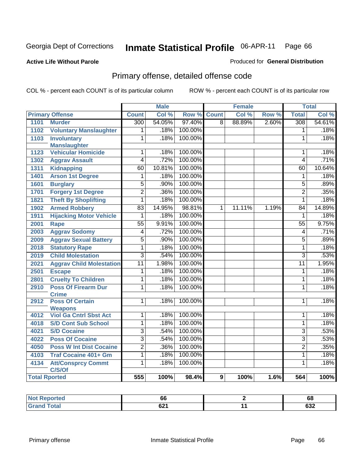#### **Active Life Without Parole**

#### Produced for **General Distribution**

# Primary offense, detailed offense code

|      |                                     |                 | <b>Male</b> |         |                | <b>Female</b> |       |                  | <b>Total</b> |
|------|-------------------------------------|-----------------|-------------|---------|----------------|---------------|-------|------------------|--------------|
|      | <b>Primary Offense</b>              | <b>Count</b>    | Col %       | Row %   | <b>Count</b>   | Col %         | Row % | <b>Total</b>     | Col %        |
| 1101 | <b>Murder</b>                       | 300             | 54.05%      | 97.40%  | $\overline{8}$ | 88.89%        | 2.60% | $\overline{308}$ | 54.61%       |
| 1102 | <b>Voluntary Manslaughter</b>       | 1               | .18%        | 100.00% |                |               |       | $\mathbf{1}$     | .18%         |
| 1103 | <b>Involuntary</b>                  | 1               | .18%        | 100.00% |                |               |       | 1                | .18%         |
|      | <b>Manslaughter</b>                 |                 |             |         |                |               |       |                  |              |
| 1123 | <b>Vehicular Homicide</b>           | 1               | .18%        | 100.00% |                |               |       | 1                | .18%         |
| 1302 | <b>Aggrav Assault</b>               | 4               | .72%        | 100.00% |                |               |       | $\overline{4}$   | .71%         |
| 1311 | <b>Kidnapping</b>                   | 60              | 10.81%      | 100.00% |                |               |       | 60               | 10.64%       |
| 1401 | <b>Arson 1st Degree</b>             | 1               | .18%        | 100.00% |                |               |       | $\mathbf{1}$     | .18%         |
| 1601 | <b>Burglary</b>                     | 5               | .90%        | 100.00% |                |               |       | $\overline{5}$   | .89%         |
| 1701 | <b>Forgery 1st Degree</b>           | $\overline{2}$  | .36%        | 100.00% |                |               |       | $\overline{2}$   | .35%         |
| 1821 | <b>Theft By Shoplifting</b>         | $\overline{1}$  | .18%        | 100.00% |                |               |       | $\overline{1}$   | .18%         |
| 1902 | <b>Armed Robbery</b>                | $\overline{83}$ | 14.95%      | 98.81%  | 1              | 11.11%        | 1.19% | 84               | 14.89%       |
| 1911 | <b>Hijacking Motor Vehicle</b>      | $\overline{1}$  | .18%        | 100.00% |                |               |       | $\mathbf{1}$     | .18%         |
| 2001 | <b>Rape</b>                         | $\overline{55}$ | 9.91%       | 100.00% |                |               |       | $\overline{55}$  | 9.75%        |
| 2003 | <b>Aggrav Sodomy</b>                | 4               | .72%        | 100.00% |                |               |       | $\overline{4}$   | .71%         |
| 2009 | <b>Aggrav Sexual Battery</b>        | 5               | .90%        | 100.00% |                |               |       | 5                | .89%         |
| 2018 | <b>Statutory Rape</b>               | $\overline{1}$  | .18%        | 100.00% |                |               |       | $\mathbf{1}$     | .18%         |
| 2019 | <b>Child Molestation</b>            | 3               | .54%        | 100.00% |                |               |       | 3                | .53%         |
| 2021 | <b>Aggrav Child Molestation</b>     | $\overline{11}$ | 1.98%       | 100.00% |                |               |       | $\overline{11}$  | 1.95%        |
| 2501 | <b>Escape</b>                       | 1               | .18%        | 100.00% |                |               |       | 1                | .18%         |
| 2801 | <b>Cruelty To Children</b>          | 1               | .18%        | 100.00% |                |               |       | 1                | .18%         |
| 2910 | <b>Poss Of Firearm Dur</b>          | $\overline{1}$  | .18%        | 100.00% |                |               |       | 1                | .18%         |
|      | <b>Crime</b>                        |                 |             |         |                |               |       |                  |              |
| 2912 | <b>Poss Of Certain</b>              | 1               | .18%        | 100.00% |                |               |       | 1                | .18%         |
|      | <b>Weapons</b>                      |                 |             |         |                |               |       |                  |              |
| 4012 | <b>Viol Ga Cntrl Sbst Act</b>       | 1               | .18%        | 100.00% |                |               |       | 1                | .18%         |
| 4018 | <b>S/D Cont Sub School</b>          | $\overline{1}$  | .18%        | 100.00% |                |               |       | $\overline{1}$   | .18%         |
| 4021 | <b>S/D Cocaine</b>                  | $\overline{3}$  | .54%        | 100.00% |                |               |       | $\overline{3}$   | .53%         |
| 4022 | <b>Poss Of Cocaine</b>              | $\overline{3}$  | .54%        | 100.00% |                |               |       | $\overline{3}$   | .53%         |
| 4050 | <b>Poss W Int Dist Cocaine</b>      | $\overline{2}$  | .36%        | 100.00% |                |               |       | $\overline{2}$   | .35%         |
| 4103 | <b>Traf Cocaine 401+ Gm</b>         | $\overline{1}$  | .18%        | 100.00% |                |               |       | $\mathbf{1}$     | .18%         |
| 4134 | <b>Att/Consprcy Commt</b><br>C/S/Of | $\overline{1}$  | .18%        | 100.00% |                |               |       | $\mathbf{1}$     | .18%         |
|      | <b>Total Rported</b>                | 555             | 100%        | 98.4%   | 9              | 100%          | 1.6%  | 564              | 100%         |

| rer                 | oo   |     | 68        |
|---------------------|------|-----|-----------|
| $T \wedge f \wedge$ | co/  | . . | <u>__</u> |
|                     | OZ 1 |     | OJZ.      |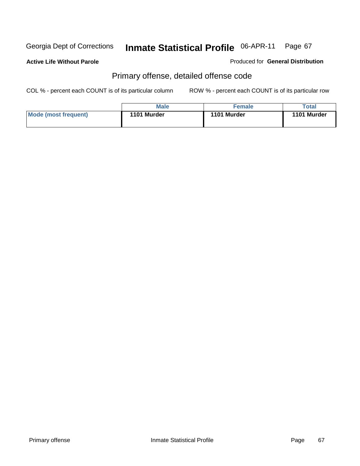**Active Life Without Parole** 

Produced for **General Distribution**

# Primary offense, detailed offense code

|                      | Male        | <b>Female</b> | $\tau$ otal |
|----------------------|-------------|---------------|-------------|
| Mode (most frequent) | 1101 Murder | 1101 Murder   | 1101 Murder |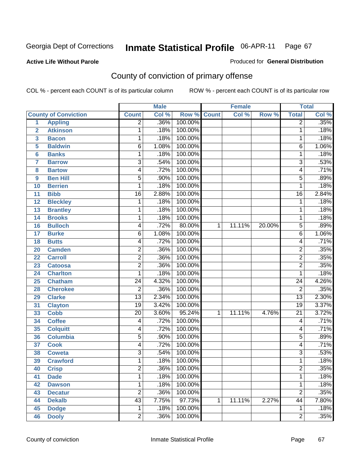#### **Active Life Without Parole**

# Produced for **General Distribution**

# County of conviction of primary offense

|                |                             |                         | <b>Male</b> |         | <b>Female</b> |        |        | <b>Total</b>    |                            |
|----------------|-----------------------------|-------------------------|-------------|---------|---------------|--------|--------|-----------------|----------------------------|
|                | <b>County of Conviction</b> | <b>Count</b>            | Col %       | Row %   | <b>Count</b>  | Col %  | Row %  | <b>Total</b>    | $\overline{\text{Col }^9}$ |
| 1              | <b>Appling</b>              | $\overline{2}$          | .36%        | 100.00% |               |        |        | 2               | .35%                       |
| $\overline{2}$ | <b>Atkinson</b>             | 1                       | .18%        | 100.00% |               |        |        | 1               | .18%                       |
| 3              | <b>Bacon</b>                | 1                       | .18%        | 100.00% |               |        |        | 1               | .18%                       |
| 5              | <b>Baldwin</b>              | $\overline{6}$          | 1.08%       | 100.00% |               |        |        | 6               | 1.06%                      |
| 6              | <b>Banks</b>                | 1                       | .18%        | 100.00% |               |        |        | 1               | .18%                       |
| $\overline{7}$ | <b>Barrow</b>               | 3                       | .54%        | 100.00% |               |        |        | $\overline{3}$  | .53%                       |
| 8              | <b>Bartow</b>               | 4                       | .72%        | 100.00% |               |        |        | 4               | .71%                       |
| 9              | <b>Ben Hill</b>             | $\overline{5}$          | .90%        | 100.00% |               |        |        | $\overline{5}$  | .89%                       |
| 10             | <b>Berrien</b>              | 1                       | .18%        | 100.00% |               |        |        | 1               | .18%                       |
| 11             | <b>Bibb</b>                 | $\overline{16}$         | 2.88%       | 100.00% |               |        |        | $\overline{16}$ | 2.84%                      |
| 12             | <b>Bleckley</b>             | 1                       | .18%        | 100.00% |               |        |        | 1               | .18%                       |
| 13             | <b>Brantley</b>             | 1                       | .18%        | 100.00% |               |        |        | 1               | .18%                       |
| 14             | <b>Brooks</b>               | 1                       | .18%        | 100.00% |               |        |        | 1               | .18%                       |
| 16             | <b>Bulloch</b>              | 4                       | .72%        | 80.00%  | $\mathbf{1}$  | 11.11% | 20.00% | 5               | .89%                       |
| 17             | <b>Burke</b>                | $\overline{6}$          | 1.08%       | 100.00% |               |        |        | 6               | 1.06%                      |
| 18             | <b>Butts</b>                | 4                       | .72%        | 100.00% |               |        |        | 4               | .71%                       |
| 20             | <b>Camden</b>               | $\overline{2}$          | .36%        | 100.00% |               |        |        | $\overline{2}$  | .35%                       |
| 22             | <b>Carroll</b>              | $\overline{\mathbf{c}}$ | .36%        | 100.00% |               |        |        | $\overline{2}$  | .35%                       |
| 23             | <b>Catoosa</b>              | $\overline{2}$          | .36%        | 100.00% |               |        |        | $\overline{2}$  | .35%                       |
| 24             | <b>Charlton</b>             | 1                       | .18%        | 100.00% |               |        |        | 1               | .18%                       |
| 25             | <b>Chatham</b>              | $\overline{24}$         | 4.32%       | 100.00% |               |        |        | 24              | 4.26%                      |
| 28             | <b>Cherokee</b>             | $\overline{2}$          | .36%        | 100.00% |               |        |        | $\overline{2}$  | .35%                       |
| 29             | <b>Clarke</b>               | $\overline{13}$         | 2.34%       | 100.00% |               |        |        | $\overline{13}$ | 2.30%                      |
| 31             | <b>Clayton</b>              | $\overline{19}$         | 3.42%       | 100.00% |               |        |        | $\overline{19}$ | 3.37%                      |
| 33             | <b>Cobb</b>                 | 20                      | 3.60%       | 95.24%  | 1             | 11.11% | 4.76%  | $\overline{21}$ | 3.72%                      |
| 34             | <b>Coffee</b>               | 4                       | .72%        | 100.00% |               |        |        | 4               | .71%                       |
| 35             | <b>Colquitt</b>             | 4                       | .72%        | 100.00% |               |        |        | 4               | .71%                       |
| 36             | <b>Columbia</b>             | $\overline{5}$          | .90%        | 100.00% |               |        |        | 5               | .89%                       |
| 37             | <b>Cook</b>                 | 4                       | .72%        | 100.00% |               |        |        | 4               | .71%                       |
| 38             | <b>Coweta</b>               | 3                       | .54%        | 100.00% |               |        |        | $\overline{3}$  | .53%                       |
| 39             | <b>Crawford</b>             | 1                       | .18%        | 100.00% |               |        |        | 1               | .18%                       |
| 40             | <b>Crisp</b>                | $\overline{c}$          | .36%        | 100.00% |               |        |        | 2               | .35%                       |
| 41             | <b>Dade</b>                 | 1                       | .18%        | 100.00% |               |        |        | 1               | .18%                       |
| 42             | <b>Dawson</b>               | $\mathbf 1$             | .18%        | 100.00% |               |        |        | 1               | .18%                       |
| 43             | <b>Decatur</b>              | $\overline{2}$          | .36%        | 100.00% |               |        |        | $\overline{2}$  | .35%                       |
| 44             | <b>Dekalb</b>               | $\overline{43}$         | 7.75%       | 97.73%  | $\mathbf 1$   | 11.11% | 2.27%  | 44              | 7.80%                      |
| 45             | <b>Dodge</b>                | $\mathbf{1}$            | .18%        | 100.00% |               |        |        | 1               | .18%                       |
| 46             | <b>Dooly</b>                | $\overline{2}$          | .36%        | 100.00% |               |        |        | $\overline{2}$  | .35%                       |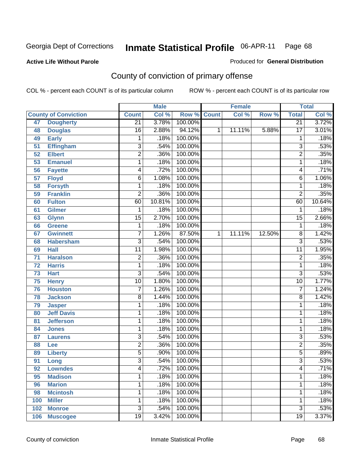#### **Active Life Without Parole**

#### Produced for **General Distribution**

# County of conviction of primary offense

|                 |                             |                           | <b>Male</b> |             |   | <b>Female</b> |        |                         | <b>Total</b>               |
|-----------------|-----------------------------|---------------------------|-------------|-------------|---|---------------|--------|-------------------------|----------------------------|
|                 | <b>County of Conviction</b> | <b>Count</b>              | Col %       | Row % Count |   | Col %         | Row %  | <b>Total</b>            | $\overline{\text{Col }\%}$ |
| 47              | <b>Dougherty</b>            | $\overline{21}$           | 3.78%       | 100.00%     |   |               |        | $\overline{21}$         | 3.72%                      |
| 48              | <b>Douglas</b>              | $\overline{16}$           | 2.88%       | 94.12%      | 1 | 11.11%        | 5.88%  | $\overline{17}$         | 3.01%                      |
| 49              | <b>Early</b>                | 1                         | .18%        | 100.00%     |   |               |        | 1                       | .18%                       |
| 51              | <b>Effingham</b>            | $\overline{3}$            | .54%        | 100.00%     |   |               |        | $\overline{3}$          | .53%                       |
| $\overline{52}$ | <b>Elbert</b>               | $\overline{2}$            | .36%        | 100.00%     |   |               |        | $\overline{2}$          | .35%                       |
| $\overline{53}$ | <b>Emanuel</b>              | 1                         | .18%        | 100.00%     |   |               |        | 1                       | .18%                       |
| 56              | <b>Fayette</b>              | 4                         | .72%        | 100.00%     |   |               |        | 4                       | .71%                       |
| $\overline{57}$ | <b>Floyd</b>                | 6                         | 1.08%       | 100.00%     |   |               |        | 6                       | 1.06%                      |
| 58              | <b>Forsyth</b>              | 1                         | .18%        | 100.00%     |   |               |        | 1                       | .18%                       |
| 59              | <b>Franklin</b>             | $\overline{2}$            | .36%        | 100.00%     |   |               |        | $\overline{2}$          | .35%                       |
| 60              | <b>Fulton</b>               | 60                        | 10.81%      | 100.00%     |   |               |        | 60                      | 10.64%                     |
| 61              | <b>Gilmer</b>               | 1                         | .18%        | 100.00%     |   |               |        | 1                       | .18%                       |
| 63              | <b>Glynn</b>                | $\overline{15}$           | 2.70%       | 100.00%     |   |               |        | $\overline{15}$         | 2.66%                      |
| 66              | <b>Greene</b>               | 1                         | .18%        | 100.00%     |   |               |        | $\mathbf{1}$            | .18%                       |
| 67              | <b>Gwinnett</b>             | $\overline{7}$            | 1.26%       | 87.50%      | 1 | 11.11%        | 12.50% | 8                       | 1.42%                      |
| 68              | <b>Habersham</b>            | $\overline{3}$            | .54%        | 100.00%     |   |               |        | $\overline{3}$          | .53%                       |
| 69              | <b>Hall</b>                 | $\overline{11}$           | 1.98%       | 100.00%     |   |               |        | $\overline{11}$         | 1.95%                      |
| $\overline{71}$ | <b>Haralson</b>             | $\overline{2}$            | .36%        | 100.00%     |   |               |        | $\overline{\mathbf{c}}$ | .35%                       |
| $\overline{72}$ | <b>Harris</b>               | $\mathbf 1$               | .18%        | 100.00%     |   |               |        | $\mathbf{1}$            | .18%                       |
| 73              | <b>Hart</b>                 | $\overline{\overline{3}}$ | .54%        | 100.00%     |   |               |        | $\overline{3}$          | .53%                       |
| 75              | <b>Henry</b>                | $\overline{10}$           | 1.80%       | 100.00%     |   |               |        | $\overline{10}$         | 1.77%                      |
| 76              | <b>Houston</b>              | $\overline{7}$            | 1.26%       | 100.00%     |   |               |        | $\overline{7}$          | 1.24%                      |
| 78              | <b>Jackson</b>              | $\overline{8}$            | 1.44%       | 100.00%     |   |               |        | $\overline{8}$          | 1.42%                      |
| 79              | <b>Jasper</b>               | 1                         | .18%        | 100.00%     |   |               |        | 1                       | .18%                       |
| 80              | <b>Jeff Davis</b>           | 1                         | .18%        | 100.00%     |   |               |        | 1                       | .18%                       |
| 81              | <b>Jefferson</b>            | 1                         | .18%        | 100.00%     |   |               |        | 1                       | .18%                       |
| 84              | <b>Jones</b>                | $\mathbf{1}$              | .18%        | 100.00%     |   |               |        | $\mathbf 1$             | .18%                       |
| 87              | <b>Laurens</b>              | $\overline{3}$            | .54%        | 100.00%     |   |               |        | $\overline{3}$          | .53%                       |
| 88              | Lee                         | $\overline{2}$            | .36%        | 100.00%     |   |               |        | $\overline{2}$          | .35%                       |
| 89              | <b>Liberty</b>              | $\overline{5}$            | .90%        | 100.00%     |   |               |        | $\overline{5}$          | .89%                       |
| 91              | Long                        | $\overline{3}$            | .54%        | 100.00%     |   |               |        | $\overline{3}$          | .53%                       |
| 92              | <b>Lowndes</b>              | 4                         | .72%        | 100.00%     |   |               |        | 4                       | .71%                       |
| 95              | <b>Madison</b>              | 1                         | .18%        | 100.00%     |   |               |        | 1                       | .18%                       |
| 96              | <b>Marion</b>               | 1                         | .18%        | 100.00%     |   |               |        | 1                       | .18%                       |
| 98              | <b>Mcintosh</b>             | 1                         | .18%        | 100.00%     |   |               |        | $\mathbf{1}$            | .18%                       |
| 100             | <b>Miller</b>               | 1                         | .18%        | 100.00%     |   |               |        | 1                       | .18%                       |
| 102             | <b>Monroe</b>               | $\overline{3}$            | .54%        | 100.00%     |   |               |        | $\overline{3}$          | .53%                       |
| 106             | <b>Muscogee</b>             | $\overline{19}$           | 3.42%       | 100.00%     |   |               |        | 19                      | 3.37%                      |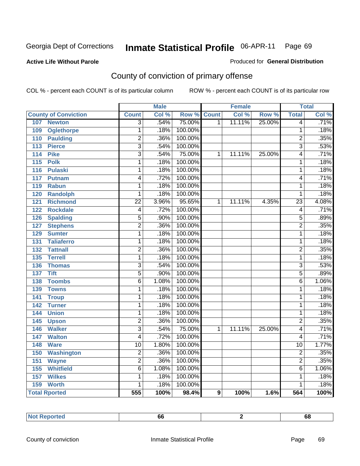#### **Active Life Without Parole**

#### Produced for **General Distribution**

# County of conviction of primary offense

|                                     |                           | <b>Male</b> |         |                | <b>Female</b> |        |                 | <b>Total</b> |
|-------------------------------------|---------------------------|-------------|---------|----------------|---------------|--------|-----------------|--------------|
| <b>County of Conviction</b>         | <b>Count</b>              | Col %       | Row %   | <b>Count</b>   | Col %         | Row %  | <b>Total</b>    | Col %        |
| 107<br><b>Newton</b>                | $\overline{3}$            | .54%        | 75.00%  | $\overline{1}$ | 11.11%        | 25.00% | $\overline{4}$  | .71%         |
| <b>Oglethorpe</b><br>109            | $\overline{1}$            | .18%        | 100.00% |                |               |        | $\overline{1}$  | .18%         |
| 110<br><b>Paulding</b>              | $\overline{2}$            | .36%        | 100.00% |                |               |        | $\overline{2}$  | .35%         |
| $\overline{113}$<br><b>Pierce</b>   | $\overline{\overline{3}}$ | .54%        | 100.00% |                |               |        | $\overline{3}$  | .53%         |
| 114<br><b>Pike</b>                  | $\overline{3}$            | .54%        | 75.00%  | $\mathbf{1}$   | 11.11%        | 25.00% | 4               | .71%         |
| $\overline{115}$<br><b>Polk</b>     | $\overline{1}$            | .18%        | 100.00% |                |               |        | $\mathbf{1}$    | .18%         |
| $\frac{116}{116}$<br><b>Pulaski</b> | $\overline{1}$            | .18%        | 100.00% |                |               |        | $\overline{1}$  | .18%         |
| 117<br>Putnam                       | 4                         | .72%        | 100.00% |                |               |        | $\overline{4}$  | .71%         |
| 119<br><b>Rabun</b>                 | 1                         | .18%        | 100.00% |                |               |        | $\mathbf{1}$    | .18%         |
| <b>Randolph</b><br>120              | $\overline{1}$            | .18%        | 100.00% |                |               |        | $\mathbf{1}$    | .18%         |
| 121<br><b>Richmond</b>              | $\overline{22}$           | 3.96%       | 95.65%  | 1              | 11.11%        | 4.35%  | $\overline{23}$ | 4.08%        |
| <b>Rockdale</b><br>122              | $\overline{4}$            | .72%        | 100.00% |                |               |        | 4               | .71%         |
| <b>Spalding</b><br>126              | $\overline{5}$            | .90%        | 100.00% |                |               |        | $\overline{5}$  | .89%         |
| <b>Stephens</b><br>127              | $\overline{2}$            | .36%        | 100.00% |                |               |        | $\overline{2}$  | .35%         |
| <b>Sumter</b><br>129                | $\overline{1}$            | .18%        | 100.00% |                |               |        | $\mathbf{1}$    | .18%         |
| <b>Taliaferro</b><br>131            | 1                         | .18%        | 100.00% |                |               |        | $\mathbf{1}$    | .18%         |
| <b>Tattnall</b><br>132              | $\overline{2}$            | .36%        | 100.00% |                |               |        | $\overline{2}$  | .35%         |
| <b>Terrell</b><br>135               | $\overline{1}$            | .18%        | 100.00% |                |               |        | $\mathbf 1$     | .18%         |
| <b>Thomas</b><br>136                | $\overline{\overline{3}}$ | .54%        | 100.00% |                |               |        | $\overline{3}$  | .53%         |
| <b>Tift</b><br>137                  | $\overline{5}$            | .90%        | 100.00% |                |               |        | $\overline{5}$  | .89%         |
| <b>Toombs</b><br>138                | $\overline{6}$            | 1.08%       | 100.00% |                |               |        | 6               | 1.06%        |
| 139<br><b>Towns</b>                 | 1                         | .18%        | 100.00% |                |               |        | 1               | .18%         |
| <b>Troup</b><br>$\overline{141}$    | $\overline{1}$            | .18%        | 100.00% |                |               |        | $\overline{1}$  | .18%         |
| $\overline{142}$<br><b>Turner</b>   | $\overline{1}$            | .18%        | 100.00% |                |               |        | $\overline{1}$  | .18%         |
| 144<br><b>Union</b>                 | 1                         | .18%        | 100.00% |                |               |        | $\mathbf{1}$    | .18%         |
| 145<br><b>Upson</b>                 | $\overline{2}$            | .36%        | 100.00% |                |               |        | $\overline{2}$  | .35%         |
| <b>Walker</b><br>146                | $\overline{\overline{3}}$ | .54%        | 75.00%  | 1              | 11.11%        | 25.00% | 4               | .71%         |
| $\overline{147}$<br><b>Walton</b>   | $\overline{4}$            | .72%        | 100.00% |                |               |        | 4               | .71%         |
| 148<br><b>Ware</b>                  | $\overline{10}$           | 1.80%       | 100.00% |                |               |        | $\overline{10}$ | 1.77%        |
| 150<br><b>Washington</b>            | $\overline{2}$            | .36%        | 100.00% |                |               |        | $\overline{2}$  | .35%         |
| 151<br><b>Wayne</b>                 | $\overline{2}$            | .36%        | 100.00% |                |               |        | $\overline{2}$  | .35%         |
| <b>Whitfield</b><br>155             | $\overline{6}$            | 1.08%       | 100.00% |                |               |        | $\overline{6}$  | 1.06%        |
| <b>Wilkes</b><br>$\overline{157}$   | 1                         | .18%        | 100.00% |                |               |        | 1               | .18%         |
| 159<br><b>Worth</b>                 | 1                         | .18%        | 100.00% |                |               |        | 1               | .18%         |
| <b>Total Rported</b>                | $\overline{555}$          | 100%        | 98.4%   | 9              | 100%          | 1.6%   | 564             | 100%         |

| ⊥Not ¦<br><b>Reported</b> | οt |  | o.<br>$ -$ |
|---------------------------|----|--|------------|
|---------------------------|----|--|------------|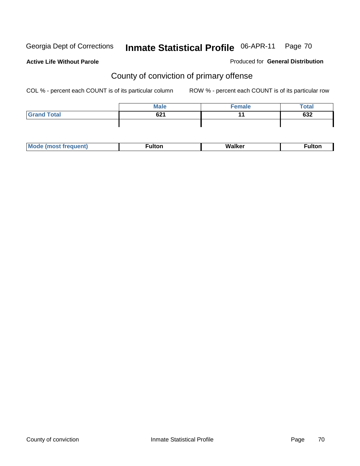**Active Life Without Parole** 

Produced for **General Distribution**

# County of conviction of primary offense

|                    | <b>Male</b> | Female | <b>Total</b> |
|--------------------|-------------|--------|--------------|
| <b>Grand Total</b> | 621         |        | 632          |
|                    |             |        |              |

|  | М |  | w |  |
|--|---|--|---|--|
|--|---|--|---|--|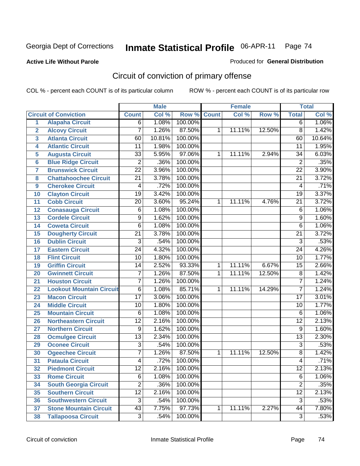#### **Active Life Without Parole**

#### Produced for **General Distribution**

# Circuit of conviction of primary offense

|                         |                                 |                 | <b>Male</b> |         |              | <b>Female</b> |        |                 | <b>Total</b> |
|-------------------------|---------------------------------|-----------------|-------------|---------|--------------|---------------|--------|-----------------|--------------|
|                         | <b>Circuit of Conviction</b>    | <b>Count</b>    | Col %       | Row %   | <b>Count</b> | Col %         | Row %  | <b>Total</b>    | Col %        |
| 1                       | <b>Alapaha Circuit</b>          | 6               | 1.08%       | 100.00% |              |               |        | 6               | 1.06%        |
| $\overline{2}$          | <b>Alcovy Circuit</b>           | 7               | 1.26%       | 87.50%  | 1            | 11.11%        | 12.50% | $\overline{8}$  | 1.42%        |
| $\overline{\mathbf{3}}$ | <b>Atlanta Circuit</b>          | 60              | 10.81%      | 100.00% |              |               |        | 60              | 10.64%       |
| 4                       | <b>Atlantic Circuit</b>         | 11              | 1.98%       | 100.00% |              |               |        | 11              | 1.95%        |
| 5                       | <b>Augusta Circuit</b>          | $\overline{33}$ | 5.95%       | 97.06%  | 1            | 11.11%        | 2.94%  | 34              | 6.03%        |
| $6\phantom{a}$          | <b>Blue Ridge Circuit</b>       | $\overline{2}$  | .36%        | 100.00% |              |               |        | $\overline{2}$  | .35%         |
| $\overline{\mathbf{7}}$ | <b>Brunswick Circuit</b>        | $\overline{22}$ | 3.96%       | 100.00% |              |               |        | $\overline{22}$ | 3.90%        |
| 8                       | <b>Chattahoochee Circuit</b>    | $\overline{21}$ | 3.78%       | 100.00% |              |               |        | $\overline{21}$ | 3.72%        |
| 9                       | <b>Cherokee Circuit</b>         | 4               | .72%        | 100.00% |              |               |        | 4               | .71%         |
| 10                      | <b>Clayton Circuit</b>          | $\overline{19}$ | 3.42%       | 100.00% |              |               |        | $\overline{19}$ | 3.37%        |
| 11                      | <b>Cobb Circuit</b>             | $\overline{20}$ | 3.60%       | 95.24%  | 1            | 11.11%        | 4.76%  | $\overline{21}$ | 3.72%        |
| 12                      | <b>Conasauga Circuit</b>        | 6               | 1.08%       | 100.00% |              |               |        | 6               | 1.06%        |
| $\overline{13}$         | <b>Cordele Circuit</b>          | 9               | 1.62%       | 100.00% |              |               |        | $\overline{9}$  | 1.60%        |
| 14                      | <b>Coweta Circuit</b>           | 6               | 1.08%       | 100.00% |              |               |        | 6               | 1.06%        |
| 15                      | <b>Dougherty Circuit</b>        | $\overline{21}$ | 3.78%       | 100.00% |              |               |        | $\overline{21}$ | 3.72%        |
| 16                      | <b>Dublin Circuit</b>           | $\overline{3}$  | .54%        | 100.00% |              |               |        | $\overline{3}$  | .53%         |
| 17                      | <b>Eastern Circuit</b>          | $\overline{24}$ | 4.32%       | 100.00% |              |               |        | 24              | 4.26%        |
| 18                      | <b>Flint Circuit</b>            | $\overline{10}$ | 1.80%       | 100.00% |              |               |        | 10              | 1.77%        |
| 19                      | <b>Griffin Circuit</b>          | 14              | 2.52%       | 93.33%  | $\mathbf{1}$ | 11.11%        | 6.67%  | $\overline{15}$ | 2.66%        |
| 20                      | <b>Gwinnett Circuit</b>         | 7               | 1.26%       | 87.50%  | 1            | 11.11%        | 12.50% | $\overline{8}$  | 1.42%        |
| 21                      | <b>Houston Circuit</b>          | 7               | 1.26%       | 100.00% |              |               |        | $\overline{7}$  | 1.24%        |
| 22                      | <b>Lookout Mountain Circuit</b> | $\overline{6}$  | 1.08%       | 85.71%  | 1            | 11.11%        | 14.29% | $\overline{7}$  | 1.24%        |
| 23                      | <b>Macon Circuit</b>            | $\overline{17}$ | 3.06%       | 100.00% |              |               |        | $\overline{17}$ | 3.01%        |
| 24                      | <b>Middle Circuit</b>           | 10              | 1.80%       | 100.00% |              |               |        | 10              | 1.77%        |
| 25                      | <b>Mountain Circuit</b>         | 6               | 1.08%       | 100.00% |              |               |        | $\overline{6}$  | 1.06%        |
| 26                      | <b>Northeastern Circuit</b>     | $\overline{12}$ | 2.16%       | 100.00% |              |               |        | $\overline{12}$ | 2.13%        |
| 27                      | <b>Northern Circuit</b>         | 9               | 1.62%       | 100.00% |              |               |        | 9               | 1.60%        |
| 28                      | <b>Ocmulgee Circuit</b>         | $\overline{13}$ | 2.34%       | 100.00% |              |               |        | $\overline{13}$ | 2.30%        |
| 29                      | <b>Oconee Circuit</b>           | $\overline{3}$  | .54%        | 100.00% |              |               |        | $\overline{3}$  | .53%         |
| 30                      | <b>Ogeechee Circuit</b>         | $\overline{7}$  | 1.26%       | 87.50%  | 1            | 11.11%        | 12.50% | 8               | 1.42%        |
| $\overline{31}$         | <b>Pataula Circuit</b>          | 4               | .72%        | 100.00% |              |               |        | 4               | .71%         |
| 32                      | <b>Piedmont Circuit</b>         | 12              | 2.16%       | 100.00% |              |               |        | 12              | 2.13%        |
| 33                      | <b>Rome Circuit</b>             | 6               | 1.08%       | 100.00% |              |               |        | $\overline{6}$  | 1.06%        |
| 34                      | <b>South Georgia Circuit</b>    | $\overline{2}$  | .36%        | 100.00% |              |               |        | $\overline{2}$  | .35%         |
| 35                      | <b>Southern Circuit</b>         | $\overline{12}$ | 2.16%       | 100.00% |              |               |        | $\overline{12}$ | 2.13%        |
| 36                      | <b>Southwestern Circuit</b>     | $\overline{3}$  | .54%        | 100.00% |              |               |        | $\overline{3}$  | .53%         |
| 37                      | <b>Stone Mountain Circuit</b>   | $\overline{43}$ | 7.75%       | 97.73%  | 1            | 11.11%        | 2.27%  | 44              | 7.80%        |
| 38                      | <b>Tallapoosa Circuit</b>       | $\overline{3}$  | .54%        | 100.00% |              |               |        | $\overline{3}$  | .53%         |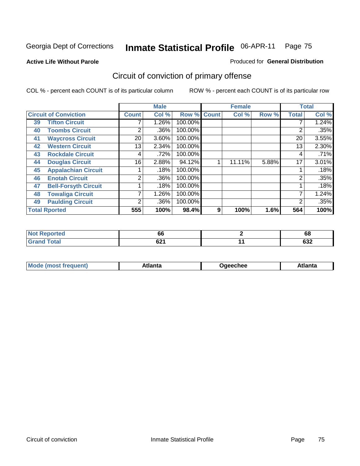**Active Life Without Parole** 

#### Produced for **General Distribution**

# Circuit of conviction of primary offense

|    |                              |              | <b>Male</b> |         |              | <b>Female</b> |       |              | <b>Total</b> |
|----|------------------------------|--------------|-------------|---------|--------------|---------------|-------|--------------|--------------|
|    | <b>Circuit of Conviction</b> | <b>Count</b> | Col %       | Row %   | <b>Count</b> | Col %         | Row % | <b>Total</b> | Col %        |
| 39 | <b>Tifton Circuit</b>        |              | 1.26%       | 100.00% |              |               |       |              | 1.24%        |
| 40 | <b>Toombs Circuit</b>        | 2            | .36%        | 100.00% |              |               |       | 2            | .35%         |
| 41 | <b>Waycross Circuit</b>      | 20           | 3.60%       | 100.00% |              |               |       | 20           | 3.55%        |
| 42 | <b>Western Circuit</b>       | 13           | 2.34%       | 100.00% |              |               |       | 13           | 2.30%        |
| 43 | <b>Rockdale Circuit</b>      | 4            | .72%        | 100.00% |              |               |       | 4            | .71%         |
| 44 | <b>Douglas Circuit</b>       | 16           | 2.88%       | 94.12%  |              | 11.11%        | 5.88% | 17           | 3.01%        |
| 45 | <b>Appalachian Circuit</b>   |              | .18%        | 100.00% |              |               |       |              | .18%         |
| 46 | <b>Enotah Circuit</b>        | 2            | .36%        | 100.00% |              |               |       | 2            | .35%         |
| 47 | <b>Bell-Forsyth Circuit</b>  |              | .18%        | 100.00% |              |               |       |              | .18%         |
| 48 | <b>Towaliga Circuit</b>      |              | 1.26%       | 100.00% |              |               |       |              | 1.24%        |
| 49 | <b>Paulding Circuit</b>      | 2            | .36%        | 100.00% |              |               |       | 2            | .35%         |
|    | <b>Total Rported</b>         | 555          | 100%        | 98.4%   | 9            | 100%          | 1.6%  | 564          | 100%         |

| <b>eported</b><br>'N ( | 66   | 68  |
|------------------------|------|-----|
| <b>otal</b>            | co4  | coo |
| $\mathbf{v}$ and       | 94 I | তত∠ |

|  | M | *****<br>⊡alilu | chee | .<br>''ILC |
|--|---|-----------------|------|------------|
|--|---|-----------------|------|------------|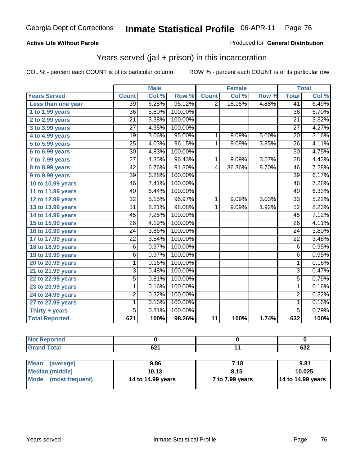### **Active Life Without Parole**

#### Produced for **General Distribution**

## Years served (jail + prison) in this incarceration

|                       |                 | <b>Male</b> |         |                | <b>Female</b> |       |                 | <b>Total</b> |
|-----------------------|-----------------|-------------|---------|----------------|---------------|-------|-----------------|--------------|
| <b>Years Served</b>   | <b>Count</b>    | Col %       | Row %   | <b>Count</b>   | Col %         | Row % | <b>Total</b>    | Col %        |
| Less than one year    | $\overline{39}$ | 6.28%       | 95.12%  | 2              | 18.18%        | 4.88% | 41              | 6.49%        |
| 1 to 1.99 years       | $\overline{36}$ | 5.80%       | 100.00% |                |               |       | $\overline{36}$ | 5.70%        |
| 2 to 2.99 years       | $\overline{21}$ | 3.38%       | 100.00% |                |               |       | 21              | 3.32%        |
| 3 to 3.99 years       | $\overline{27}$ | 4.35%       | 100.00% |                |               |       | $\overline{27}$ | 4.27%        |
| 4 to 4.99 years       | 19              | 3.06%       | 95.00%  | 1              | 9.09%         | 5.00% | 20              | 3.16%        |
| 5 to 5.99 years       | $\overline{25}$ | 4.03%       | 96.15%  | $\mathbf{1}$   | 9.09%         | 3.85% | $\overline{26}$ | 4.11%        |
| 6 to 6.99 years       | $\overline{30}$ | 4.83%       | 100.00% |                |               |       | $\overline{30}$ | 4.75%        |
| 7 to 7.99 years       | $\overline{27}$ | 4.35%       | 96.43%  | 1              | 9.09%         | 3.57% | $\overline{28}$ | 4.43%        |
| 8 to 8.99 years       | $\overline{42}$ | 6.76%       | 91.30%  | $\overline{4}$ | 36.36%        | 8.70% | 46              | 7.28%        |
| 9 to 9.99 years       | $\overline{39}$ | 6.28%       | 100.00% |                |               |       | $\overline{39}$ | 6.17%        |
| 10 to 10.99 years     | 46              | 7.41%       | 100.00% |                |               |       | 46              | 7.28%        |
| 11 to 11.99 years     | 40              | 6.44%       | 100.00% |                |               |       | 40              | 6.33%        |
| 12 to 12.99 years     | $\overline{32}$ | 5.15%       | 96.97%  | 1              | 9.09%         | 3.03% | $\overline{33}$ | 5.22%        |
| 13 to 13.99 years     | $\overline{51}$ | 8.21%       | 98.08%  | $\mathbf{1}$   | 9.09%         | 1.92% | 52              | 8.23%        |
| 14 to 14.99 years     | $\overline{45}$ | 7.25%       | 100.00% |                |               |       | 45              | 7.12%        |
| 15 to 15.99 years     | $\overline{26}$ | 4.19%       | 100.00% |                |               |       | 26              | 4.11%        |
| 16 to 16.99 years     | $\overline{24}$ | 3.86%       | 100.00% |                |               |       | $\overline{24}$ | 3.80%        |
| 17 to 17.99 years     | 22              | 3.54%       | 100.00% |                |               |       | 22              | 3.48%        |
| 18 to 18.99 years     | 6               | 0.97%       | 100.00% |                |               |       | 6               | 0.95%        |
| 19 to 19.99 years     | 6               | 0.97%       | 100.00% |                |               |       | $\overline{6}$  | 0.95%        |
| 20 to 20.99 years     | $\mathbf{1}$    | 0.16%       | 100.00% |                |               |       | $\mathbf{1}$    | 0.16%        |
| 21 to 21.99 years     | 3               | 0.48%       | 100.00% |                |               |       | $\overline{3}$  | 0.47%        |
| 22 to 22.99 years     | 5               | 0.81%       | 100.00% |                |               |       | $\overline{5}$  | 0.79%        |
| 23 to 23.99 years     | 1               | 0.16%       | 100.00% |                |               |       | 1               | 0.16%        |
| 24 to 24.99 years     | $\overline{2}$  | 0.32%       | 100.00% |                |               |       | $\overline{2}$  | 0.32%        |
| 27 to 27.99 years     | $\overline{1}$  | 0.16%       | 100.00% |                |               |       | $\mathbf{1}$    | 0.16%        |
| Thirty $+$ years      | $\overline{5}$  | 0.81%       | 100.00% |                |               |       | $\overline{5}$  | 0.79%        |
| <b>Total Reported</b> | 621             | 100%        | 98.26%  | 11             | 100%          | 1.74% | 632             | 100%         |

| . | <br>ᅆ | ^^^<br>∪J∠ |
|---|-------|------------|

| Mean<br>(average)    | 9.86              | 7.18            | 9.81                |
|----------------------|-------------------|-----------------|---------------------|
| Median (middle)      | 10.13             | 8.15            | 10.025              |
| Mode (most frequent) | 14 to 14.99 years | 7 to 7.99 years | $14$ to 14.99 years |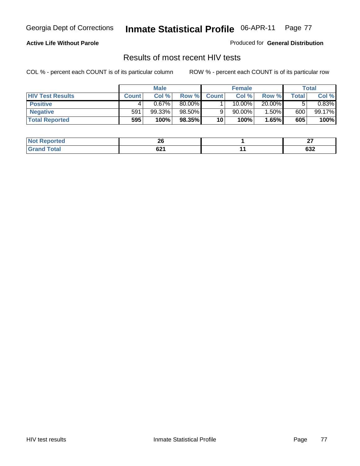### **Active Life Without Parole**

Produced for **General Distribution**

### Results of most recent HIV tests

|                         |              | <b>Male</b> |        |              | <b>Female</b> |        |       | Total    |
|-------------------------|--------------|-------------|--------|--------------|---------------|--------|-------|----------|
| <b>HIV Test Results</b> | <b>Count</b> | Col %       | Row %  | <b>Count</b> | Col %         | Row %  | Total | Col %    |
| <b>Positive</b>         | 4            | $0.67\%$    | 80.00% |              | 10.00%        | 20.00% |       | $0.83\%$ |
| <b>Negative</b>         | 591          | 99.33%      | 98.50% |              | $90.00\%$     | 1.50%  | 600   | 99.17%   |
| <b>Total Reported</b>   | 595          | 100%        | 98.35% | 10           | 100%          | 1.65%  | 605   | 100%     |

| <b>Not</b>   | nr.        | $\sim$     |
|--------------|------------|------------|
| ported:      | ΔU         | --         |
| <b>Cotal</b> | $\sim$     | <b>000</b> |
| Grr          | <b>DZI</b> | פט         |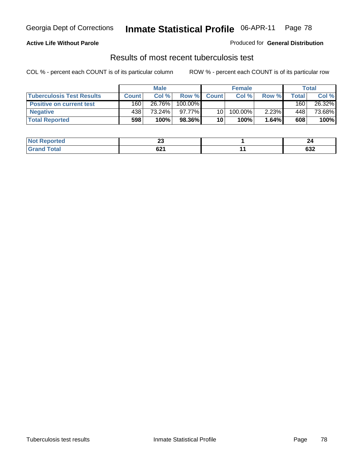### **Active Life Without Parole**

#### Produced for **General Distribution**

### Results of most recent tuberculosis test

|                                  |              | <b>Male</b> |         |                 | <b>Female</b> |       |       | Total  |
|----------------------------------|--------------|-------------|---------|-----------------|---------------|-------|-------|--------|
| <b>Tuberculosis Test Results</b> | <b>Count</b> | Col %       | Row %   | <b>Count</b>    | Col %         | Row % | Total | Col %  |
| Positive on current test         | 160          | 26.76%      | 100.00% |                 |               |       | 160   | 26.32% |
| <b>Negative</b>                  | 438          | 73.24%      | 97.77%  | 10 <sub>1</sub> | 100.00%       | 2.23% | 448   | 73.68% |
| <b>Total Reported</b>            | 598          | 100%        | 98.36%  | 10              | 100%          | 1.64% | 608   | 100%   |

| 'Not<br><b>Reported</b> | n,<br>Zv       |            |
|-------------------------|----------------|------------|
| Total                   | $\sim$<br>0Z I | coc<br>63Z |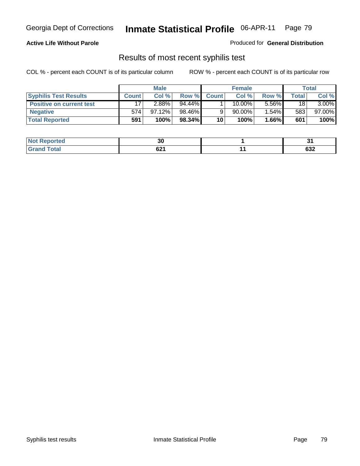### **Active Life Without Parole**

Produced for **General Distribution**

## Results of most recent syphilis test

|                                 |              | <b>Male</b> |        |              | <b>Female</b> |       |       | Total     |
|---------------------------------|--------------|-------------|--------|--------------|---------------|-------|-------|-----------|
| <b>Syphilis Test Results</b>    | <b>Count</b> | Col %       | Row %  | <b>Count</b> | Col %         | Row % | Total | Col %     |
| <b>Positive on current test</b> | 17           | 2.88%       | 94.44% |              | 10.00%        | 5.56% | 18    | $3.00\%$  |
| <b>Negative</b>                 | 574          | 97.12%      | 98.46% |              | 90.00%        | 1.54% | 583   | $97.00\%$ |
| <b>Total Reported</b>           | 591          | 100%        | 98.34% | 10           | 100%          | 1.66% | 601   | 100%      |

| <b>Not</b><br><b>Reported</b> | n,<br>ას    |                  |
|-------------------------------|-------------|------------------|
| <b>Total</b>                  | co.<br>04 I | <b>000</b><br>פט |